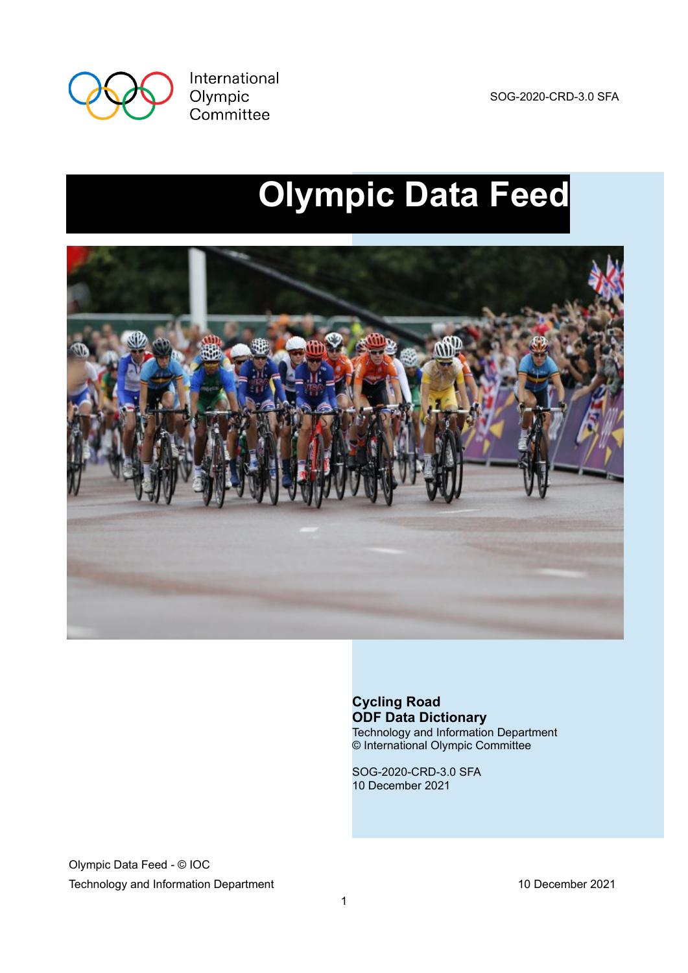

SOG-2020-CRD-3.0 SFA

# **Olympic Data Feed**



**Cycling Road ODF Data Dictionary** Technology and Information Department © International Olympic Committee

SOG-2020-CRD-3.0 SFA 10 December 2021

Olympic Data Feed - © IOC Technology and Information Department 10 December 2021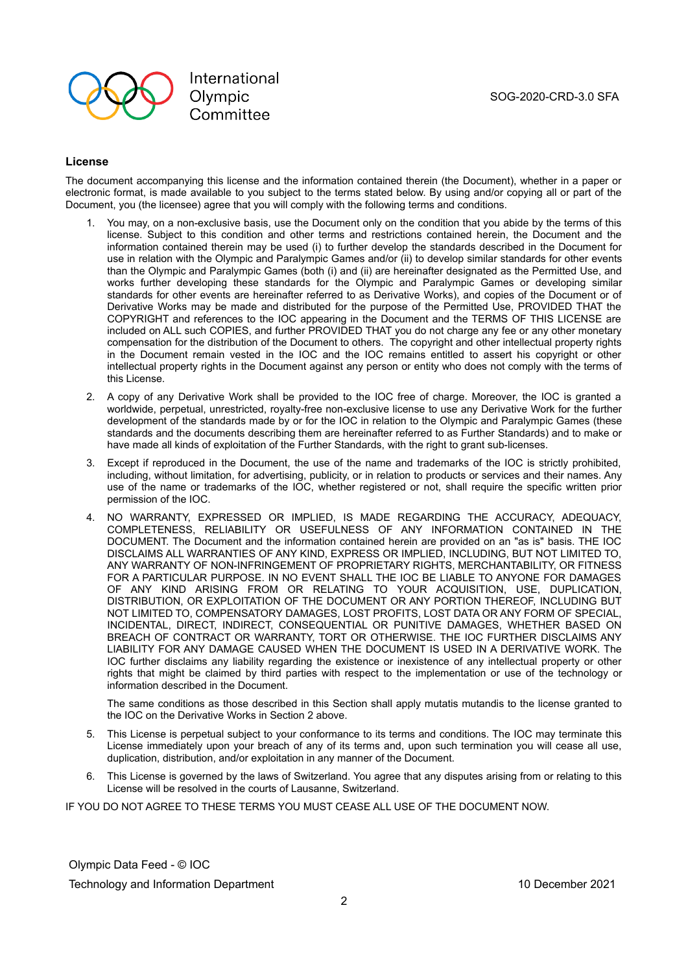

#### **License**

The document accompanying this license and the information contained therein (the Document), whether in a paper or electronic format, is made available to you subject to the terms stated below. By using and/or copying all or part of the Document, you (the licensee) agree that you will comply with the following terms and conditions.

- 1. You may, on a non-exclusive basis, use the Document only on the condition that you abide by the terms of this license. Subject to this condition and other terms and restrictions contained herein, the Document and the information contained therein may be used (i) to further develop the standards described in the Document for use in relation with the Olympic and Paralympic Games and/or (ii) to develop similar standards for other events than the Olympic and Paralympic Games (both (i) and (ii) are hereinafter designated as the Permitted Use, and works further developing these standards for the Olympic and Paralympic Games or developing similar standards for other events are hereinafter referred to as Derivative Works), and copies of the Document or of Derivative Works may be made and distributed for the purpose of the Permitted Use, PROVIDED THAT the COPYRIGHT and references to the IOC appearing in the Document and the TERMS OF THIS LICENSE are included on ALL such COPIES, and further PROVIDED THAT you do not charge any fee or any other monetary compensation for the distribution of the Document to others. The copyright and other intellectual property rights in the Document remain vested in the IOC and the IOC remains entitled to assert his copyright or other intellectual property rights in the Document against any person or entity who does not comply with the terms of this License.
- 2. A copy of any Derivative Work shall be provided to the IOC free of charge. Moreover, the IOC is granted a worldwide, perpetual, unrestricted, royalty-free non-exclusive license to use any Derivative Work for the further development of the standards made by or for the IOC in relation to the Olympic and Paralympic Games (these standards and the documents describing them are hereinafter referred to as Further Standards) and to make or have made all kinds of exploitation of the Further Standards, with the right to grant sub-licenses.
- 3. Except if reproduced in the Document, the use of the name and trademarks of the IOC is strictly prohibited, including, without limitation, for advertising, publicity, or in relation to products or services and their names. Any use of the name or trademarks of the IOC, whether registered or not, shall require the specific written prior permission of the IOC.
- 4. NO WARRANTY, EXPRESSED OR IMPLIED, IS MADE REGARDING THE ACCURACY, ADEQUACY, COMPLETENESS, RELIABILITY OR USEFULNESS OF ANY INFORMATION CONTAINED IN THE DOCUMENT. The Document and the information contained herein are provided on an "as is" basis. THE IOC DISCLAIMS ALL WARRANTIES OF ANY KIND, EXPRESS OR IMPLIED, INCLUDING, BUT NOT LIMITED TO, ANY WARRANTY OF NON-INFRINGEMENT OF PROPRIETARY RIGHTS, MERCHANTABILITY, OR FITNESS FOR A PARTICULAR PURPOSE. IN NO EVENT SHALL THE IOC BE LIABLE TO ANYONE FOR DAMAGES OF ANY KIND ARISING FROM OR RELATING TO YOUR ACQUISITION, USE, DUPLICATION, DISTRIBUTION, OR EXPLOITATION OF THE DOCUMENT OR ANY PORTION THEREOF, INCLUDING BUT NOT LIMITED TO, COMPENSATORY DAMAGES, LOST PROFITS, LOST DATA OR ANY FORM OF SPECIAL, INCIDENTAL, DIRECT, INDIRECT, CONSEQUENTIAL OR PUNITIVE DAMAGES, WHETHER BASED ON BREACH OF CONTRACT OR WARRANTY, TORT OR OTHERWISE. THE IOC FURTHER DISCLAIMS ANY LIABILITY FOR ANY DAMAGE CAUSED WHEN THE DOCUMENT IS USED IN A DERIVATIVE WORK. The IOC further disclaims any liability regarding the existence or inexistence of any intellectual property or other rights that might be claimed by third parties with respect to the implementation or use of the technology or information described in the Document.

The same conditions as those described in this Section shall apply mutatis mutandis to the license granted to the IOC on the Derivative Works in Section 2 above.

- 5. This License is perpetual subject to your conformance to its terms and conditions. The IOC may terminate this License immediately upon your breach of any of its terms and, upon such termination you will cease all use, duplication, distribution, and/or exploitation in any manner of the Document.
- 6. This License is governed by the laws of Switzerland. You agree that any disputes arising from or relating to this License will be resolved in the courts of Lausanne, Switzerland.

IF YOU DO NOT AGREE TO THESE TERMS YOU MUST CEASE ALL USE OF THE DOCUMENT NOW.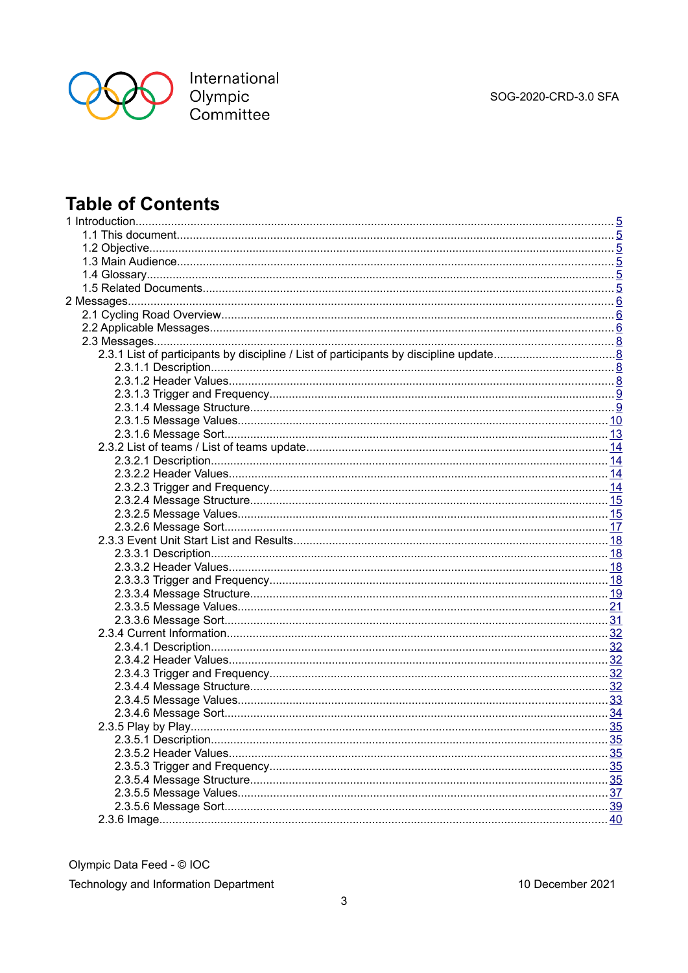

# **Table of Contents**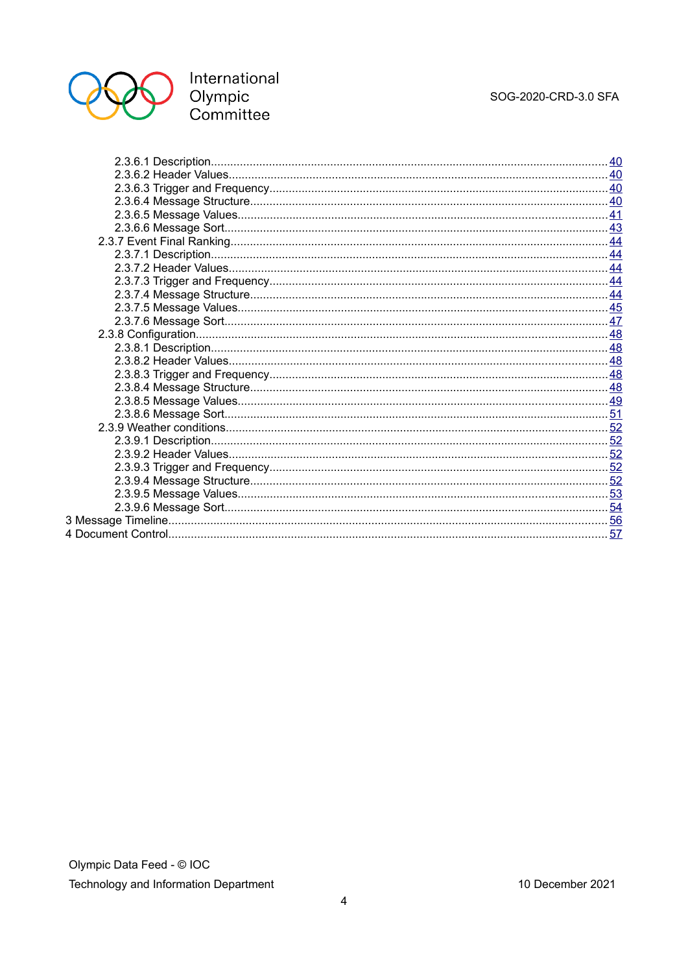

#### SOG-2020-CRD-3.0 SFA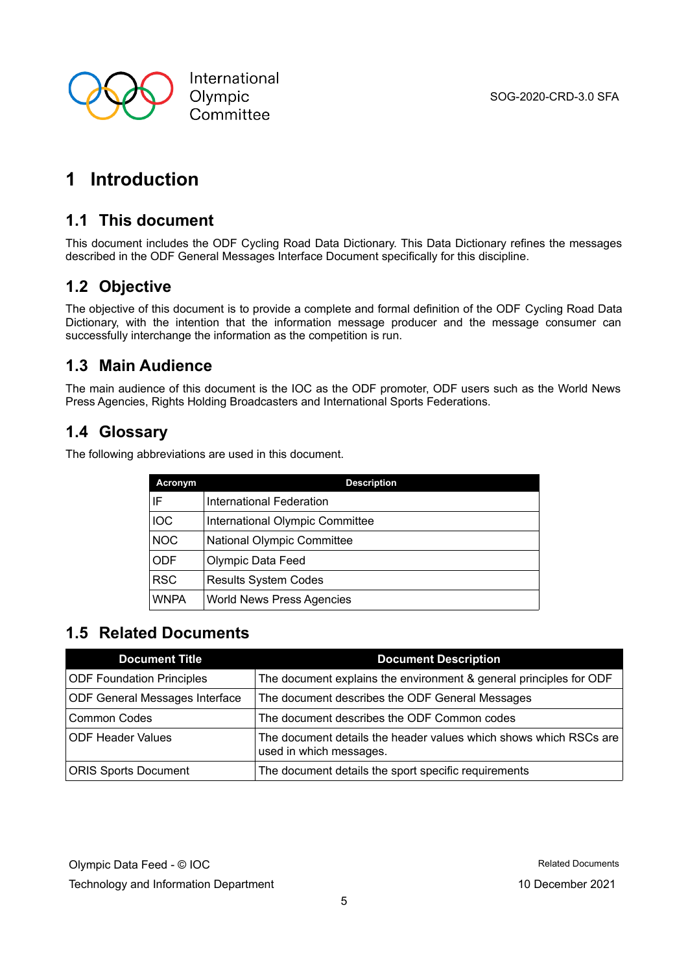SOG-2020-CRD-3.0 SFA



# <span id="page-4-5"></span>**1 Introduction**

## <span id="page-4-4"></span>**1.1 This document**

This document includes the ODF Cycling Road Data Dictionary. This Data Dictionary refines the messages described in the ODF General Messages Interface Document specifically for this discipline.

## <span id="page-4-3"></span>**1.2 Objective**

The objective of this document is to provide a complete and formal definition of the ODF Cycling Road Data Dictionary, with the intention that the information message producer and the message consumer can successfully interchange the information as the competition is run.

## <span id="page-4-2"></span>**1.3 Main Audience**

The main audience of this document is the IOC as the ODF promoter, ODF users such as the World News Press Agencies, Rights Holding Broadcasters and International Sports Federations.

## <span id="page-4-1"></span>**1.4 Glossary**

The following abbreviations are used in this document.

| Acronym     | <b>Description</b>                |  |  |  |
|-------------|-----------------------------------|--|--|--|
| IF          | International Federation          |  |  |  |
| <b>IOC</b>  | International Olympic Committee   |  |  |  |
| <b>NOC</b>  | <b>National Olympic Committee</b> |  |  |  |
| <b>ODF</b>  | Olympic Data Feed                 |  |  |  |
| <b>RSC</b>  | <b>Results System Codes</b>       |  |  |  |
| <b>WNPA</b> | <b>World News Press Agencies</b>  |  |  |  |

## <span id="page-4-0"></span>**1.5 Related Documents**

| <b>Document Title</b>                 | <b>Document Description</b>                                                                  |
|---------------------------------------|----------------------------------------------------------------------------------------------|
| <b>ODF Foundation Principles</b>      | The document explains the environment & general principles for ODF                           |
| <b>ODF General Messages Interface</b> | The document describes the ODF General Messages                                              |
| <b>Common Codes</b>                   | The document describes the ODF Common codes                                                  |
| <b>ODF Header Values</b>              | The document details the header values which shows which RSCs are<br>used in which messages. |
| <b>ORIS Sports Document</b>           | The document details the sport specific requirements                                         |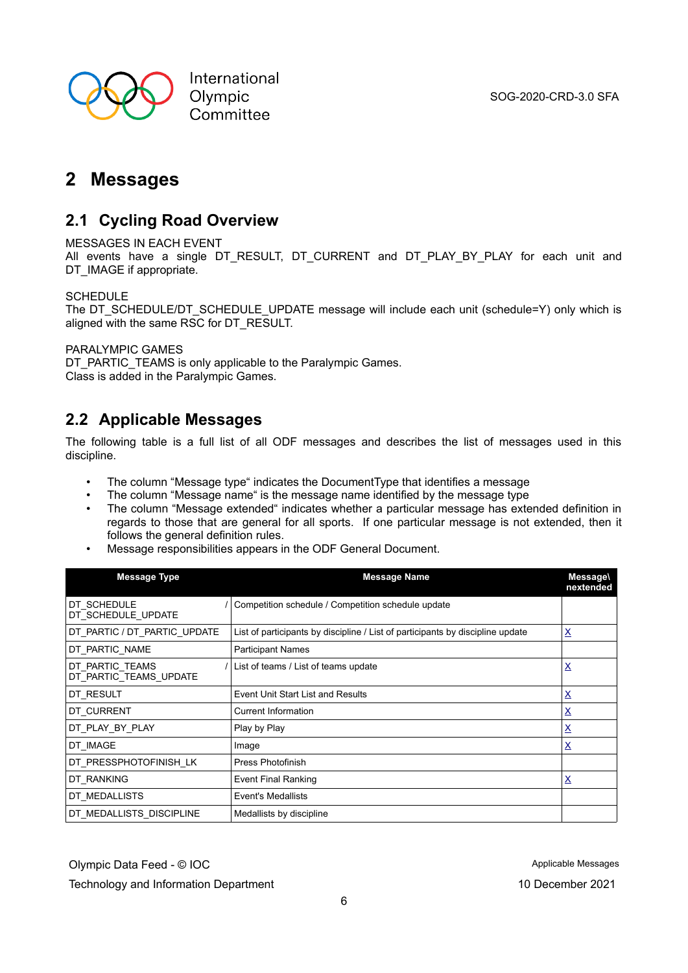



## <span id="page-5-2"></span>**2 Messages**

## <span id="page-5-1"></span>**2.1 Cycling Road Overview**

#### MESSAGES IN EACH EVENT

All events have a single DT\_RESULT, DT\_CURRENT and DT\_PLAY\_BY\_PLAY for each unit and DT\_IMAGE if appropriate.

#### **SCHEDULE**

The DT\_SCHEDULE/DT\_SCHEDULE\_UPDATE message will include each unit (schedule=Y) only which is aligned with the same RSC for DT\_RESULT.

#### PARALYMPIC GAMES

DT\_PARTIC\_TEAMS is only applicable to the Paralympic Games. Class is added in the Paralympic Games.

## <span id="page-5-0"></span>**2.2 Applicable Messages**

The following table is a full list of all ODF messages and describes the list of messages used in this discipline.

- The column "Message type" indicates the DocumentType that identifies a message
- The column "Message name" is the message name identified by the message type
- The column "Message extended" indicates whether a particular message has extended definition in regards to those that are general for all sports. If one particular message is not extended, then it follows the general definition rules.
- Message responsibilities appears in the ODF General Document.

| <b>Message Type</b>                       | <b>Message Name</b>                                                            |                          |  |  |
|-------------------------------------------|--------------------------------------------------------------------------------|--------------------------|--|--|
| DT SCHEDULE<br>DT SCHEDULE UPDATE         | Competition schedule / Competition schedule update                             |                          |  |  |
| DT PARTIC / DT PARTIC UPDATE              | List of participants by discipline / List of participants by discipline update | $\underline{X}$          |  |  |
| DT PARTIC NAME                            | <b>Participant Names</b>                                                       |                          |  |  |
| DT PARTIC TEAMS<br>DT PARTIC TEAMS UPDATE | List of teams / List of teams update                                           | $\underline{X}$          |  |  |
| DT RESULT                                 | <b>Event Unit Start List and Results</b>                                       | $\underline{X}$          |  |  |
| DT CURRENT                                | <b>Current Information</b>                                                     | $\underline{\mathsf{X}}$ |  |  |
| DT PLAY BY PLAY                           | Play by Play                                                                   | X                        |  |  |
| DT IMAGE                                  | Image                                                                          | $\overline{\mathsf{x}}$  |  |  |
| DT PRESSPHOTOFINISH LK                    | Press Photofinish                                                              |                          |  |  |
| DT RANKING                                | <b>Event Final Ranking</b>                                                     | $\mathbf x$              |  |  |
| DT MEDALLISTS                             | <b>Event's Medallists</b>                                                      |                          |  |  |
| DT MEDALLISTS DISCIPLINE                  | Medallists by discipline                                                       |                          |  |  |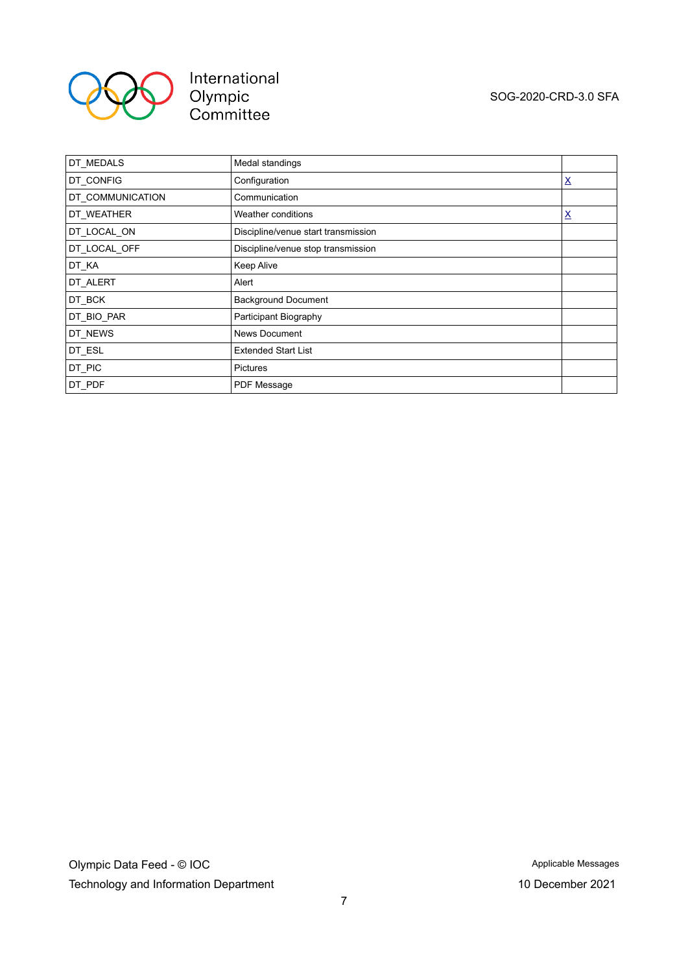

| DT MEDALS        | Medal standings                     |                          |  |  |
|------------------|-------------------------------------|--------------------------|--|--|
| DT CONFIG        | Configuration                       | $\overline{\mathsf{X}}$  |  |  |
| DT COMMUNICATION | Communication                       |                          |  |  |
| DT WEATHER       | Weather conditions                  | $\mathbf{\underline{x}}$ |  |  |
| DT_LOCAL_ON      | Discipline/venue start transmission |                          |  |  |
| DT_LOCAL_OFF     | Discipline/venue stop transmission  |                          |  |  |
| DT KA            | <b>Keep Alive</b>                   |                          |  |  |
| DT ALERT         | Alert                               |                          |  |  |
| DT_BCK           | <b>Background Document</b>          |                          |  |  |
| DT BIO PAR       | Participant Biography               |                          |  |  |
| DT_NEWS          | <b>News Document</b>                |                          |  |  |
| DT_ESL           | <b>Extended Start List</b>          |                          |  |  |
| DT_PIC           | <b>Pictures</b>                     |                          |  |  |
| DT_PDF           | PDF Message                         |                          |  |  |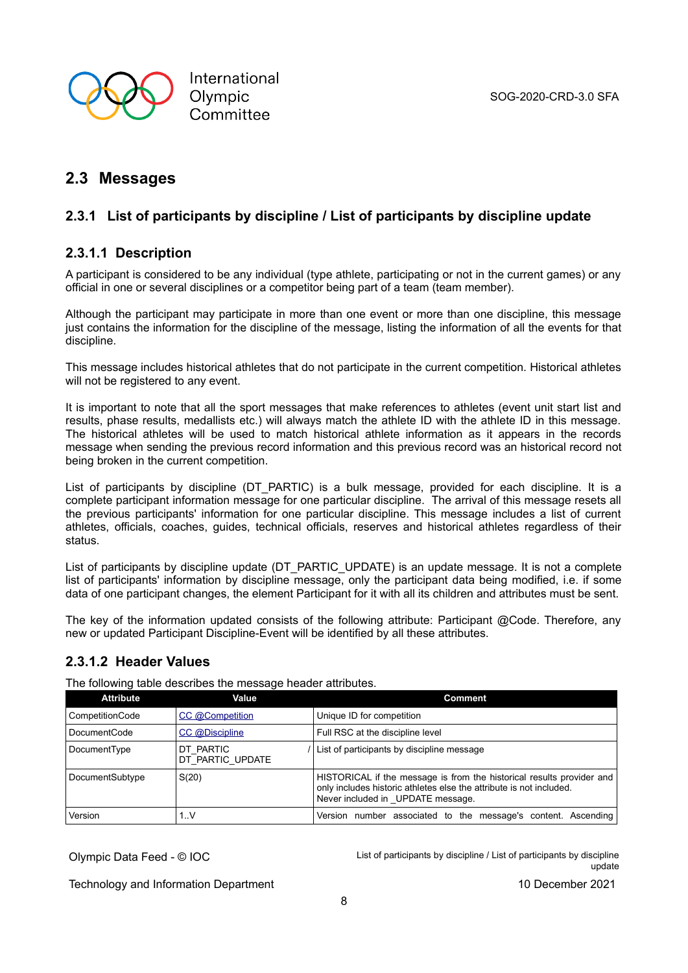

## <span id="page-7-3"></span>**2.3 Messages**

## <span id="page-7-2"></span>**2.3.1 List of participants by discipline / List of participants by discipline update**

## <span id="page-7-1"></span>**2.3.1.1 Description**

A participant is considered to be any individual (type athlete, participating or not in the current games) or any official in one or several disciplines or a competitor being part of a team (team member).

Although the participant may participate in more than one event or more than one discipline, this message just contains the information for the discipline of the message, listing the information of all the events for that discipline.

This message includes historical athletes that do not participate in the current competition. Historical athletes will not be registered to any event.

It is important to note that all the sport messages that make references to athletes (event unit start list and results, phase results, medallists etc.) will always match the athlete ID with the athlete ID in this message. The historical athletes will be used to match historical athlete information as it appears in the records message when sending the previous record information and this previous record was an historical record not being broken in the current competition.

List of participants by discipline (DT\_PARTIC) is a bulk message, provided for each discipline. It is a complete participant information message for one particular discipline. The arrival of this message resets all the previous participants' information for one particular discipline. This message includes a list of current athletes, officials, coaches, guides, technical officials, reserves and historical athletes regardless of their status.

List of participants by discipline update (DT\_PARTIC\_UPDATE) is an update message. It is not a complete list of participants' information by discipline message, only the participant data being modified, i.e. if some data of one participant changes, the element Participant for it with all its children and attributes must be sent.

The key of the information updated consists of the following attribute: Participant @Code. Therefore, any new or updated Participant Discipline-Event will be identified by all these attributes.

## <span id="page-7-0"></span>**2.3.1.2 Header Values**

The following table describes the message header attributes.

| <b>Attribute</b> | Value                         | <b>Comment</b>                                                                                                                                                                    |  |  |
|------------------|-------------------------------|-----------------------------------------------------------------------------------------------------------------------------------------------------------------------------------|--|--|
| CompetitionCode  | CC @Competition               | Unique ID for competition                                                                                                                                                         |  |  |
| DocumentCode     | CC @Discipline                | Full RSC at the discipline level                                                                                                                                                  |  |  |
| DocumentType     | DT PARTIC<br>DT_PARTIC_UPDATE | List of participants by discipline message                                                                                                                                        |  |  |
| DocumentSubtype  | S(20)                         | HISTORICAL if the message is from the historical results provider and<br>only includes historic athletes else the attribute is not included.<br>Never included in UPDATE message. |  |  |
| Version          | 1V                            | Version number associated to the message's content. Ascending                                                                                                                     |  |  |

Olympic Data Feed - © IOC List of participants by discipline / List of participants by discipline update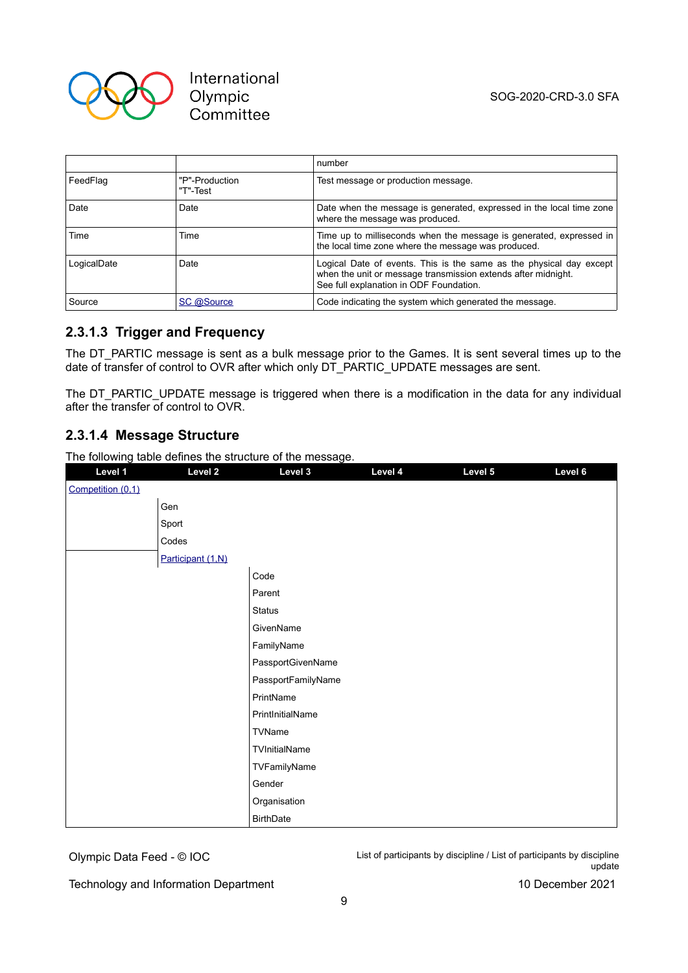

|             |                            | number                                                                                                                                                                          |
|-------------|----------------------------|---------------------------------------------------------------------------------------------------------------------------------------------------------------------------------|
| FeedFlag    | "P"-Production<br>"T"-Test | Test message or production message.                                                                                                                                             |
| Date        | Date                       | Date when the message is generated, expressed in the local time zone  <br>where the message was produced.                                                                       |
| Time        | Time                       | Time up to milliseconds when the message is generated, expressed in<br>the local time zone where the message was produced.                                                      |
| LogicalDate | Date                       | Logical Date of events. This is the same as the physical day except<br>when the unit or message transmission extends after midnight.<br>See full explanation in ODF Foundation. |
| Source      | SC @Source                 | Code indicating the system which generated the message.                                                                                                                         |

#### <span id="page-8-1"></span>**2.3.1.3 Trigger and Frequency**

The DT\_PARTIC message is sent as a bulk message prior to the Games. It is sent several times up to the date of transfer of control to OVR after which only DT\_PARTIC\_UPDATE messages are sent.

The DT\_PARTIC\_UPDATE message is triggered when there is a modification in the data for any individual after the transfer of control to OVR.

## <span id="page-8-0"></span>**2.3.1.4 Message Structure**

The following table defines the structure of the message.

| Level 1           | Level 2           | Level 3            | Level 4 | Level 5 | Level 6 |
|-------------------|-------------------|--------------------|---------|---------|---------|
| Competition (0,1) |                   |                    |         |         |         |
|                   | Gen               |                    |         |         |         |
|                   | Sport             |                    |         |         |         |
|                   | Codes             |                    |         |         |         |
|                   | Participant (1,N) |                    |         |         |         |
|                   |                   | Code               |         |         |         |
|                   |                   | Parent             |         |         |         |
|                   |                   | Status             |         |         |         |
|                   |                   | GivenName          |         |         |         |
|                   |                   | FamilyName         |         |         |         |
|                   |                   | PassportGivenName  |         |         |         |
|                   |                   | PassportFamilyName |         |         |         |
|                   |                   | PrintName          |         |         |         |
|                   |                   | PrintlnitialName   |         |         |         |
|                   |                   | TVName             |         |         |         |
|                   |                   | TVInitialName      |         |         |         |
|                   |                   | TVFamilyName       |         |         |         |
|                   |                   | Gender             |         |         |         |
|                   |                   | Organisation       |         |         |         |
|                   |                   | <b>BirthDate</b>   |         |         |         |

Olympic Data Feed - © IOC **List of participants by discipline** / List of participants by discipline update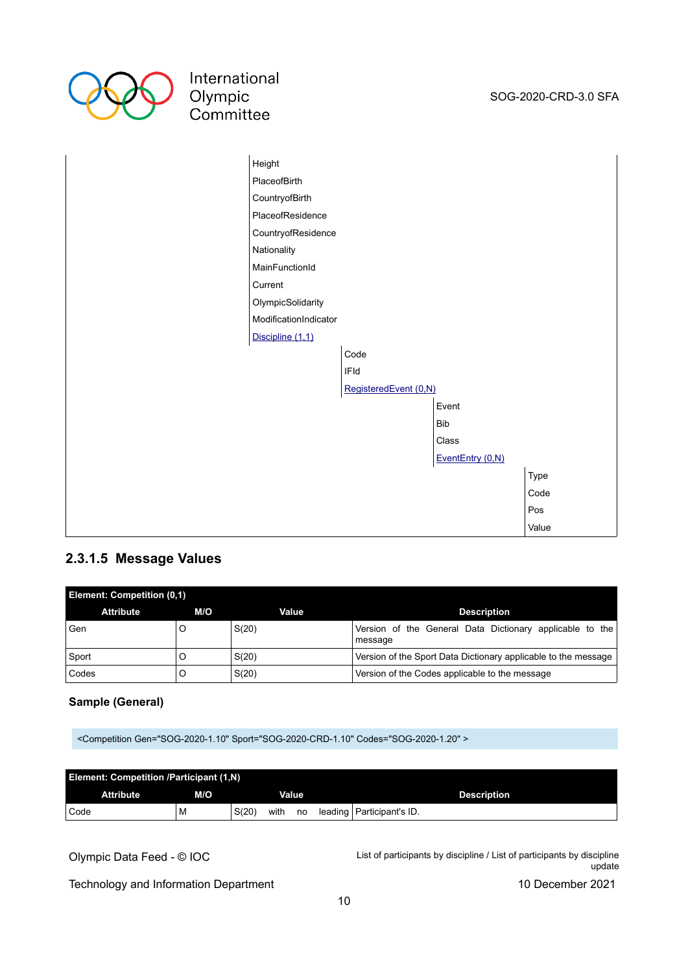

| Height                |                       |                  |       |
|-----------------------|-----------------------|------------------|-------|
| PlaceofBirth          |                       |                  |       |
| CountryofBirth        |                       |                  |       |
| PlaceofResidence      |                       |                  |       |
| CountryofResidence    |                       |                  |       |
| Nationality           |                       |                  |       |
| MainFunctionId        |                       |                  |       |
| Current               |                       |                  |       |
| OlympicSolidarity     |                       |                  |       |
| ModificationIndicator |                       |                  |       |
| Discipline (1,1)      |                       |                  |       |
|                       | Code                  |                  |       |
|                       | IFId                  |                  |       |
|                       | RegisteredEvent (0,N) |                  |       |
|                       |                       | Event            |       |
|                       |                       | <b>Bib</b>       |       |
|                       |                       | Class            |       |
|                       |                       | EventEntry (0,N) |       |
|                       |                       |                  | Type  |
|                       |                       |                  | Code  |
|                       |                       |                  | Pos   |
|                       |                       |                  | Value |

## <span id="page-9-0"></span>**2.3.1.5 Message Values**

<span id="page-9-2"></span>

| <b>Element: Competition (0,1)</b> |     |       |                                                                     |
|-----------------------------------|-----|-------|---------------------------------------------------------------------|
| <b>Attribute</b>                  | M/O | Value | <b>Description</b>                                                  |
| Gen                               |     | S(20) | Version of the General Data Dictionary applicable to the<br>message |
| Sport                             |     | S(20) | Version of the Sport Data Dictionary applicable to the message      |
| Codes                             |     | S(20) | Version of the Codes applicable to the message                      |

#### **Sample (General)**

<Competition Gen="SOG-2020-1.10" Sport="SOG-2020-CRD-1.10" Codes="SOG-2020-1.20" >

<span id="page-9-1"></span>

| <b>Element: Competition /Participant (1,N)</b> |     |       |      |       |  |                             |  |
|------------------------------------------------|-----|-------|------|-------|--|-----------------------------|--|
| <b>Attribute</b>                               | M/O |       |      | Value |  | <b>Description</b>          |  |
| Code                                           | .W  | S(20) | with | no    |  | leading   Participant's ID. |  |

Olympic Data Feed - © IOC List of participants by discipline / List of participants by discipline update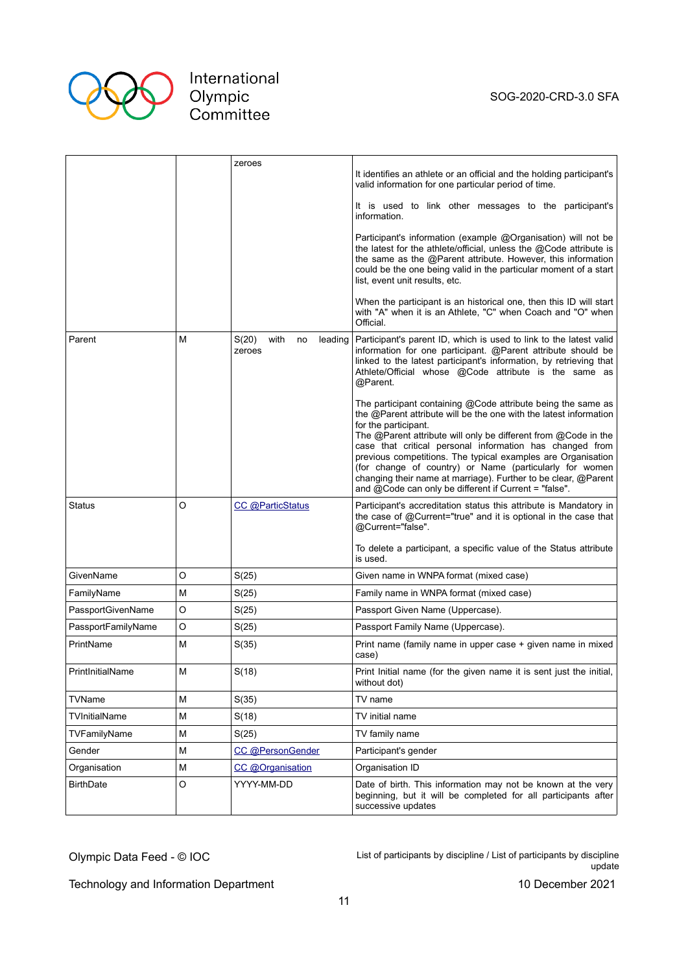

International<br>Olympic<br>Committee

#### SOG-2020-CRD-3.0 SFA

|                    |   | zeroes                                   | It identifies an athlete or an official and the holding participant's<br>valid information for one particular period of time.<br>It is used to link other messages to the participant's<br>information.<br>Participant's information (example @Organisation) will not be<br>the latest for the athlete/official, unless the @Code attribute is<br>the same as the @Parent attribute. However, this information<br>could be the one being valid in the particular moment of a start<br>list, event unit results, etc.                          |
|--------------------|---|------------------------------------------|-----------------------------------------------------------------------------------------------------------------------------------------------------------------------------------------------------------------------------------------------------------------------------------------------------------------------------------------------------------------------------------------------------------------------------------------------------------------------------------------------------------------------------------------------|
|                    |   |                                          | When the participant is an historical one, then this ID will start<br>with "A" when it is an Athlete, "C" when Coach and "O" when<br>Official.                                                                                                                                                                                                                                                                                                                                                                                                |
| Parent             | М | S(20)<br>with<br>leading<br>no<br>zeroes | Participant's parent ID, which is used to link to the latest valid<br>information for one participant. @Parent attribute should be<br>linked to the latest participant's information, by retrieving that<br>Athlete/Official whose @Code attribute is the same as<br>@Parent.                                                                                                                                                                                                                                                                 |
|                    |   |                                          | The participant containing @Code attribute being the same as<br>the @Parent attribute will be the one with the latest information<br>for the participant.<br>The @Parent attribute will only be different from @Code in the<br>case that critical personal information has changed from<br>previous competitions. The typical examples are Organisation<br>(for change of country) or Name (particularly for women<br>changing their name at marriage). Further to be clear, @Parent<br>and @Code can only be different if Current = "false". |
| <b>Status</b>      | O | CC @ParticStatus                         | Participant's accreditation status this attribute is Mandatory in<br>the case of @Current="true" and it is optional in the case that<br>@Current="false".                                                                                                                                                                                                                                                                                                                                                                                     |
|                    |   |                                          | To delete a participant, a specific value of the Status attribute<br>is used.                                                                                                                                                                                                                                                                                                                                                                                                                                                                 |
| GivenName          | O | S(25)                                    | Given name in WNPA format (mixed case)                                                                                                                                                                                                                                                                                                                                                                                                                                                                                                        |
| FamilyName         | М | S(25)                                    | Family name in WNPA format (mixed case)                                                                                                                                                                                                                                                                                                                                                                                                                                                                                                       |
| PassportGivenName  | O | S(25)                                    | Passport Given Name (Uppercase).                                                                                                                                                                                                                                                                                                                                                                                                                                                                                                              |
| PassportFamilyName | O | S(25)                                    | Passport Family Name (Uppercase).                                                                                                                                                                                                                                                                                                                                                                                                                                                                                                             |
| PrintName          | М | S(35)                                    | Print name (family name in upper case + given name in mixed<br>case)                                                                                                                                                                                                                                                                                                                                                                                                                                                                          |
| PrintlnitialName   | М | S(18)                                    | Print Initial name (for the given name it is sent just the initial,<br>without dot)                                                                                                                                                                                                                                                                                                                                                                                                                                                           |
| <b>TVName</b>      | М | S(35)                                    | TV name                                                                                                                                                                                                                                                                                                                                                                                                                                                                                                                                       |
| TVInitialName      | М | S(18)                                    | TV initial name                                                                                                                                                                                                                                                                                                                                                                                                                                                                                                                               |
| TVFamilyName       | М | S(25)                                    | TV family name                                                                                                                                                                                                                                                                                                                                                                                                                                                                                                                                |
| Gender             | М | CC @PersonGender                         | Participant's gender                                                                                                                                                                                                                                                                                                                                                                                                                                                                                                                          |
| Organisation       | М | CC @Organisation                         | Organisation ID                                                                                                                                                                                                                                                                                                                                                                                                                                                                                                                               |
| <b>BirthDate</b>   | O | YYYY-MM-DD                               | Date of birth. This information may not be known at the very<br>beginning, but it will be completed for all participants after<br>successive updates                                                                                                                                                                                                                                                                                                                                                                                          |

Olympic Data Feed - © IOC List of participants by discipline / List of participants by discipline update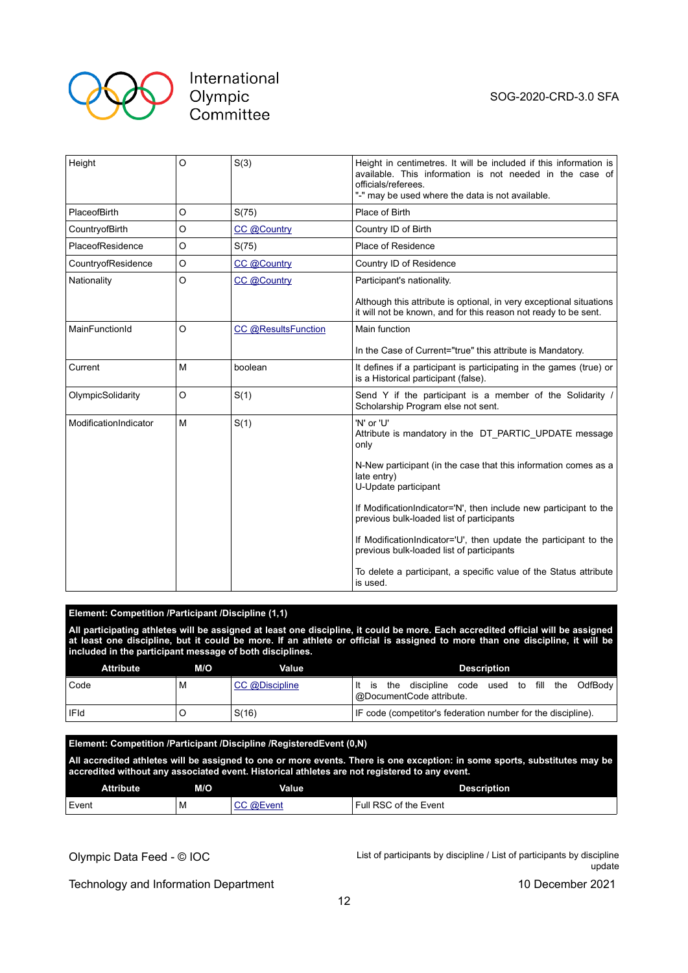

#### SOG-2020-CRD-3.0 SFA

| Height                | $\Omega$ | S(3)                | Height in centimetres. It will be included if this information is<br>available. This information is not needed in the case of<br>officials/referees.<br>"-" may be used where the data is not available. |
|-----------------------|----------|---------------------|----------------------------------------------------------------------------------------------------------------------------------------------------------------------------------------------------------|
| PlaceofBirth          | $\circ$  | S(75)               | Place of Birth                                                                                                                                                                                           |
| CountryofBirth        | O        | CC @Country         | Country ID of Birth                                                                                                                                                                                      |
| PlaceofResidence      | O        | S(75)               | Place of Residence                                                                                                                                                                                       |
| CountryofResidence    | O        | CC @Country         | Country ID of Residence                                                                                                                                                                                  |
| Nationality           | $\circ$  | CC @Country         | Participant's nationality.                                                                                                                                                                               |
|                       |          |                     | Although this attribute is optional, in very exceptional situations<br>it will not be known, and for this reason not ready to be sent.                                                                   |
| MainFunctionId        | $\Omega$ | CC @ResultsFunction | Main function                                                                                                                                                                                            |
|                       |          |                     | In the Case of Current="true" this attribute is Mandatory.                                                                                                                                               |
| Current               | M        | boolean             | It defines if a participant is participating in the games (true) or<br>is a Historical participant (false).                                                                                              |
| OlympicSolidarity     | $\circ$  | S(1)                | Send Y if the participant is a member of the Solidarity /<br>Scholarship Program else not sent.                                                                                                          |
| ModificationIndicator | M        | S(1)                | 'N' or 'U'<br>Attribute is mandatory in the DT PARTIC UPDATE message<br>only                                                                                                                             |
|                       |          |                     | N-New participant (in the case that this information comes as a<br>late entry)<br>U-Update participant                                                                                                   |
|                       |          |                     | If Modification Indicator='N', then include new participant to the<br>previous bulk-loaded list of participants                                                                                          |
|                       |          |                     | If ModificationIndicator='U', then update the participant to the<br>previous bulk-loaded list of participants                                                                                            |
|                       |          |                     | To delete a participant, a specific value of the Status attribute<br>is used.                                                                                                                            |

#### <span id="page-11-1"></span>**Element: Competition /Participant /Discipline (1,1)**

**All participating athletes will be assigned at least one discipline, it could be more. Each accredited official will be assigned at least one discipline, but it could be more. If an athlete or official is assigned to more than one discipline, it will be included in the participant message of both disciplines.**

| <b>Attribute</b> | M/O | Value          | <b>Description</b>                                                                |
|------------------|-----|----------------|-----------------------------------------------------------------------------------|
| Code             | M   | CC @Discipline | the discipline code used to fill the OdfBody<br>lt is<br>@DocumentCode attribute. |
| <b>IFId</b>      |     | S(16)          | IF code (competitor's federation number for the discipline).                      |

#### <span id="page-11-0"></span>**Element: Competition /Participant /Discipline /RegisteredEvent (0,N)**

**All accredited athletes will be assigned to one or more events. There is one exception: in some sports, substitutes may be accredited without any associated event. Historical athletes are not registered to any event.**

| <b>Attribute</b> | M/O | <b>Value</b> | <b>Description</b> |
|------------------|-----|--------------|--------------------|
| Event            | M   | ~~           | RSC of the Event   |
|                  |     | @Event       | ull:               |

Olympic Data Feed - © IOC List of participants by discipline / List of participants by discipline update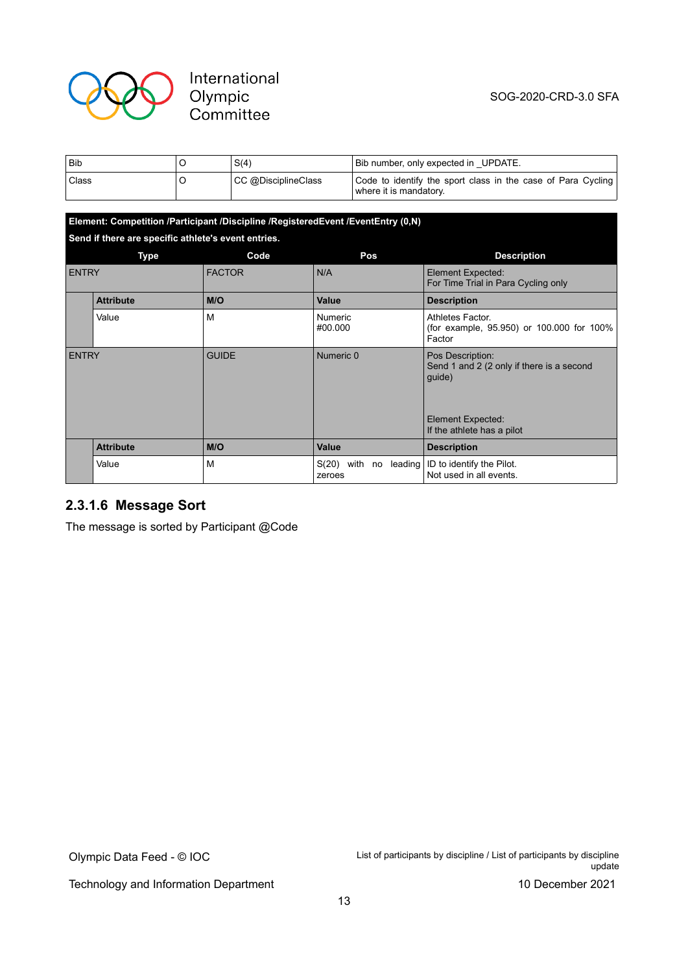

| Bib   | S(4)                | Bib number, only expected in UPDATE.                                                   |
|-------|---------------------|----------------------------------------------------------------------------------------|
| Class | CC @DisciplineClass | Code to identify the sport class in the case of Para Cycling<br>where it is mandatory. |

<span id="page-12-1"></span>

|              | Element: Competition /Participant /Discipline /RegisteredEvent /EventEntry (0,N) |               |                                 |                                                                                              |  |
|--------------|----------------------------------------------------------------------------------|---------------|---------------------------------|----------------------------------------------------------------------------------------------|--|
|              | Send if there are specific athlete's event entries.                              |               |                                 |                                                                                              |  |
|              | Type                                                                             | Code          | Pos                             | <b>Description</b>                                                                           |  |
| <b>ENTRY</b> |                                                                                  | <b>FACTOR</b> | N/A                             | <b>Element Expected:</b><br>For Time Trial in Para Cycling only                              |  |
|              | <b>Attribute</b>                                                                 | M/O           | <b>Value</b>                    | <b>Description</b>                                                                           |  |
|              | Value                                                                            | м             | <b>Numeric</b><br>#00.000       | Athletes Factor.<br>(for example, 95.950) or 100.000 for 100%<br>Factor                      |  |
| <b>ENTRY</b> |                                                                                  | <b>GUIDE</b>  | Numeric 0                       | Pos Description:<br>Send 1 and 2 (2 only if there is a second<br>guide)<br>Element Expected: |  |
|              |                                                                                  |               |                                 | If the athlete has a pilot                                                                   |  |
|              | <b>Attribute</b>                                                                 | M/O           | <b>Value</b>                    | <b>Description</b>                                                                           |  |
|              | Value                                                                            | м             | S(20) with no leading<br>zeroes | ID to identify the Pilot.<br>Not used in all events.                                         |  |

## <span id="page-12-0"></span>**2.3.1.6 Message Sort**

The message is sorted by Participant @Code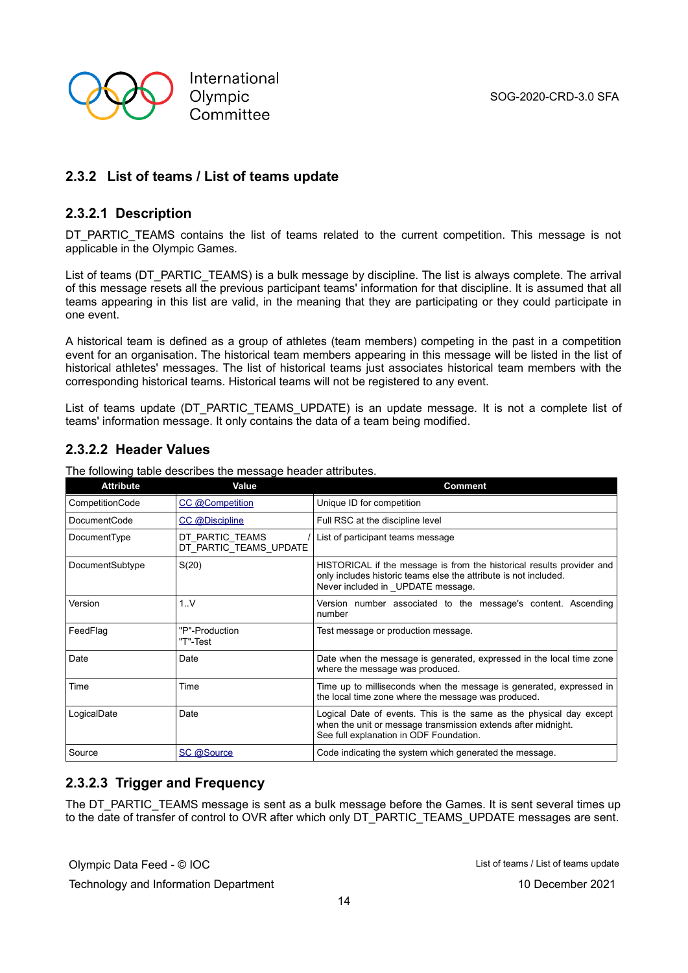

## <span id="page-13-3"></span>**2.3.2 List of teams / List of teams update**

#### <span id="page-13-2"></span>**2.3.2.1 Description**

DT\_PARTIC\_TEAMS contains the list of teams related to the current competition. This message is not applicable in the Olympic Games.

List of teams (DT\_PARTIC\_TEAMS) is a bulk message by discipline. The list is always complete. The arrival of this message resets all the previous participant teams' information for that discipline. It is assumed that all teams appearing in this list are valid, in the meaning that they are participating or they could participate in one event.

A historical team is defined as a group of athletes (team members) competing in the past in a competition event for an organisation. The historical team members appearing in this message will be listed in the list of historical athletes' messages. The list of historical teams just associates historical team members with the corresponding historical teams. Historical teams will not be registered to any event.

List of teams update (DT\_PARTIC\_TEAMS\_UPDATE) is an update message. It is not a complete list of teams' information message. It only contains the data of a team being modified.

## <span id="page-13-1"></span>**2.3.2.2 Header Values**

| <b>Attribute</b> | Value                                     | <b>Comment</b>                                                                                                                                                                  |
|------------------|-------------------------------------------|---------------------------------------------------------------------------------------------------------------------------------------------------------------------------------|
| CompetitionCode  | CC @Competition                           | Unique ID for competition                                                                                                                                                       |
| DocumentCode     | CC @Discipline                            | Full RSC at the discipline level                                                                                                                                                |
| DocumentType     | DT PARTIC TEAMS<br>DT PARTIC TEAMS UPDATE | List of participant teams message                                                                                                                                               |
| DocumentSubtype  | S(20)                                     | HISTORICAL if the message is from the historical results provider and<br>only includes historic teams else the attribute is not included.<br>Never included in _UPDATE message. |
| Version          | 1.1V                                      | Version number associated to the message's content. Ascending<br>number                                                                                                         |
| FeedFlag         | "P"-Production<br>"T"-Test                | Test message or production message.                                                                                                                                             |
| Date             | Date                                      | Date when the message is generated, expressed in the local time zone<br>where the message was produced.                                                                         |
| Time             | Time                                      | Time up to milliseconds when the message is generated, expressed in<br>the local time zone where the message was produced.                                                      |
| LogicalDate      | Date                                      | Logical Date of events. This is the same as the physical day except<br>when the unit or message transmission extends after midnight.<br>See full explanation in ODF Foundation. |
| Source           | SC @Source                                | Code indicating the system which generated the message.                                                                                                                         |

The following table describes the message header attributes.

## <span id="page-13-0"></span>**2.3.2.3 Trigger and Frequency**

The DT\_PARTIC\_TEAMS message is sent as a bulk message before the Games. It is sent several times up to the date of transfer of control to OVR after which only DT\_PARTIC\_TEAMS\_UPDATE messages are sent.

Olympic Data Feed - © IOC <br>
Colympic Data Feed - © IOC List of teams update Technology and Information Department 10 December 2021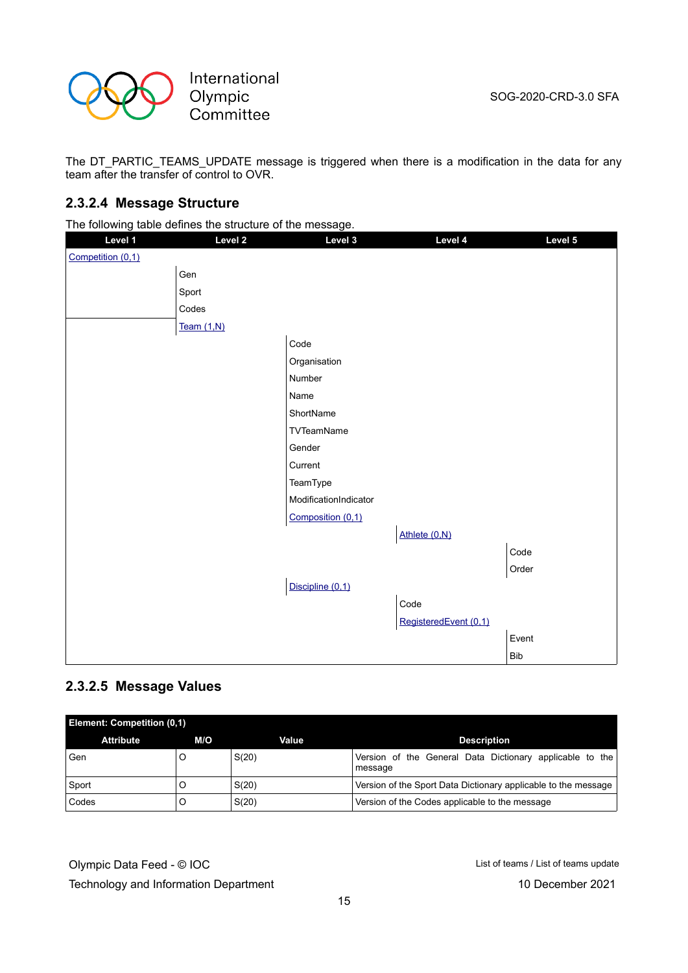

The DT\_PARTIC\_TEAMS\_UPDATE message is triggered when there is a modification in the data for any team after the transfer of control to OVR.

## <span id="page-14-1"></span>**2.3.2.4 Message Structure**

The following table defines the structure of the message.

| Level 1           | Level 2      | Level 3               | Level 4               | Level 5    |
|-------------------|--------------|-----------------------|-----------------------|------------|
| Competition (0,1) |              |                       |                       |            |
|                   | Gen          |                       |                       |            |
|                   | Sport        |                       |                       |            |
|                   | Codes        |                       |                       |            |
|                   | Team $(1,N)$ |                       |                       |            |
|                   |              | Code                  |                       |            |
|                   |              | Organisation          |                       |            |
|                   |              | Number                |                       |            |
|                   |              | Name                  |                       |            |
|                   |              | ShortName             |                       |            |
|                   |              | TVTeamName            |                       |            |
|                   |              | Gender                |                       |            |
|                   |              | Current               |                       |            |
|                   |              | TeamType              |                       |            |
|                   |              | ModificationIndicator |                       |            |
|                   |              | Composition (0,1)     |                       |            |
|                   |              |                       | Athlete (0,N)         |            |
|                   |              |                       |                       | Code       |
|                   |              |                       |                       | Order      |
|                   |              | Discipline (0,1)      |                       |            |
|                   |              |                       | Code                  |            |
|                   |              |                       | RegisteredEvent (0,1) |            |
|                   |              |                       |                       | Event      |
|                   |              |                       |                       | <b>Bib</b> |

## <span id="page-14-0"></span>**2.3.2.5 Message Values**

<span id="page-14-3"></span>

| <b>Element: Competition (0.1)</b> |     |       |                                                                     |  |  |
|-----------------------------------|-----|-------|---------------------------------------------------------------------|--|--|
| <b>Attribute</b>                  | M/O | Value | <b>Description</b>                                                  |  |  |
| Gen                               |     | S(20) | Version of the General Data Dictionary applicable to the<br>message |  |  |
| Sport                             |     | S(20) | Version of the Sport Data Dictionary applicable to the message      |  |  |
| Codes                             |     | S(20) | Version of the Codes applicable to the message                      |  |  |

<span id="page-14-2"></span>Olympic Data Feed - © IOC <br>
Colympic Data Feed - © IOC List of teams update Technology and Information Department 10 December 2021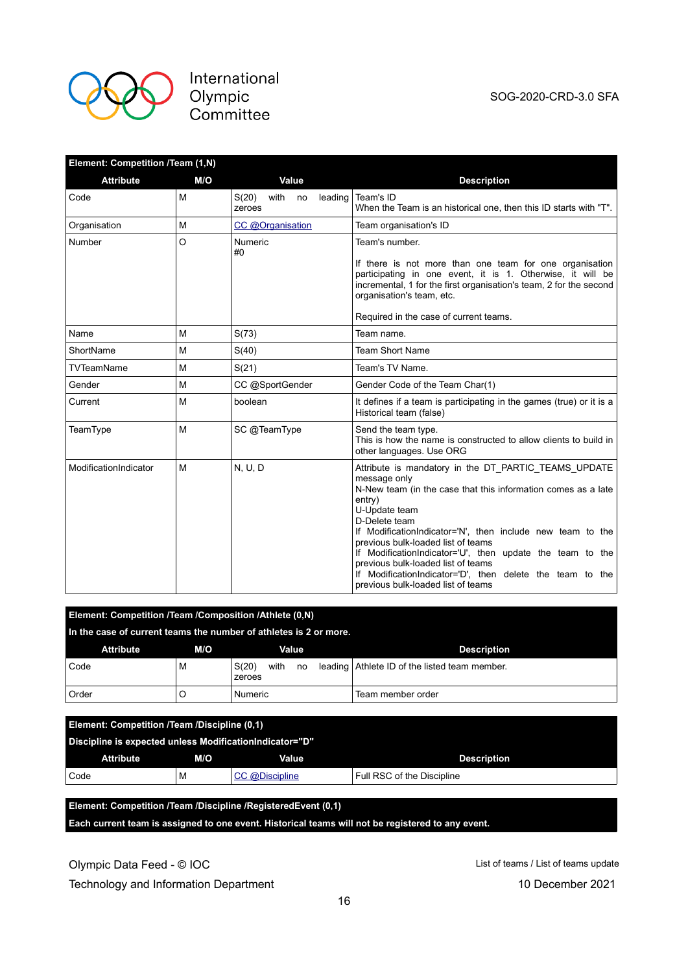

#### SOG-2020-CRD-3.0 SFA

| Element: Competition /Team (1,N) |     |                                          |                                                                                                                                                                                                                                                                                                                                                                                                                                                                                             |  |
|----------------------------------|-----|------------------------------------------|---------------------------------------------------------------------------------------------------------------------------------------------------------------------------------------------------------------------------------------------------------------------------------------------------------------------------------------------------------------------------------------------------------------------------------------------------------------------------------------------|--|
| <b>Attribute</b>                 | M/O | Value                                    | <b>Description</b>                                                                                                                                                                                                                                                                                                                                                                                                                                                                          |  |
| Code                             | М   | S(20)<br>with<br>leading<br>no<br>zeroes | Team's ID<br>When the Team is an historical one, then this ID starts with "T".                                                                                                                                                                                                                                                                                                                                                                                                              |  |
| Organisation                     | М   | CC @Organisation                         | Team organisation's ID                                                                                                                                                                                                                                                                                                                                                                                                                                                                      |  |
| Number                           | O   | Numeric<br>#0                            | Team's number.<br>If there is not more than one team for one organisation<br>participating in one event, it is 1. Otherwise, it will be<br>incremental, 1 for the first organisation's team, 2 for the second<br>organisation's team, etc.<br>Required in the case of current teams.                                                                                                                                                                                                        |  |
| Name                             | М   | S(73)                                    | Team name.                                                                                                                                                                                                                                                                                                                                                                                                                                                                                  |  |
| ShortName                        | М   | S(40)                                    | <b>Team Short Name</b>                                                                                                                                                                                                                                                                                                                                                                                                                                                                      |  |
| <b>TVTeamName</b>                | М   | S(21)                                    | Team's TV Name.                                                                                                                                                                                                                                                                                                                                                                                                                                                                             |  |
| Gender                           | М   | CC @SportGender                          | Gender Code of the Team Char(1)                                                                                                                                                                                                                                                                                                                                                                                                                                                             |  |
| Current                          | M   | boolean                                  | It defines if a team is participating in the games (true) or it is a<br>Historical team (false)                                                                                                                                                                                                                                                                                                                                                                                             |  |
| TeamType                         | M   | SC @TeamType                             | Send the team type.<br>This is how the name is constructed to allow clients to build in<br>other languages. Use ORG                                                                                                                                                                                                                                                                                                                                                                         |  |
| ModificationIndicator            | M   | N, U, D                                  | Attribute is mandatory in the DT PARTIC TEAMS UPDATE<br>message only<br>N-New team (in the case that this information comes as a late<br>entry)<br>U-Update team<br>D-Delete team<br>If ModificationIndicator='N', then include new team to the<br>previous bulk-loaded list of teams<br>If ModificationIndicator='U', then update the team to the<br>previous bulk-loaded list of teams<br>If ModificationIndicator='D', then delete the team to the<br>previous bulk-loaded list of teams |  |

<span id="page-15-2"></span>

| Element: Competition /Team /Composition /Athlete (0,N)            |     |                               |                                               |  |  |
|-------------------------------------------------------------------|-----|-------------------------------|-----------------------------------------------|--|--|
| In the case of current teams the number of athletes is 2 or more. |     |                               |                                               |  |  |
| <b>Attribute</b>                                                  | M/O | Value                         | <b>Description</b>                            |  |  |
| Code                                                              | M   | S(20)<br>with<br>no<br>zeroes | leading Athlete ID of the listed team member. |  |  |
| Order                                                             |     | <b>Numeric</b>                | Team member order                             |  |  |

<span id="page-15-1"></span>

| <b>Element: Competition /Team /Discipline (0.1)</b>      |     |                |                            |  |
|----------------------------------------------------------|-----|----------------|----------------------------|--|
| Discipline is expected unless Modification Indicator="D" |     |                |                            |  |
| Attribute                                                | M/O | Value          | <b>Description</b>         |  |
| Code                                                     | м   | CC @Discipline | Full RSC of the Discipline |  |

<span id="page-15-0"></span>**Element: Competition /Team /Discipline /RegisteredEvent (0,1)**

**Each current team is assigned to one event. Historical teams will not be registered to any event.**

Olympic Data Feed - © IOC **List of teams / List of teams / List of teams update**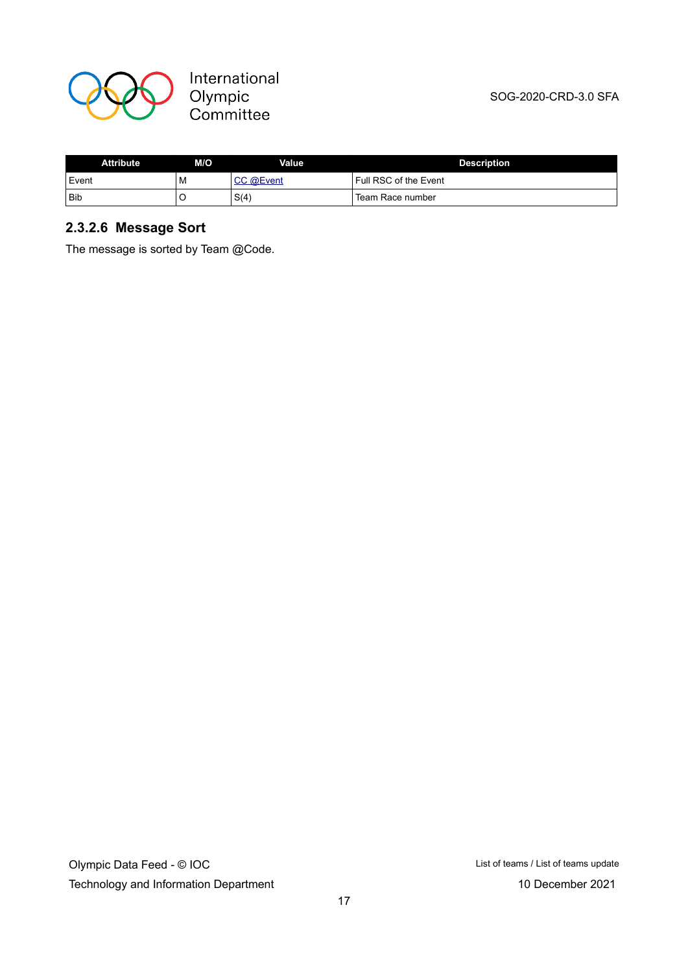

| <b>Attribute</b> | M/O        | Value     | <b>Description</b>    |
|------------------|------------|-----------|-----------------------|
| Event            | <b>IVI</b> | CC @Event | Full RSC of the Event |
| <b>Bib</b>       |            | S(4)      | Team Race number      |

## <span id="page-16-0"></span>**2.3.2.6 Message Sort**

The message is sorted by Team @Code.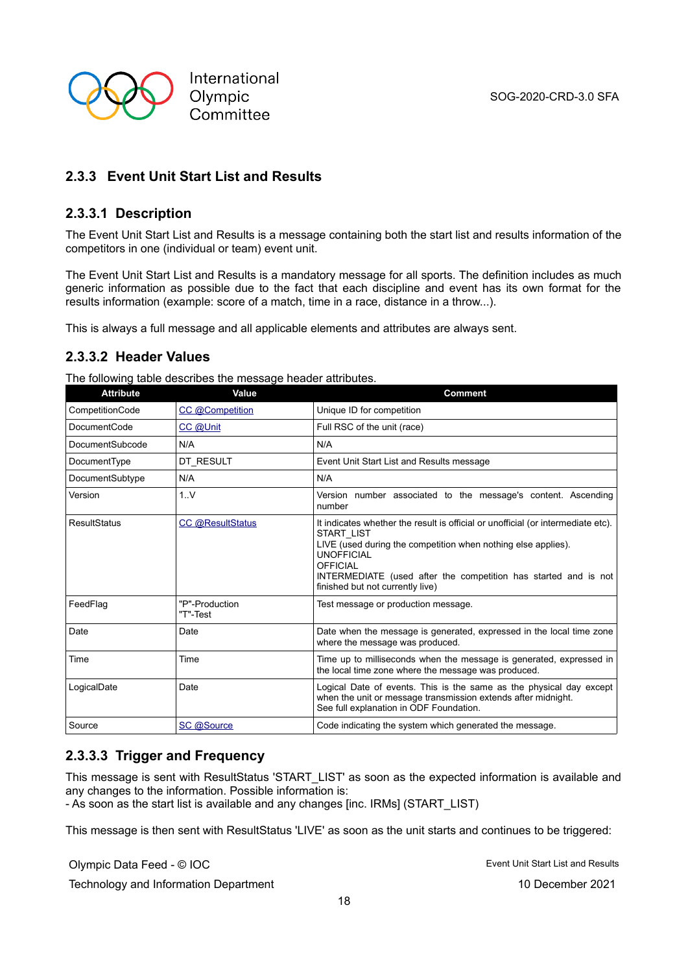

## <span id="page-17-3"></span>**2.3.3 Event Unit Start List and Results**

#### <span id="page-17-2"></span>**2.3.3.1 Description**

The Event Unit Start List and Results is a message containing both the start list and results information of the competitors in one (individual or team) event unit.

The Event Unit Start List and Results is a mandatory message for all sports. The definition includes as much generic information as possible due to the fact that each discipline and event has its own format for the results information (example: score of a match, time in a race, distance in a throw...).

This is always a full message and all applicable elements and attributes are always sent.

#### <span id="page-17-1"></span>**2.3.3.2 Header Values**

The following table describes the message header attributes.

| <b>Attribute</b>       | Value                      | <b>Comment</b>                                                                                                                                                                                                                                                                                                        |
|------------------------|----------------------------|-----------------------------------------------------------------------------------------------------------------------------------------------------------------------------------------------------------------------------------------------------------------------------------------------------------------------|
| CompetitionCode        | CC @Competition            | Unique ID for competition                                                                                                                                                                                                                                                                                             |
| <b>DocumentCode</b>    | CC @Unit                   | Full RSC of the unit (race)                                                                                                                                                                                                                                                                                           |
| <b>DocumentSubcode</b> | N/A                        | N/A                                                                                                                                                                                                                                                                                                                   |
| DocumentType           | DT RESULT                  | Event Unit Start List and Results message                                                                                                                                                                                                                                                                             |
| DocumentSubtype        | N/A                        | N/A                                                                                                                                                                                                                                                                                                                   |
| Version                | 1.1V                       | Version number associated to the message's content. Ascending<br>number                                                                                                                                                                                                                                               |
| <b>ResultStatus</b>    | CC @ResultStatus           | It indicates whether the result is official or unofficial (or intermediate etc).<br><b>START LIST</b><br>LIVE (used during the competition when nothing else applies).<br><b>UNOFFICIAL</b><br><b>OFFICIAL</b><br>INTERMEDIATE (used after the competition has started and is not<br>finished but not currently live) |
| FeedFlag               | "P"-Production<br>"T"-Test | Test message or production message.                                                                                                                                                                                                                                                                                   |
| Date                   | Date                       | Date when the message is generated, expressed in the local time zone<br>where the message was produced.                                                                                                                                                                                                               |
| Time                   | Time                       | Time up to milliseconds when the message is generated, expressed in<br>the local time zone where the message was produced.                                                                                                                                                                                            |
| LogicalDate            | Date                       | Logical Date of events. This is the same as the physical day except<br>when the unit or message transmission extends after midnight.<br>See full explanation in ODF Foundation.                                                                                                                                       |
| Source                 | SC @Source                 | Code indicating the system which generated the message.                                                                                                                                                                                                                                                               |

## <span id="page-17-0"></span>**2.3.3.3 Trigger and Frequency**

This message is sent with ResultStatus 'START\_LIST' as soon as the expected information is available and any changes to the information. Possible information is:

- As soon as the start list is available and any changes [inc. IRMs] (START\_LIST)

This message is then sent with ResultStatus 'LIVE' as soon as the unit starts and continues to be triggered:

Olympic Data Feed - © IOC **Event Unit Start List and Results**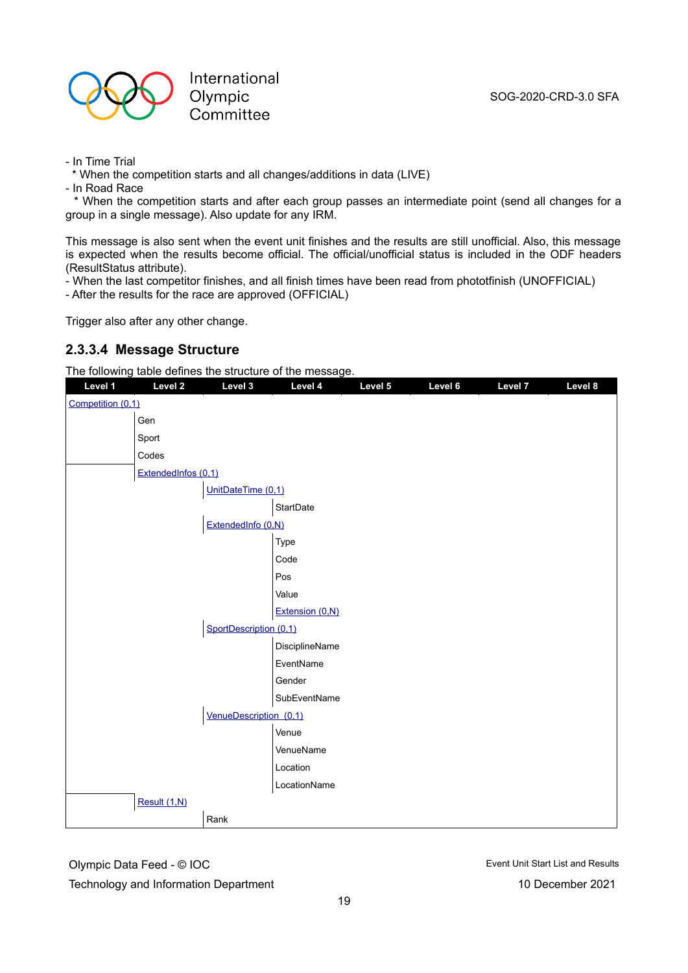

- In Time Trial

\* When the competition starts and all changes/additions in data (LIVE)

- In Road Race

 \* When the competition starts and after each group passes an intermediate point (send all changes for a group in a single message). Also update for any IRM.

This message is also sent when the event unit finishes and the results are still unofficial. Also, this message is expected when the results become official. The official/unofficial status is included in the ODF headers (ResultStatus attribute).

- When the last competitor finishes, and all finish times have been read from phototfinish (UNOFFICIAL)

- After the results for the race are approved (OFFICIAL)

Trigger also after any other change.

## <span id="page-18-0"></span>**2.3.3.4 Message Structure**

The following table defines the structure of the message.



Olympic Data Feed - © IOC **Event Unit Start List and Results** Technology and Information Department 10 December 2021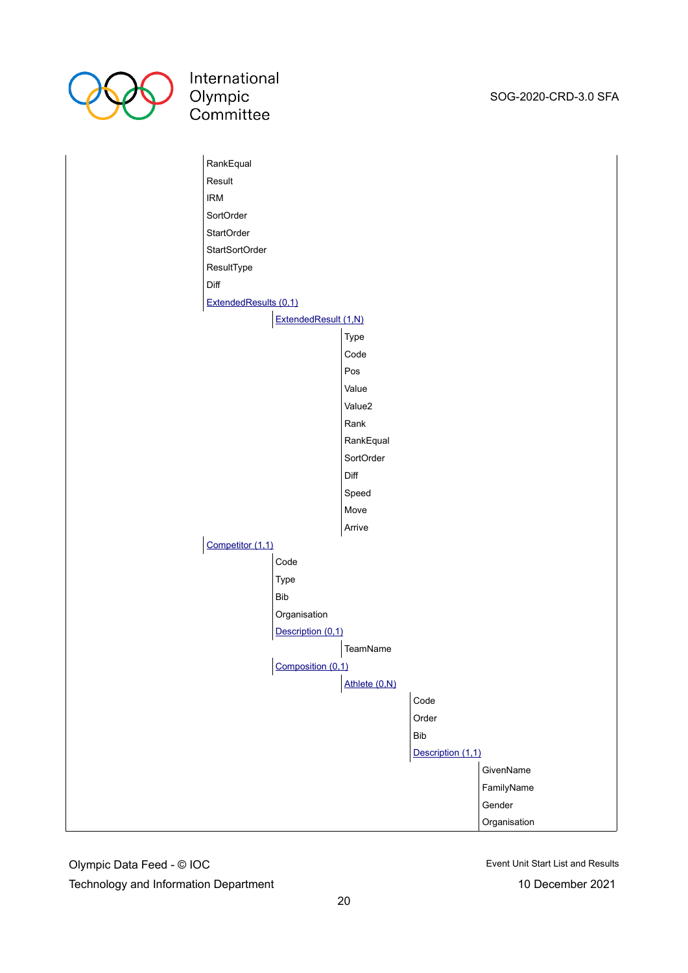



Olympic Data Feed - © IOC **Example 2018** Event Unit Start List and Results Technology and Information Department 10 December 2021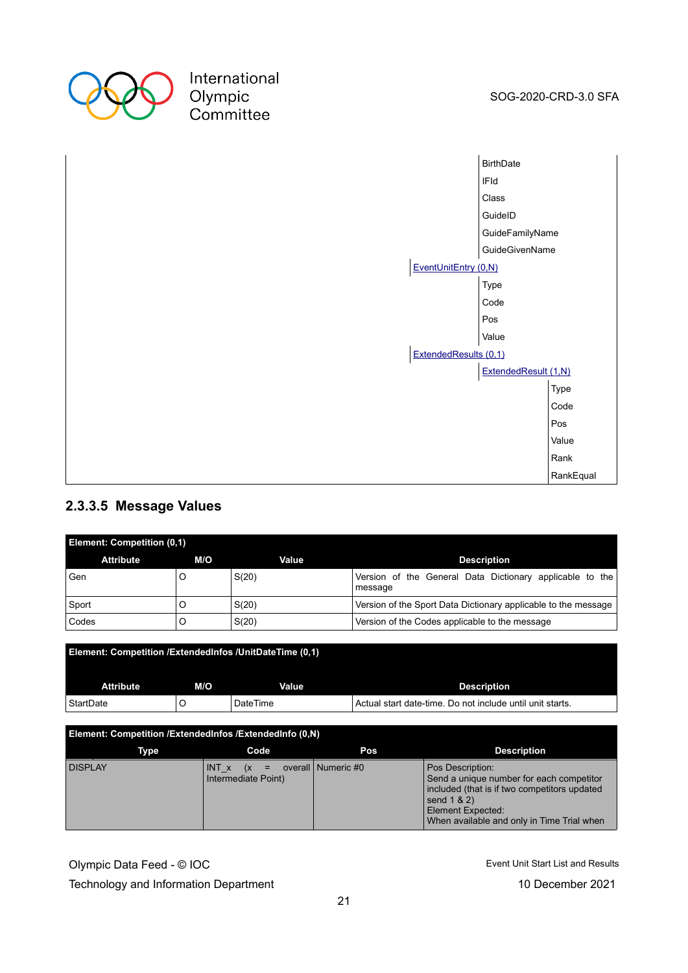

|                       | <b>BirthDate</b>     |           |  |
|-----------------------|----------------------|-----------|--|
|                       | IFId                 |           |  |
|                       | Class                |           |  |
|                       | GuidelD              |           |  |
|                       | GuideFamilyName      |           |  |
|                       | GuideGivenName       |           |  |
| EventUnitEntry (0,N)  |                      |           |  |
|                       | Type                 |           |  |
|                       | Code                 |           |  |
|                       | Pos                  |           |  |
|                       | Value                |           |  |
| ExtendedResults (0,1) |                      |           |  |
|                       | ExtendedResult (1,N) |           |  |
|                       |                      | Type      |  |
|                       |                      | Code      |  |
|                       |                      | Pos       |  |
|                       |                      | Value     |  |
|                       |                      | Rank      |  |
|                       |                      | RankEqual |  |

## <span id="page-20-0"></span>**2.3.3.5 Message Values**

<span id="page-20-3"></span>

| <b>Element: Competition (0,1)</b> |     |       |                                                                     |
|-----------------------------------|-----|-------|---------------------------------------------------------------------|
| <b>Attribute</b>                  | M/O | Value | <b>Description</b>                                                  |
| Gen                               |     | S(20) | Version of the General Data Dictionary applicable to the<br>message |
| Sport                             |     | S(20) | Version of the Sport Data Dictionary applicable to the message      |
| Codes                             |     | S(20) | Version of the Codes applicable to the message                      |

<span id="page-20-2"></span>

| <b>Element: Competition /ExtendedInfos /UnitDateTime (0.1)</b> |     |          |                                                           |
|----------------------------------------------------------------|-----|----------|-----------------------------------------------------------|
| <b>Attribute</b>                                               | M/O | Value    | <b>Description</b>                                        |
| StartDate                                                      |     | DateTime | Actual start date-time. Do not include until unit starts. |

<span id="page-20-1"></span>

| Element: Competition /ExtendedInfos /ExtendedInfo (0,N) |                                           |                      |                                                                                                                                                                                                       |
|---------------------------------------------------------|-------------------------------------------|----------------------|-------------------------------------------------------------------------------------------------------------------------------------------------------------------------------------------------------|
| Type                                                    | Code                                      | Pos                  | <b>Description</b>                                                                                                                                                                                    |
| <b>DISPLAY</b>                                          | $=$<br>INT x<br>(x<br>Intermediate Point) | overall   Numeric #0 | Pos Description:<br>Send a unique number for each competitor<br>included (that is if two competitors updated<br>send 1 & 2)<br><b>Element Expected:</b><br>When available and only in Time Trial when |

Olympic Data Feed - © IOC **Example 2018** Event Unit Start List and Results Technology and Information Department 10 December 2021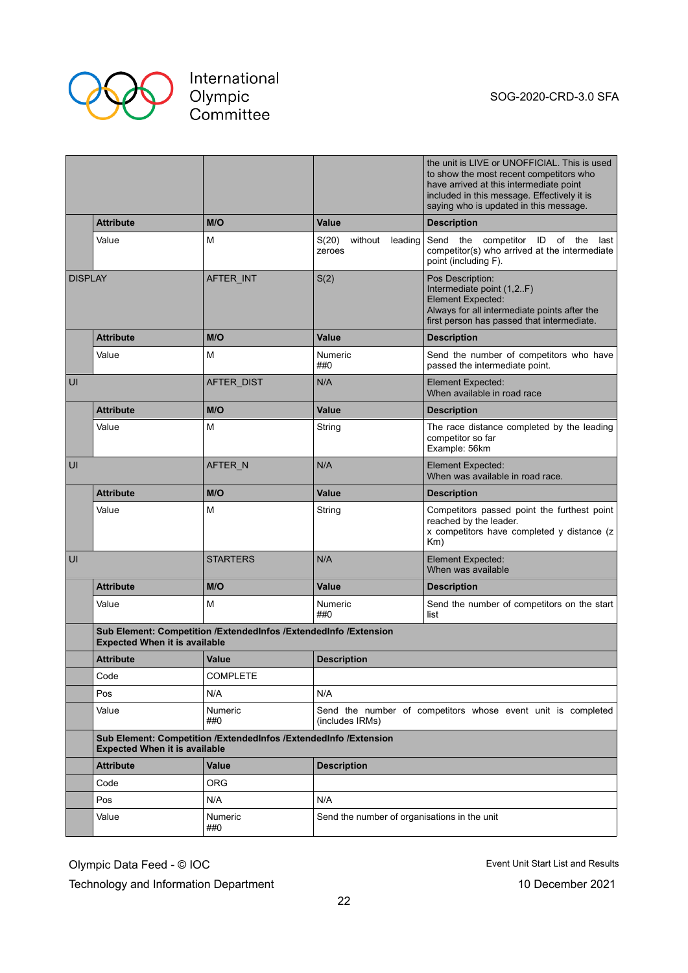

|                |                                                                                                          |                                                                  |                                                                                 | the unit is LIVE or UNOFFICIAL. This is used<br>to show the most recent competitors who<br>have arrived at this intermediate point<br>included in this message. Effectively it is |  |
|----------------|----------------------------------------------------------------------------------------------------------|------------------------------------------------------------------|---------------------------------------------------------------------------------|-----------------------------------------------------------------------------------------------------------------------------------------------------------------------------------|--|
|                |                                                                                                          |                                                                  |                                                                                 | saying who is updated in this message.                                                                                                                                            |  |
|                | <b>Attribute</b>                                                                                         | M/O                                                              | <b>Value</b>                                                                    | <b>Description</b>                                                                                                                                                                |  |
|                | Value                                                                                                    | М                                                                | S(20)<br>without leading<br>zeroes                                              | Send the<br>competitor<br>ID of the<br>last<br>competitor(s) who arrived at the intermediate<br>point (including F).                                                              |  |
| <b>DISPLAY</b> |                                                                                                          | AFTER INT                                                        | S(2)                                                                            | Pos Description:<br>Intermediate point (1,2F)<br><b>Element Expected:</b><br>Always for all intermediate points after the<br>first person has passed that intermediate.           |  |
|                | <b>Attribute</b>                                                                                         | M/O                                                              | <b>Value</b>                                                                    | <b>Description</b>                                                                                                                                                                |  |
|                | Value                                                                                                    | M                                                                | Numeric<br>##0                                                                  | Send the number of competitors who have<br>passed the intermediate point.                                                                                                         |  |
| UI             |                                                                                                          | AFTER_DIST                                                       | N/A                                                                             | Element Expected:<br>When available in road race                                                                                                                                  |  |
|                | <b>Attribute</b>                                                                                         | M/O                                                              | <b>Value</b>                                                                    | <b>Description</b>                                                                                                                                                                |  |
|                | Value                                                                                                    | M                                                                | String                                                                          | The race distance completed by the leading<br>competitor so far<br>Example: 56km                                                                                                  |  |
| UI             |                                                                                                          | AFTER N                                                          | N/A                                                                             | <b>Element Expected:</b><br>When was available in road race.                                                                                                                      |  |
|                | <b>Attribute</b>                                                                                         | M/O                                                              | <b>Value</b>                                                                    | <b>Description</b>                                                                                                                                                                |  |
|                | Value                                                                                                    | M                                                                | String                                                                          | Competitors passed point the furthest point<br>reached by the leader.<br>x competitors have completed y distance (z<br>Km)                                                        |  |
| UI             |                                                                                                          | <b>STARTERS</b>                                                  | N/A                                                                             | <b>Element Expected:</b><br>When was available                                                                                                                                    |  |
|                | <b>Attribute</b>                                                                                         | M/O                                                              | <b>Value</b>                                                                    | <b>Description</b>                                                                                                                                                                |  |
|                | Value                                                                                                    | M                                                                | Numeric<br>##0                                                                  | Send the number of competitors on the start<br>list                                                                                                                               |  |
|                | <b>Expected When it is available</b>                                                                     | Sub Element: Competition /ExtendedInfos /ExtendedInfo /Extension |                                                                                 |                                                                                                                                                                                   |  |
|                | Attribute                                                                                                | <b>Value</b>                                                     | <b>Description</b>                                                              |                                                                                                                                                                                   |  |
|                | Code                                                                                                     | <b>COMPLETE</b>                                                  |                                                                                 |                                                                                                                                                                                   |  |
|                | Pos                                                                                                      | N/A                                                              | N/A                                                                             |                                                                                                                                                                                   |  |
|                | Value                                                                                                    | Numeric<br>##0                                                   | Send the number of competitors whose event unit is completed<br>(includes IRMs) |                                                                                                                                                                                   |  |
|                | Sub Element: Competition /ExtendedInfos /ExtendedInfo /Extension<br><b>Expected When it is available</b> |                                                                  |                                                                                 |                                                                                                                                                                                   |  |
|                | <b>Attribute</b>                                                                                         | Value                                                            | <b>Description</b>                                                              |                                                                                                                                                                                   |  |
|                | Code                                                                                                     | <b>ORG</b>                                                       |                                                                                 |                                                                                                                                                                                   |  |
|                | Pos                                                                                                      | N/A                                                              | N/A                                                                             |                                                                                                                                                                                   |  |
|                | Value                                                                                                    | Numeric<br>##0                                                   | Send the number of organisations in the unit                                    |                                                                                                                                                                                   |  |

Olympic Data Feed - © IOC **Example 2018** Event Unit Start List and Results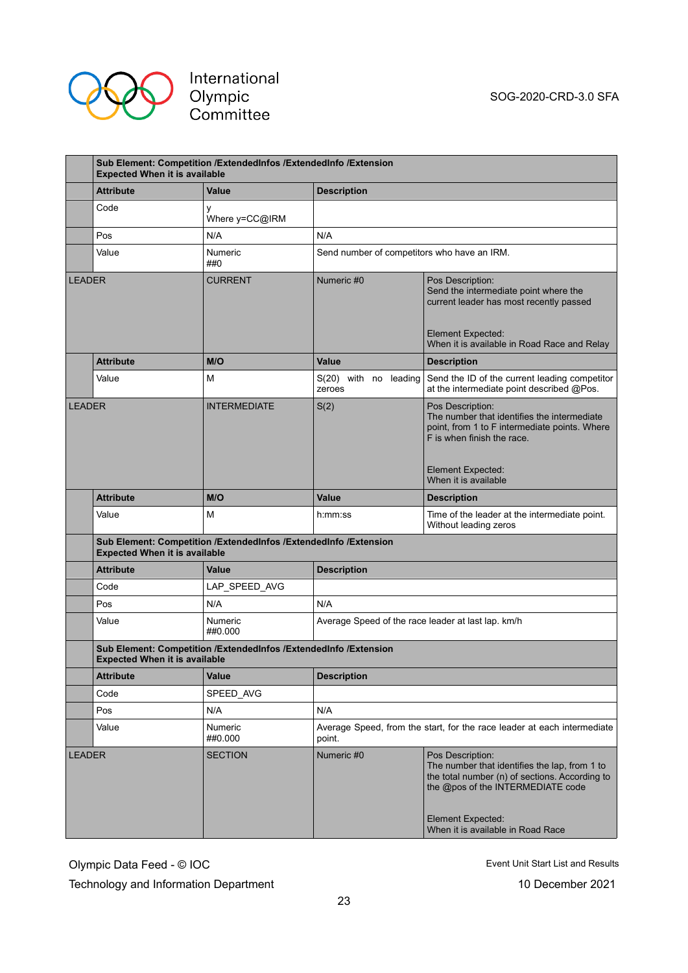

|               | Sub Element: Competition /ExtendedInfos /ExtendedInfo /Extension<br><b>Expected When it is available</b> |                                                                  |                                                    |                                                                                                                                                                                                                           |  |
|---------------|----------------------------------------------------------------------------------------------------------|------------------------------------------------------------------|----------------------------------------------------|---------------------------------------------------------------------------------------------------------------------------------------------------------------------------------------------------------------------------|--|
|               | <b>Attribute</b>                                                                                         | <b>Value</b>                                                     | <b>Description</b>                                 |                                                                                                                                                                                                                           |  |
|               | Code                                                                                                     | y<br>Where y=CC@IRM                                              |                                                    |                                                                                                                                                                                                                           |  |
|               | Pos                                                                                                      | N/A                                                              | N/A                                                |                                                                                                                                                                                                                           |  |
|               | Value                                                                                                    | Numeric<br>##0                                                   | Send number of competitors who have an IRM.        |                                                                                                                                                                                                                           |  |
| <b>LEADER</b> |                                                                                                          | <b>CURRENT</b>                                                   | Numeric #0                                         | Pos Description:<br>Send the intermediate point where the<br>current leader has most recently passed<br>Element Expected:<br>When it is available in Road Race and Relay                                                  |  |
|               | <b>Attribute</b>                                                                                         | M/O                                                              | <b>Value</b>                                       | <b>Description</b>                                                                                                                                                                                                        |  |
|               | Value                                                                                                    | M                                                                | S(20) with no leading<br>zeroes                    | Send the ID of the current leading competitor<br>at the intermediate point described @Pos.                                                                                                                                |  |
| <b>LEADER</b> |                                                                                                          | <b>INTERMEDIATE</b>                                              | S(2)                                               | Pos Description:<br>The number that identifies the intermediate<br>point, from 1 to F intermediate points. Where<br>F is when finish the race.<br>Element Expected:<br>When it is available                               |  |
|               | <b>Attribute</b>                                                                                         | M/O                                                              | <b>Value</b>                                       | <b>Description</b>                                                                                                                                                                                                        |  |
|               | Value                                                                                                    | M                                                                | h:mm:ss                                            | Time of the leader at the intermediate point.<br>Without leading zeros                                                                                                                                                    |  |
|               | <b>Expected When it is available</b>                                                                     | Sub Element: Competition /ExtendedInfos /ExtendedInfo /Extension |                                                    |                                                                                                                                                                                                                           |  |
|               | <b>Attribute</b>                                                                                         | Value                                                            | <b>Description</b>                                 |                                                                                                                                                                                                                           |  |
|               | Code                                                                                                     | LAP_SPEED_AVG                                                    |                                                    |                                                                                                                                                                                                                           |  |
|               | Pos                                                                                                      | N/A                                                              | N/A                                                |                                                                                                                                                                                                                           |  |
|               | Value                                                                                                    | <b>Numeric</b><br>##0.000                                        | Average Speed of the race leader at last lap. km/h |                                                                                                                                                                                                                           |  |
|               | <b>Expected When it is available</b>                                                                     | Sub Element: Competition /ExtendedInfos /ExtendedInfo /Extension |                                                    |                                                                                                                                                                                                                           |  |
|               | <b>Attribute</b>                                                                                         | Value                                                            | <b>Description</b>                                 |                                                                                                                                                                                                                           |  |
|               | Code                                                                                                     | SPEED AVG                                                        |                                                    |                                                                                                                                                                                                                           |  |
|               | Pos                                                                                                      | N/A                                                              | N/A                                                |                                                                                                                                                                                                                           |  |
|               | Value                                                                                                    | Numeric<br>##0.000                                               | point.                                             | Average Speed, from the start, for the race leader at each intermediate                                                                                                                                                   |  |
| <b>LEADER</b> |                                                                                                          | <b>SECTION</b>                                                   | Numeric #0                                         | Pos Description:<br>The number that identifies the lap, from 1 to<br>the total number (n) of sections. According to<br>the @pos of the INTERMEDIATE code<br><b>Element Expected:</b><br>When it is available in Road Race |  |

Olympic Data Feed - © IOC **Example 2018** Event Unit Start List and Results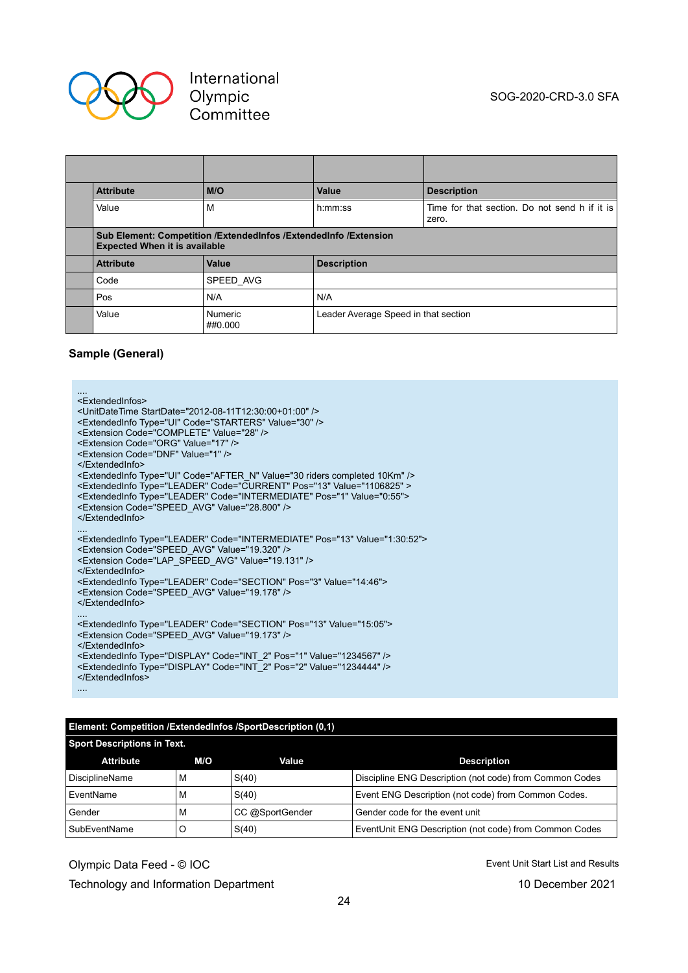

| <b>Attribute</b>                                                                                                | M/O                       | Value                                | <b>Description</b>                                     |
|-----------------------------------------------------------------------------------------------------------------|---------------------------|--------------------------------------|--------------------------------------------------------|
| Value                                                                                                           | м                         | h:mm:ss                              | Time for that section. Do not send h if it is<br>zero. |
| <b>Sub Element: Competition /ExtendedInfos /ExtendedInfo /Extension</b><br><b>Expected When it is available</b> |                           |                                      |                                                        |
| <b>Attribute</b>                                                                                                | Value                     | <b>Description</b>                   |                                                        |
| Code                                                                                                            | SPEED AVG                 |                                      |                                                        |
| Pos                                                                                                             | N/A                       | N/A                                  |                                                        |
| Value                                                                                                           | <b>Numeric</b><br>##0.000 | Leader Average Speed in that section |                                                        |

## **Sample (General)**

| <extendedinfos><br/><unitdatetime startdate="2012-08-11T12:30:00+01:00"></unitdatetime><br/><extendedinfo code="STARTERS" type="UI" value="30"></extendedinfo><br/><extension code="COMPLETE" value="28"></extension><br/><extension code="ORG" value="17"></extension><br/><extension code="DNF" value="1"></extension><br/><math>\le</math>/ExtendedInfo&gt;<br/><extendedinfo code="AFTER_N" type="UI" value="30 riders completed 10Km"></extendedinfo><br/><extendedinfo code="CURRENT" pos="13" type="LEADER" value="1106825"><br/><extendedinfo code="INTERMEDIATE" pos="1" type="LEADER" value="0:55"><br/><extension code="SPEED AVG" value="28.800"></extension><br/></extendedinfo></extendedinfo></extendedinfos> |  |
|------------------------------------------------------------------------------------------------------------------------------------------------------------------------------------------------------------------------------------------------------------------------------------------------------------------------------------------------------------------------------------------------------------------------------------------------------------------------------------------------------------------------------------------------------------------------------------------------------------------------------------------------------------------------------------------------------------------------------|--|
| <extendedinfo code="INTERMEDIATE" pos="13" type="LEADER" value="1:30:52"><br/><extension code="SPEED AVG" value="19.320"></extension><br/><extension code="LAP SPEED AVG" value="19.131"></extension><br/></extendedinfo><br><extendedinfo code="SECTION" pos="3" type="LEADER" value="14:46"><br/><extension code="SPEED AVG" value="19.178"></extension><br/></extendedinfo>                                                                                                                                                                                                                                                                                                                                               |  |
| <extendedinfo code="SECTION" pos="13" type="LEADER" value="15:05"><br/><extension code="SPEED_AVG" value="19.173"></extension><br/><math>\le</math>/ExtendedInfo&gt;<br/><extendedinfo code="INT_2" pos="1" type="DISPLAY" value="1234567"></extendedinfo><br/><extendedinfo code="INT_2" pos="2" type="DISPLAY" value="1234444"></extendedinfo><br/></extendedinfo>                                                                                                                                                                                                                                                                                                                                                         |  |

## <span id="page-23-0"></span>**Element: Competition /ExtendedInfos /SportDescription (0,1)**

| <b>Sport Descriptions in Text.</b> |     |                 |                                                         |  |
|------------------------------------|-----|-----------------|---------------------------------------------------------|--|
| <b>Attribute</b>                   | M/O | Value           | <b>Description</b>                                      |  |
| DisciplineName                     | м   | S(40)           | Discipline ENG Description (not code) from Common Codes |  |
| EventName                          | M   | S(40)           | Event ENG Description (not code) from Common Codes.     |  |
| Gender                             | M   | CC @SportGender | Gender code for the event unit                          |  |
| SubEventName                       |     | S(40)           | EventUnit ENG Description (not code) from Common Codes  |  |

Olympic Data Feed - © IOC **Event Unit Start List and Results**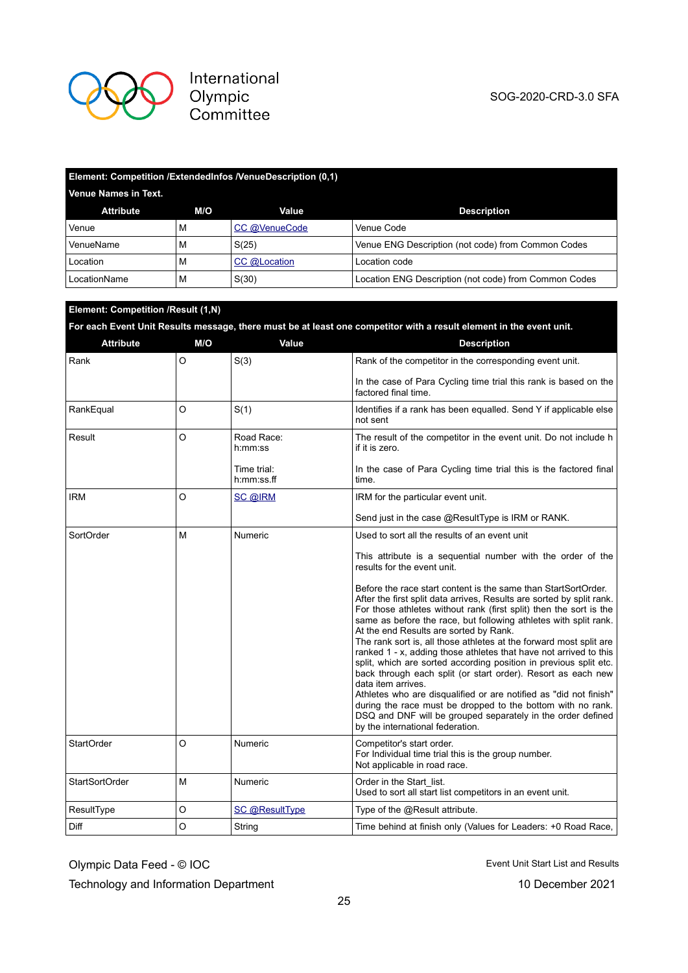

<span id="page-24-1"></span><span id="page-24-0"></span>

|                                    |     | Element: Competition /ExtendedInfos /VenueDescription (0,1) |                                                                                                                                             |
|------------------------------------|-----|-------------------------------------------------------------|---------------------------------------------------------------------------------------------------------------------------------------------|
| Venue Names in Text.               |     |                                                             |                                                                                                                                             |
| <b>Attribute</b>                   | M/O | Value                                                       | <b>Description</b>                                                                                                                          |
| Venue                              | М   | CC @VenueCode                                               | Venue Code                                                                                                                                  |
| VenueName                          | М   | S(25)                                                       | Venue ENG Description (not code) from Common Codes                                                                                          |
| Location                           | М   | CC @Location                                                | Location code                                                                                                                               |
| LocationName                       | м   | S(30)                                                       | Location ENG Description (not code) from Common Codes                                                                                       |
|                                    |     |                                                             |                                                                                                                                             |
| Element: Competition /Result (1,N) |     |                                                             |                                                                                                                                             |
|                                    |     |                                                             | For each Event Unit Results message, there must be at least one competitor with a result element in the event unit.                         |
| <b>Attribute</b>                   | M/O | Value                                                       | <b>Description</b>                                                                                                                          |
| Rank                               | O   | S(3)                                                        | Rank of the competitor in the corresponding event unit.                                                                                     |
|                                    |     |                                                             | In the case of Para Cycling time trial this rank is based on the<br>factored final time.                                                    |
| RankEqual                          | O   | S(1)                                                        | Identifies if a rank has been equalled. Send Y if applicable else<br>not sent                                                               |
| Result                             | O   | Road Race:<br>h:mm:ss                                       | The result of the competitor in the event unit. Do not include h<br>if it is zero.                                                          |
|                                    |     | Time trial:<br>h:mm:ss.ff                                   | In the case of Para Cycling time trial this is the factored final<br>time.                                                                  |
| <b>IRM</b>                         | O   | <u>SC @IRM</u>                                              | IRM for the particular event unit.                                                                                                          |
|                                    |     |                                                             | Send just in the case @ResultType is IRM or RANK.                                                                                           |
| SortOrder                          | М   | Numeric                                                     | Used to sort all the results of an event unit                                                                                               |
|                                    |     |                                                             | This attribute is a sequential number with the order of the                                                                                 |
|                                    |     |                                                             | results for the event unit.                                                                                                                 |
|                                    |     |                                                             | Before the race start content is the same than StartSortOrder.                                                                              |
|                                    |     |                                                             | After the first split data arrives, Results are sorted by split rank.<br>For those athletes without rank (first split) then the sort is the |
|                                    |     |                                                             | same as before the race, but following athletes with split rank.<br>At the end Results are sorted by Rank.                                  |
|                                    |     |                                                             | The rank sort is, all those athletes at the forward most split are                                                                          |
|                                    |     |                                                             | ranked 1 - x, adding those athletes that have not arrived to this<br>split, which are sorted according position in previous split etc.      |
|                                    |     |                                                             | back through each split (or start order). Resort as each new                                                                                |
|                                    |     |                                                             | data item arrives.<br>Athletes who are disqualified or are notified as "did not finish"                                                     |
|                                    |     |                                                             | during the race must be dropped to the bottom with no rank.<br>DSQ and DNF will be grouped separately in the order defined                  |
|                                    |     |                                                             | by the international federation.                                                                                                            |
| StartOrder                         | O   | Numeric                                                     | Competitor's start order.                                                                                                                   |
|                                    |     |                                                             | For Individual time trial this is the group number.<br>Not applicable in road race.                                                         |
| <b>StartSortOrder</b>              | M   | Numeric                                                     | Order in the Start list.<br>Used to sort all start list competitors in an event unit.                                                       |
| ResultType                         | O   | <b>SC @ResultType</b>                                       | Type of the @Result attribute.                                                                                                              |
| Diff                               | O   | String                                                      | Time behind at finish only (Values for Leaders: +0 Road Race,                                                                               |

Olympic Data Feed - © IOC **Example 2018** Event Unit Start List and Results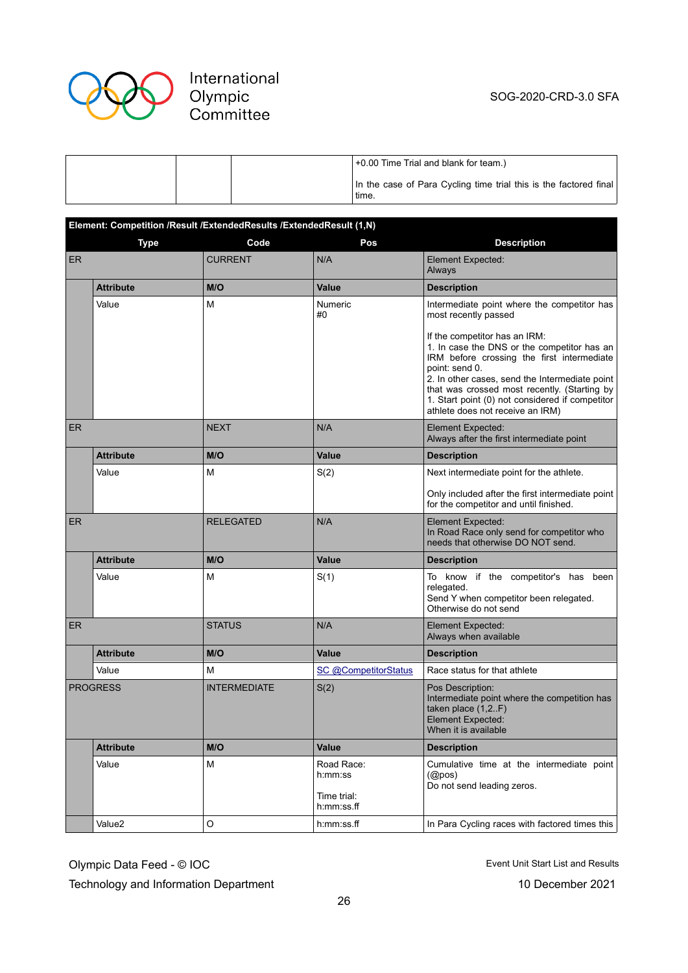

+0.00 Time Trial and blank for team.)

In the case of Para Cycling time trial this is the factored final time.

<span id="page-25-0"></span>

| Element: Competition /Result /ExtendedResults /ExtendedResult (1,N) |                  |                     |                                      |                                                                                                                                                                                                                                                |
|---------------------------------------------------------------------|------------------|---------------------|--------------------------------------|------------------------------------------------------------------------------------------------------------------------------------------------------------------------------------------------------------------------------------------------|
|                                                                     | <b>Type</b>      | Code                | Pos                                  | <b>Description</b>                                                                                                                                                                                                                             |
| ER.                                                                 |                  | <b>CURRENT</b>      | N/A                                  | <b>Element Expected:</b><br>Always                                                                                                                                                                                                             |
|                                                                     | <b>Attribute</b> | M/O                 | <b>Value</b>                         | <b>Description</b>                                                                                                                                                                                                                             |
|                                                                     | Value            | M                   | Numeric<br>#0                        | Intermediate point where the competitor has<br>most recently passed                                                                                                                                                                            |
|                                                                     |                  |                     |                                      | If the competitor has an IRM:<br>1. In case the DNS or the competitor has an<br>IRM before crossing the first intermediate<br>point: send 0.<br>2. In other cases, send the Intermediate point<br>that was crossed most recently. (Starting by |
|                                                                     |                  |                     |                                      | 1. Start point (0) not considered if competitor<br>athlete does not receive an IRM)                                                                                                                                                            |
| <b>ER</b>                                                           |                  | <b>NEXT</b>         | N/A                                  | <b>Element Expected:</b><br>Always after the first intermediate point                                                                                                                                                                          |
|                                                                     | <b>Attribute</b> | M/O                 | <b>Value</b>                         | <b>Description</b>                                                                                                                                                                                                                             |
|                                                                     | Value            | M                   | S(2)                                 | Next intermediate point for the athlete.                                                                                                                                                                                                       |
|                                                                     |                  |                     |                                      | Only included after the first intermediate point<br>for the competitor and until finished.                                                                                                                                                     |
| ER.                                                                 |                  | <b>RELEGATED</b>    | N/A                                  | <b>Element Expected:</b><br>In Road Race only send for competitor who<br>needs that otherwise DO NOT send.                                                                                                                                     |
|                                                                     | <b>Attribute</b> | M/O                 | <b>Value</b>                         | <b>Description</b>                                                                                                                                                                                                                             |
|                                                                     | Value            | М                   | S(1)                                 | To know if the competitor's has been<br>relegated.<br>Send Y when competitor been relegated.<br>Otherwise do not send                                                                                                                          |
| ER                                                                  |                  | <b>STATUS</b>       | N/A                                  | <b>Element Expected:</b><br>Always when available                                                                                                                                                                                              |
|                                                                     | <b>Attribute</b> | M/O                 | <b>Value</b>                         | <b>Description</b>                                                                                                                                                                                                                             |
|                                                                     | Value            | М                   | <b>SC @CompetitorStatus</b>          | Race status for that athlete                                                                                                                                                                                                                   |
|                                                                     | <b>PROGRESS</b>  | <b>INTERMEDIATE</b> | S(2)                                 | Pos Description:<br>Intermediate point where the competition has<br>taken place (1,2F)<br>Element Expected:<br>When it is available                                                                                                            |
|                                                                     | <b>Attribute</b> | M/O                 | Value                                | <b>Description</b>                                                                                                                                                                                                                             |
|                                                                     | Value            | M                   | Road Race:<br>h:mm:ss<br>Time trial: | Cumulative time at the intermediate point<br>(Qpos)<br>Do not send leading zeros.                                                                                                                                                              |
|                                                                     |                  |                     | h:mm:ss.ff                           |                                                                                                                                                                                                                                                |
|                                                                     | Value2           | $\circ$             | h:mm:ss.ff                           | In Para Cycling races with factored times this                                                                                                                                                                                                 |

Olympic Data Feed - © IOC **Example 2018** Event Unit Start List and Results Technology and Information Department 10 December 2021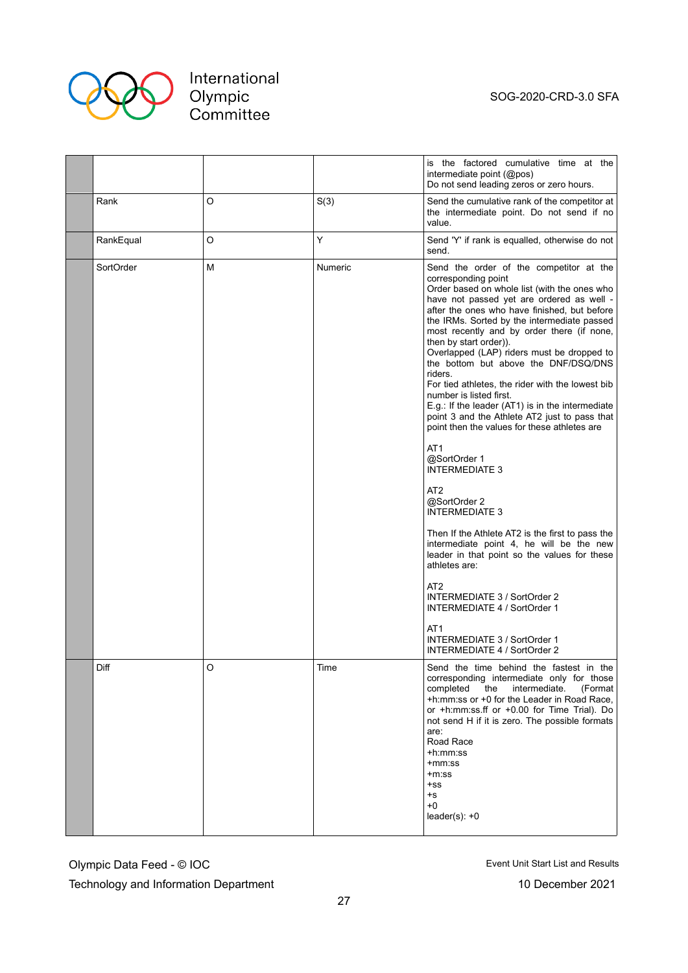

#### SOG-2020-CRD-3.0 SFA

|           |   |                | is the factored cumulative time at the<br>intermediate point (@pos)<br>Do not send leading zeros or zero hours.                                                                                                                                                                                                                                                                                                                                                                                                                                                                                                                                                                                                                                                                                                                                                                                                                                                                                                                                                                                          |
|-----------|---|----------------|----------------------------------------------------------------------------------------------------------------------------------------------------------------------------------------------------------------------------------------------------------------------------------------------------------------------------------------------------------------------------------------------------------------------------------------------------------------------------------------------------------------------------------------------------------------------------------------------------------------------------------------------------------------------------------------------------------------------------------------------------------------------------------------------------------------------------------------------------------------------------------------------------------------------------------------------------------------------------------------------------------------------------------------------------------------------------------------------------------|
| Rank      | O | S(3)           | Send the cumulative rank of the competitor at<br>the intermediate point. Do not send if no<br>value.                                                                                                                                                                                                                                                                                                                                                                                                                                                                                                                                                                                                                                                                                                                                                                                                                                                                                                                                                                                                     |
| RankEqual | O | Y              | Send 'Y' if rank is equalled, otherwise do not<br>send.                                                                                                                                                                                                                                                                                                                                                                                                                                                                                                                                                                                                                                                                                                                                                                                                                                                                                                                                                                                                                                                  |
| SortOrder | M | <b>Numeric</b> | Send the order of the competitor at the<br>corresponding point<br>Order based on whole list (with the ones who<br>have not passed yet are ordered as well -<br>after the ones who have finished, but before<br>the IRMs. Sorted by the intermediate passed<br>most recently and by order there (if none,<br>then by start order)).<br>Overlapped (LAP) riders must be dropped to<br>the bottom but above the DNF/DSQ/DNS<br>riders.<br>For tied athletes, the rider with the lowest bib<br>number is listed first.<br>E.g.: If the leader (AT1) is in the intermediate<br>point 3 and the Athlete AT2 just to pass that<br>point then the values for these athletes are<br>AT <sub>1</sub><br>@SortOrder 1<br><b>INTERMEDIATE 3</b><br>AT <sub>2</sub><br>@SortOrder 2<br><b>INTERMEDIATE 3</b><br>Then If the Athlete AT2 is the first to pass the<br>intermediate point 4, he will be the new<br>leader in that point so the values for these<br>athletes are:<br>AT <sub>2</sub><br><b>INTERMEDIATE 3 / SortOrder 2</b><br><b>INTERMEDIATE 4 / SortOrder 1</b><br>AT1<br>INTERMEDIATE 3 / SortOrder 1 |
|           |   |                | <b>INTERMEDIATE 4 / SortOrder 2</b>                                                                                                                                                                                                                                                                                                                                                                                                                                                                                                                                                                                                                                                                                                                                                                                                                                                                                                                                                                                                                                                                      |
| Diff      | O | Time           | Send the time behind the fastest in the<br>corresponding intermediate only for those<br>intermediate.<br>completed<br>the<br>(Format<br>+h:mm:ss or +0 for the Leader in Road Race,<br>or +h:mm:ss.ff or +0.00 for Time Trial). Do<br>not send H if it is zero. The possible formats<br>are:<br>Road Race<br>$+h$ : $mm$ :ss<br>$+mm$ :ss<br>$+m:ss$<br>$+SS$<br>$+S$<br>$+0$<br>$leader(s): +0$                                                                                                                                                                                                                                                                                                                                                                                                                                                                                                                                                                                                                                                                                                         |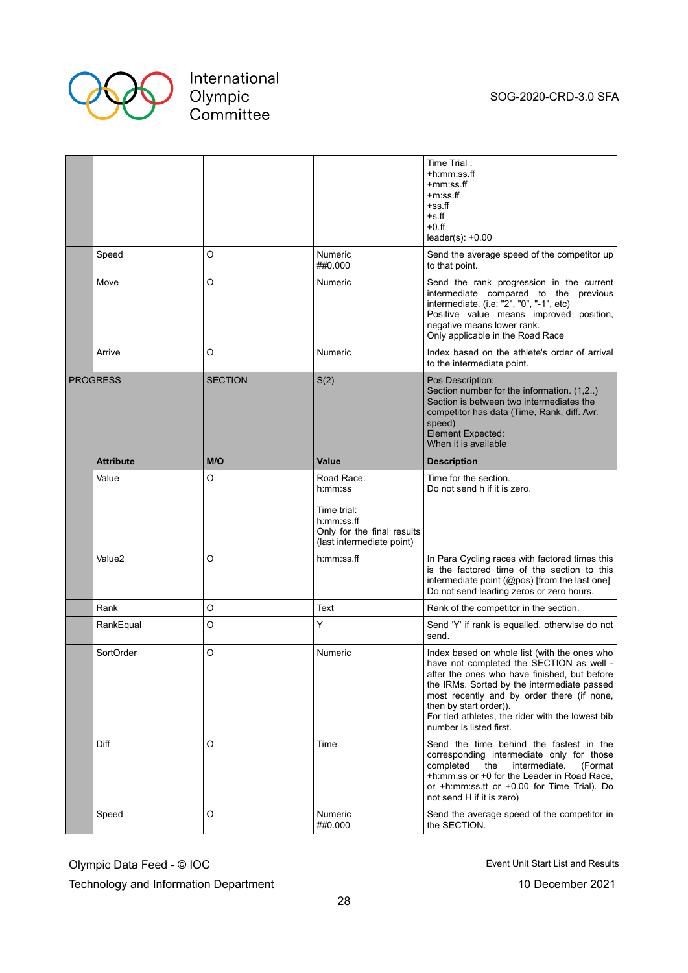

|                    |                |                                                                                             | Time Trial:<br>$+$ h:mm:ss.ff<br>$+mm$ :ss.ff<br>+m:ss.ff<br>$+$ ss ff<br>+s.ff<br>$+0.ff$<br>$leader(s): +0.00$                                                                                                                                                                                                                               |
|--------------------|----------------|---------------------------------------------------------------------------------------------|------------------------------------------------------------------------------------------------------------------------------------------------------------------------------------------------------------------------------------------------------------------------------------------------------------------------------------------------|
| Speed              | O              | Numeric<br>##0.000                                                                          | Send the average speed of the competitor up<br>to that point.                                                                                                                                                                                                                                                                                  |
| Move               | O              | Numeric                                                                                     | Send the rank progression in the current<br>intermediate compared to the previous<br>intermediate. (i.e: "2", "0", "-1", etc)<br>Positive value means improved position,<br>negative means lower rank.<br>Only applicable in the Road Race                                                                                                     |
| Arrive             | O              | <b>Numeric</b>                                                                              | Index based on the athlete's order of arrival<br>to the intermediate point.                                                                                                                                                                                                                                                                    |
| <b>PROGRESS</b>    | <b>SECTION</b> | S(2)                                                                                        | Pos Description:<br>Section number for the information. (1,2)<br>Section is between two intermediates the<br>competitor has data (Time, Rank, diff. Avr.<br>speed)<br>Element Expected:<br>When it is available                                                                                                                                |
| <b>Attribute</b>   | M/O            | <b>Value</b>                                                                                | <b>Description</b>                                                                                                                                                                                                                                                                                                                             |
| Value              | O              | Road Race:<br>h:mm:ss                                                                       | Time for the section.<br>Do not send h if it is zero.                                                                                                                                                                                                                                                                                          |
|                    |                | Time trial:<br>$h$ : $mm$ :ss.ff<br>Only for the final results<br>(last intermediate point) |                                                                                                                                                                                                                                                                                                                                                |
| Value <sub>2</sub> | O              | h:mm:ss.fr                                                                                  | In Para Cycling races with factored times this<br>is the factored time of the section to this<br>intermediate point (@pos) [from the last one]<br>Do not send leading zeros or zero hours.                                                                                                                                                     |
| Rank               | O              | Text                                                                                        | Rank of the competitor in the section.                                                                                                                                                                                                                                                                                                         |
| RankEqual          | O              | Y                                                                                           | Send 'Y' if rank is equalled, otherwise do not<br>send.                                                                                                                                                                                                                                                                                        |
| SortOrder          | O              | <b>Numeric</b>                                                                              | Index based on whole list (with the ones who<br>have not completed the SECTION as well -<br>after the ones who have finished, but before<br>the IRMs. Sorted by the intermediate passed<br>most recently and by order there (if none,<br>then by start order)).<br>For tied athletes, the rider with the lowest bib<br>number is listed first. |
| Diff               | O              | Time                                                                                        | Send the time behind the fastest in the<br>corresponding intermediate only for those<br>completed<br>intermediate.<br>(Format<br>the<br>+h:mm:ss or +0 for the Leader in Road Race,<br>or +h:mm:ss.tt or +0.00 for Time Trial). Do<br>not send H if it is zero)                                                                                |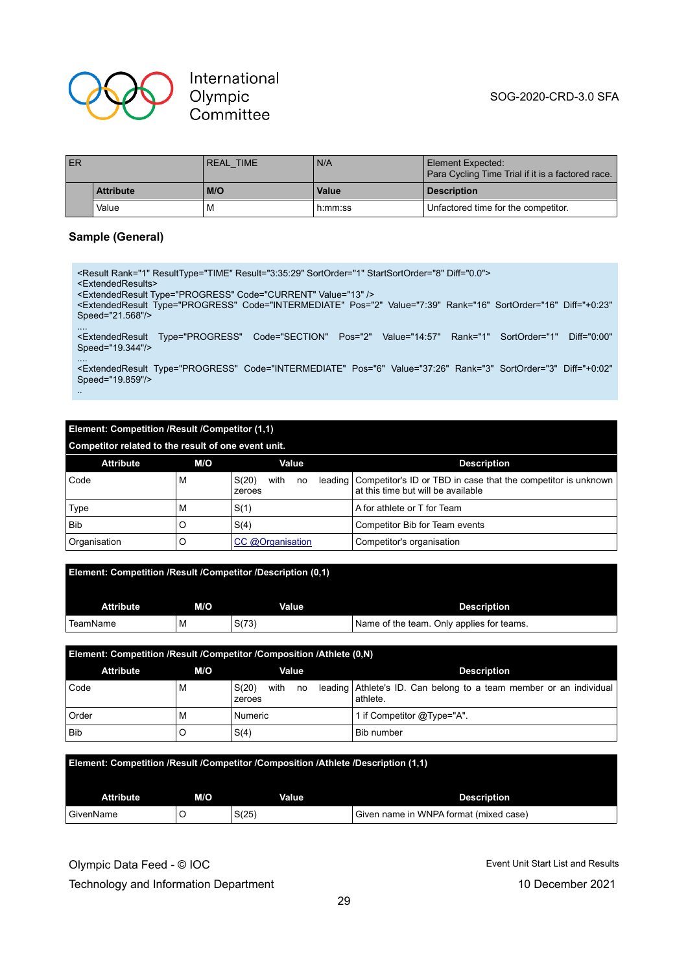

| ER |                  | REAL TIME | N/A          | Element Expected:<br>Para Cycling Time Trial if it is a factored race. |
|----|------------------|-----------|--------------|------------------------------------------------------------------------|
|    | <b>Attribute</b> | M/O       | <b>Value</b> | <b>Description</b>                                                     |
|    | Value            | M         | h:mm:ss      | Unfactored time for the competitor.                                    |

#### **Sample (General)**

| <result diff="0.0" rank="1" result="3:35:29" resulttype="TIME" sortorder="1" startsortorder="8"><br/><extendedresults></extendedresults></result>                                                                                   |             |
|-------------------------------------------------------------------------------------------------------------------------------------------------------------------------------------------------------------------------------------|-------------|
| <extendedresult code="CURRENT" type="PROGRESS" value="13"></extendedresult><br><extendedresult <="" code="INTERMEDIATE" diff="+0:23" pos="2" rank="16" sortorder="16" th="" type="PROGRESS" value="7:39"><th></th></extendedresult> |             |
| Speed="21.568"/><br>                                                                                                                                                                                                                |             |
| <extendedresult <br="" code="SECTION" pos="2" rank="1" sortorder="1" type="PROGRESS" value="14:57">Speed="19.344"/&gt;</extendedresult>                                                                                             | Diff="0:00" |
| <br><extendedresult <br="" code="INTERMEDIATE" diff="+0:02" pos="6" rank="3" sortorder="3" type="PROGRESS" value="37:26">Speed="19.859"/&gt;</extendedresult>                                                                       |             |
| $\cdot$ .                                                                                                                                                                                                                           |             |

<span id="page-28-3"></span>

| Element: Competition /Result /Competitor (1,1)      |     |                               |                                                                                                                 |  |
|-----------------------------------------------------|-----|-------------------------------|-----------------------------------------------------------------------------------------------------------------|--|
| Competitor related to the result of one event unit. |     |                               |                                                                                                                 |  |
| <b>Attribute</b>                                    | M/O | Value                         | <b>Description</b>                                                                                              |  |
| Code                                                | м   | S(20)<br>with<br>no<br>zeroes | leading   Competitor's ID or TBD in case that the competitor is unknown  <br>at this time but will be available |  |
| Type                                                | м   | S(1)                          | A for athlete or T for Team                                                                                     |  |
| <b>Bib</b>                                          | O   | S(4)                          | Competitor Bib for Team events                                                                                  |  |
| Organisation                                        | O   | CC @Organisation              | Competitor's organisation                                                                                       |  |

<span id="page-28-2"></span>

| Element: Competition /Result /Competitor /Description (0.1) |     |       |                                           |  |
|-------------------------------------------------------------|-----|-------|-------------------------------------------|--|
| <b>Attribute</b>                                            | M/O | Value | <b>Description</b>                        |  |
| TeamName                                                    | м   | S(73) | Name of the team. Only applies for teams. |  |

<span id="page-28-1"></span>

| Element: Competition /Result /Competitor /Composition /Athlete (0,N) |     |                               |                                                                                |  |
|----------------------------------------------------------------------|-----|-------------------------------|--------------------------------------------------------------------------------|--|
| <b>Attribute</b>                                                     | M/O | Value                         | <b>Description</b>                                                             |  |
| Code                                                                 | м   | S(20)<br>with<br>no<br>zeroes | leading Athlete's ID. Can belong to a team member or an individual<br>athlete. |  |
| Order                                                                | м   | Numeric                       | 1 if Competitor @Type="A".                                                     |  |
| <b>Bib</b>                                                           | Ő   | S(4)                          | Bib number                                                                     |  |

<span id="page-28-0"></span>**Element: Competition /Result /Competitor /Composition /Athlete /Description (1,1)**

| Attribute              | M/O | <b>Value</b> | <b>Description</b>                     |
|------------------------|-----|--------------|----------------------------------------|
| <sup>'</sup> GivenName |     | S(25)        | Given name in WNPA format (mixed case) |

Olympic Data Feed - © IOC **Example 2018** Event Unit Start List and Results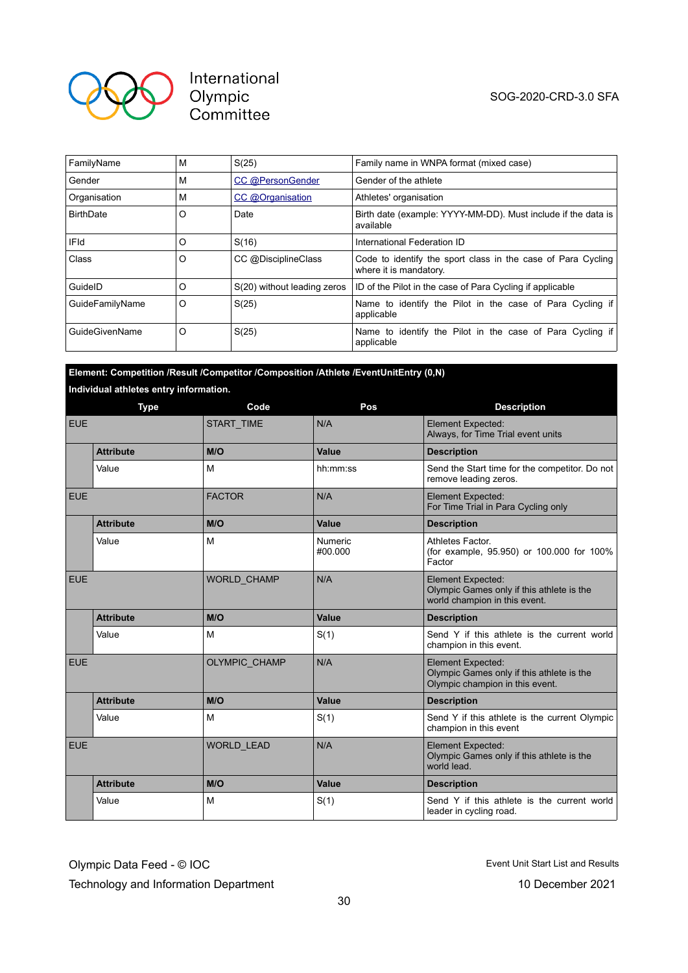

| FamilyName       | M | S(25)                       | Family name in WNPA format (mixed case)                                                |
|------------------|---|-----------------------------|----------------------------------------------------------------------------------------|
| Gender           | м | CC @PersonGender            | Gender of the athlete                                                                  |
| Organisation     | м | CC @Organisation            | Athletes' organisation                                                                 |
| <b>BirthDate</b> | O | Date                        | Birth date (example: YYYY-MM-DD). Must include if the data is<br>available             |
| IFId             | O | S(16)                       | International Federation ID                                                            |
| Class            | O | CC @DisciplineClass         | Code to identify the sport class in the case of Para Cycling<br>where it is mandatory. |
| GuidelD          | O | S(20) without leading zeros | ID of the Pilot in the case of Para Cycling if applicable                              |
| GuideFamilyName  | O | S(25)                       | Name to identify the Pilot in the case of Para Cycling if<br>applicable                |
| GuideGivenName   | O | S(25)                       | Name to identify the Pilot in the case of Para Cycling if<br>applicable                |

<span id="page-29-0"></span>

| Element: Competition /Result /Competitor /Composition /Athlete /EventUnitEntry (0,N) |                  |                      |                           |                                                                                                          |  |
|--------------------------------------------------------------------------------------|------------------|----------------------|---------------------------|----------------------------------------------------------------------------------------------------------|--|
| Individual athletes entry information.                                               |                  |                      |                           |                                                                                                          |  |
|                                                                                      | <b>Type</b>      | Code                 | Pos                       | <b>Description</b>                                                                                       |  |
| <b>EUE</b>                                                                           |                  | START_TIME           | N/A                       | Element Expected:<br>Always, for Time Trial event units                                                  |  |
|                                                                                      | <b>Attribute</b> | M/O                  | Value                     | <b>Description</b>                                                                                       |  |
|                                                                                      | Value            | M                    | hh:mm:ss                  | Send the Start time for the competitor. Do not<br>remove leading zeros.                                  |  |
| <b>EUE</b>                                                                           |                  | <b>FACTOR</b>        | N/A                       | <b>Element Expected:</b><br>For Time Trial in Para Cycling only                                          |  |
|                                                                                      | <b>Attribute</b> | M/O                  | Value                     | <b>Description</b>                                                                                       |  |
|                                                                                      | Value            | M                    | <b>Numeric</b><br>#00.000 | Athletes Factor.<br>(for example, 95.950) or 100.000 for 100%<br>Factor                                  |  |
| <b>EUE</b>                                                                           |                  | WORLD_CHAMP          | N/A                       | <b>Element Expected:</b><br>Olympic Games only if this athlete is the<br>world champion in this event.   |  |
|                                                                                      | <b>Attribute</b> | M/O                  | Value                     | <b>Description</b>                                                                                       |  |
|                                                                                      | Value            | M                    | S(1)                      | Send Y if this athlete is the current world<br>champion in this event.                                   |  |
| <b>EUE</b>                                                                           |                  | <b>OLYMPIC CHAMP</b> | N/A                       | <b>Element Expected:</b><br>Olympic Games only if this athlete is the<br>Olympic champion in this event. |  |
|                                                                                      | <b>Attribute</b> | M/O                  | Value                     | <b>Description</b>                                                                                       |  |
|                                                                                      | Value            | M                    | S(1)                      | Send Y if this athlete is the current Olympic<br>champion in this event                                  |  |
| <b>EUE</b>                                                                           |                  | <b>WORLD_LEAD</b>    | N/A                       | <b>Element Expected:</b><br>Olympic Games only if this athlete is the<br>world lead.                     |  |
|                                                                                      | <b>Attribute</b> | M/O                  | Value                     | <b>Description</b>                                                                                       |  |
|                                                                                      | Value            | M                    | S(1)                      | Send Y if this athlete is the current world<br>leader in cycling road.                                   |  |

Olympic Data Feed - © IOC **Example 2018** Event Unit Start List and Results Technology and Information Department 10 December 2021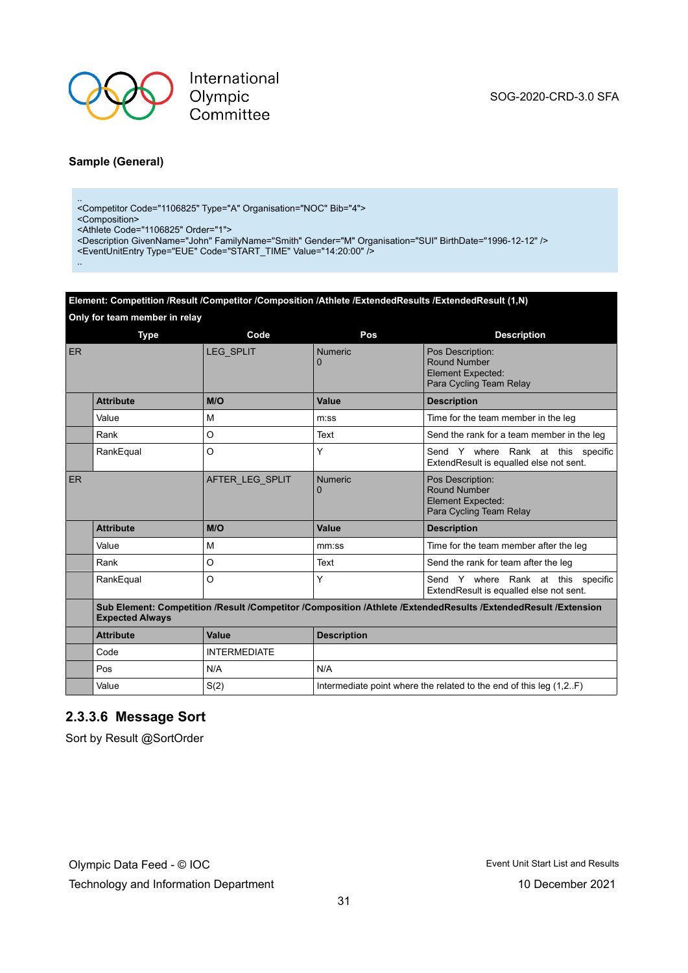

#### **Sample (General)**

..

..

<Competitor Code="1106825" Type="A" Organisation="NOC" Bib="4">

<Composition>

<Athlete Code="1106825" Order="1">

<Description GivenName="John" FamilyName="Smith" Gender="M" Organisation="SUI" BirthDate="1996-12-12" />

<EventUnitEntry Type="EUE" Code="START\_TIME" Value="14:20:00" />

<span id="page-30-1"></span>

|           | Only for team member in relay |                     |                            |                                                                                                                |  |  |
|-----------|-------------------------------|---------------------|----------------------------|----------------------------------------------------------------------------------------------------------------|--|--|
|           | <b>Type</b>                   | Code                | Pos                        | <b>Description</b>                                                                                             |  |  |
| <b>ER</b> |                               | <b>LEG SPLIT</b>    | <b>Numeric</b><br>$\Omega$ | Pos Description:<br><b>Round Number</b><br><b>Element Expected:</b><br>Para Cycling Team Relay                 |  |  |
|           | <b>Attribute</b>              | M/O                 | Value                      | <b>Description</b>                                                                                             |  |  |
|           | Value                         | M                   | m:ss                       | Time for the team member in the leg                                                                            |  |  |
|           | Rank                          | O                   | Text                       | Send the rank for a team member in the leg                                                                     |  |  |
|           | RankEqual                     | O                   | Y                          | Send Y where Rank at this specific<br>ExtendResult is equalled else not sent.                                  |  |  |
| <b>ER</b> |                               | AFTER LEG SPLIT     | <b>Numeric</b><br>$\Omega$ | Pos Description:<br><b>Round Number</b><br>Element Expected:<br>Para Cycling Team Relay                        |  |  |
|           | <b>Attribute</b>              | M/O                 | Value                      | <b>Description</b>                                                                                             |  |  |
|           | Value                         | м                   | mm:ss                      | Time for the team member after the leg                                                                         |  |  |
|           | Rank                          | O                   | Text                       | Send the rank for team after the leg                                                                           |  |  |
|           | RankEqual                     | $\circ$             | Y                          | Send Y where Rank at this specific<br>ExtendResult is equalled else not sent.                                  |  |  |
|           | <b>Expected Always</b>        |                     |                            | Sub Element: Competition /Result /Competitor /Composition /Athlete /ExtendedResults /ExtendedResult /Extension |  |  |
|           | <b>Attribute</b>              | Value               | <b>Description</b>         |                                                                                                                |  |  |
|           | Code                          | <b>INTERMEDIATE</b> |                            |                                                                                                                |  |  |
|           | Pos                           | N/A                 | N/A                        |                                                                                                                |  |  |
|           | Value                         | S(2)                |                            | Intermediate point where the related to the end of this leg (1,2F)                                             |  |  |

## <span id="page-30-0"></span>**2.3.3.6 Message Sort**

Sort by Result @SortOrder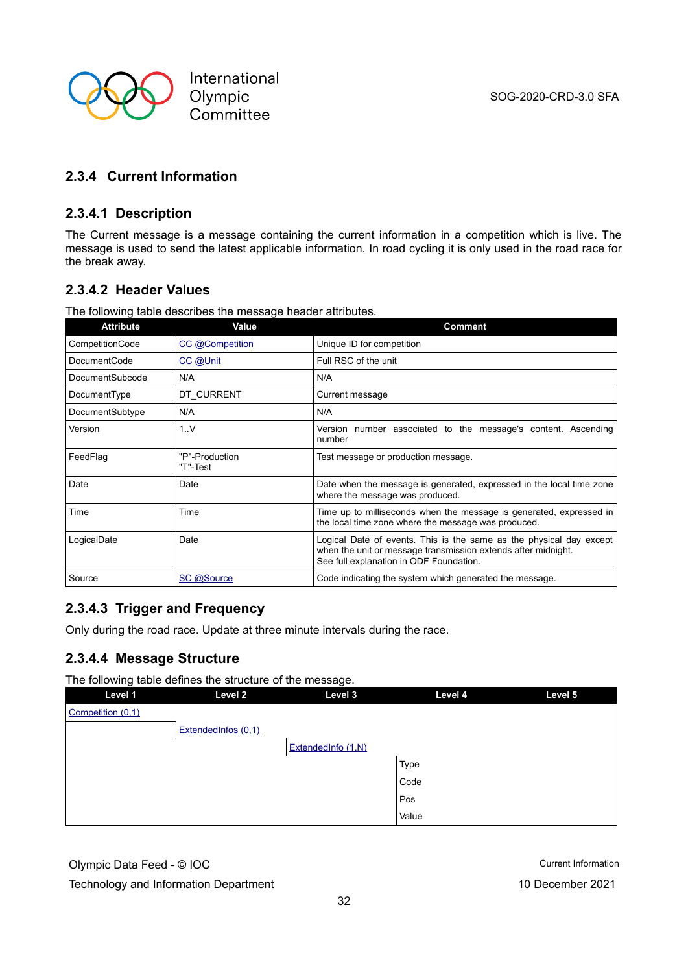

## <span id="page-31-4"></span>**2.3.4 Current Information**

## <span id="page-31-3"></span>**2.3.4.1 Description**

The Current message is a message containing the current information in a competition which is live. The message is used to send the latest applicable information. In road cycling it is only used in the road race for the break away.

## <span id="page-31-2"></span>**2.3.4.2 Header Values**

The following table describes the message header attributes.

| <b>Attribute</b>    | Value                      | <b>Comment</b>                                                                                                                                                                  |
|---------------------|----------------------------|---------------------------------------------------------------------------------------------------------------------------------------------------------------------------------|
| CompetitionCode     | CC @Competition            | Unique ID for competition                                                                                                                                                       |
| <b>DocumentCode</b> | CC @Unit                   | Full RSC of the unit                                                                                                                                                            |
| DocumentSubcode     | N/A                        | N/A                                                                                                                                                                             |
| DocumentType        | DT CURRENT                 | Current message                                                                                                                                                                 |
| DocumentSubtype     | N/A                        | N/A                                                                                                                                                                             |
| Version             | 1.1V                       | Version number associated to the message's content. Ascending<br>number                                                                                                         |
| FeedFlag            | "P"-Production<br>"T"-Test | Test message or production message.                                                                                                                                             |
| Date                | Date                       | Date when the message is generated, expressed in the local time zone<br>where the message was produced.                                                                         |
| Time                | Time                       | Time up to milliseconds when the message is generated, expressed in<br>the local time zone where the message was produced.                                                      |
| LogicalDate         | Date                       | Logical Date of events. This is the same as the physical day except<br>when the unit or message transmission extends after midnight.<br>See full explanation in ODF Foundation. |
| Source              | SC @Source                 | Code indicating the system which generated the message.                                                                                                                         |

#### <span id="page-31-1"></span>**2.3.4.3 Trigger and Frequency**

Only during the road race. Update at three minute intervals during the race.

## <span id="page-31-0"></span>**2.3.4.4 Message Structure**

The following table defines the structure of the message.

| Level 1           | Level 2             | Level 3            | Level 4 | Level 5 |
|-------------------|---------------------|--------------------|---------|---------|
| Competition (0,1) |                     |                    |         |         |
|                   | ExtendedInfos (0,1) |                    |         |         |
|                   |                     | ExtendedInfo (1,N) |         |         |
|                   |                     |                    | Type    |         |
|                   |                     |                    | Code    |         |
|                   |                     |                    | Pos     |         |
|                   |                     |                    | Value   |         |

Olympic Data Feed - © IOC Current Information Technology and Information Department 10 December 2021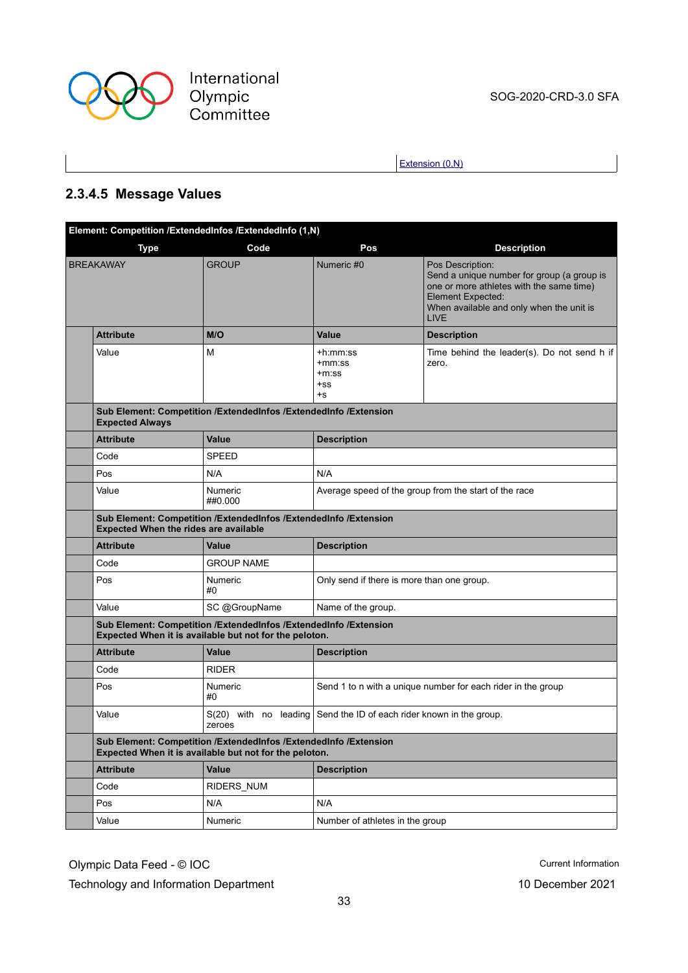

Extension (0,N)

## <span id="page-32-0"></span>**2.3.4.5 Message Values**

<span id="page-32-1"></span>

| Element: Competition /ExtendedInfos /ExtendedInfo (1,N)                                                                           |                                                                                                                                   |                                                              |                                                                                                                                                                                                   |  |  |  |
|-----------------------------------------------------------------------------------------------------------------------------------|-----------------------------------------------------------------------------------------------------------------------------------|--------------------------------------------------------------|---------------------------------------------------------------------------------------------------------------------------------------------------------------------------------------------------|--|--|--|
| <b>Type</b>                                                                                                                       | Code                                                                                                                              | <b>Description</b><br>Pos                                    |                                                                                                                                                                                                   |  |  |  |
| <b>BREAKAWAY</b>                                                                                                                  | <b>GROUP</b>                                                                                                                      | Numeric #0                                                   | Pos Description:<br>Send a unique number for group (a group is<br>one or more athletes with the same time)<br><b>Element Expected:</b><br>When available and only when the unit is<br><b>LIVE</b> |  |  |  |
| <b>Attribute</b>                                                                                                                  | M/O                                                                                                                               | <b>Value</b>                                                 | <b>Description</b>                                                                                                                                                                                |  |  |  |
| Value                                                                                                                             | M                                                                                                                                 | $+h$ : $mm$ :ss<br>$+mm$ :ss<br>$+m:ss$<br>$+SS$<br>$+S$     | Time behind the leader(s). Do not send h if<br>zero.                                                                                                                                              |  |  |  |
| <b>Expected Always</b>                                                                                                            | Sub Element: Competition /ExtendedInfos /ExtendedInfo /Extension                                                                  |                                                              |                                                                                                                                                                                                   |  |  |  |
| <b>Attribute</b>                                                                                                                  | Value                                                                                                                             | <b>Description</b>                                           |                                                                                                                                                                                                   |  |  |  |
| Code                                                                                                                              | <b>SPEED</b>                                                                                                                      |                                                              |                                                                                                                                                                                                   |  |  |  |
| Pos                                                                                                                               | N/A                                                                                                                               | N/A                                                          |                                                                                                                                                                                                   |  |  |  |
| Value                                                                                                                             | Numeric<br>##0.000                                                                                                                | Average speed of the group from the start of the race        |                                                                                                                                                                                                   |  |  |  |
| Sub Element: Competition /ExtendedInfos /ExtendedInfo /Extension<br><b>Expected When the rides are available</b>                  |                                                                                                                                   |                                                              |                                                                                                                                                                                                   |  |  |  |
| <b>Attribute</b>                                                                                                                  | Value                                                                                                                             | <b>Description</b>                                           |                                                                                                                                                                                                   |  |  |  |
| Code                                                                                                                              | <b>GROUP NAME</b>                                                                                                                 |                                                              |                                                                                                                                                                                                   |  |  |  |
| Pos                                                                                                                               | Numeric<br># $\Omega$                                                                                                             | Only send if there is more than one group.                   |                                                                                                                                                                                                   |  |  |  |
| Value                                                                                                                             | SC @GroupName                                                                                                                     | Name of the group.                                           |                                                                                                                                                                                                   |  |  |  |
|                                                                                                                                   | <b>Sub Element: Competition /ExtendedInfos /ExtendedInfo /Extension</b><br>Expected When it is available but not for the peloton. |                                                              |                                                                                                                                                                                                   |  |  |  |
| <b>Attribute</b>                                                                                                                  | Value                                                                                                                             | <b>Description</b>                                           |                                                                                                                                                                                                   |  |  |  |
| Code                                                                                                                              | <b>RIDER</b>                                                                                                                      |                                                              |                                                                                                                                                                                                   |  |  |  |
| Pos<br><b>Numeric</b><br># $\Omega$                                                                                               |                                                                                                                                   | Send 1 to n with a unique number for each rider in the group |                                                                                                                                                                                                   |  |  |  |
| Value<br>$S(20)$ with no leading Send the ID of each rider known in the group.<br>zeroes                                          |                                                                                                                                   |                                                              |                                                                                                                                                                                                   |  |  |  |
| <b>Sub Element: Competition /ExtendedInfos /ExtendedInfo /Extension</b><br>Expected When it is available but not for the peloton. |                                                                                                                                   |                                                              |                                                                                                                                                                                                   |  |  |  |
| <b>Attribute</b>                                                                                                                  | <b>Value</b>                                                                                                                      | <b>Description</b>                                           |                                                                                                                                                                                                   |  |  |  |
| Code                                                                                                                              | RIDERS NUM                                                                                                                        |                                                              |                                                                                                                                                                                                   |  |  |  |
| Pos                                                                                                                               | N/A                                                                                                                               | N/A                                                          |                                                                                                                                                                                                   |  |  |  |
| Value                                                                                                                             | Numeric                                                                                                                           | Number of athletes in the group                              |                                                                                                                                                                                                   |  |  |  |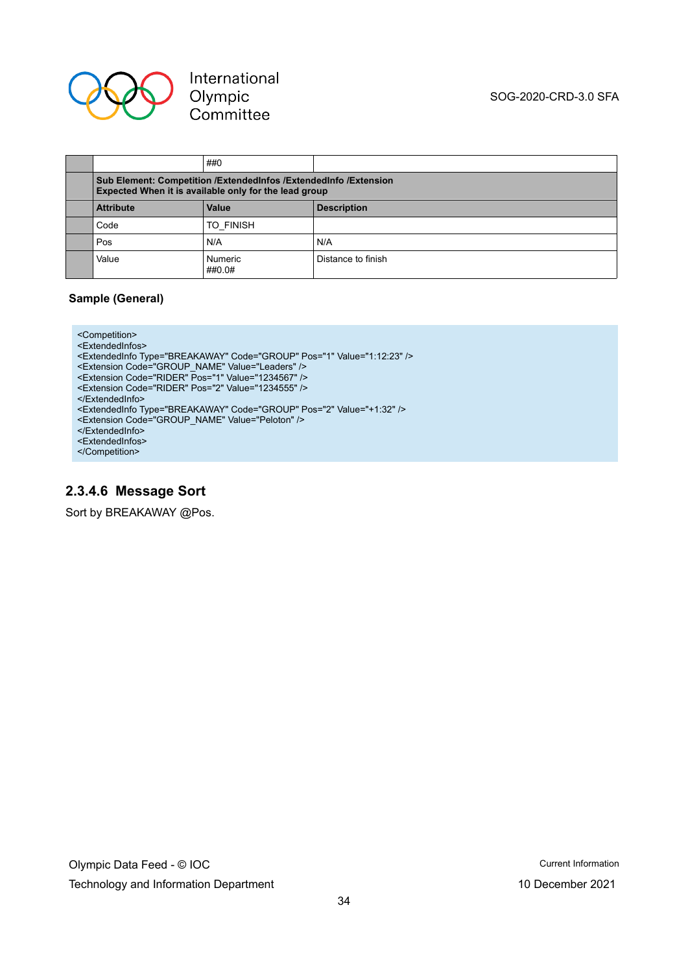

|                  | ##0                                                                                                                              |                    |
|------------------|----------------------------------------------------------------------------------------------------------------------------------|--------------------|
|                  | <b>Sub Element: Competition /ExtendedInfos /ExtendedInfo /Extension</b><br>Expected When it is available only for the lead group |                    |
| <b>Attribute</b> | Value                                                                                                                            | <b>Description</b> |
| Code             | TO FINISH                                                                                                                        |                    |
| Pos              | N/A                                                                                                                              | N/A                |
| Value            | <b>Numeric</b><br>##0.0#                                                                                                         | Distance to finish |

#### **Sample (General)**

<Competition> <ExtendedInfos>

<ExtendedInfo Type="BREAKAWAY" Code="GROUP" Pos="1" Value="1:12:23" />

<Extension Code="GROUP\_NAME" Value="Leaders" />

<Extension Code="RIDER" Pos="1" Value="1234567" />

<Extension Code="RIDER" Pos="2" Value="1234555" />

</ExtendedInfo>

<ExtendedInfo Type="BREAKAWAY" Code="GROUP" Pos="2" Value="+1:32" />

<Extension Code="GROUP\_NAME" Value="Peloton" />

</ExtendedInfo>

<ExtendedInfos>

</Competition>

#### <span id="page-33-0"></span>**2.3.4.6 Message Sort**

Sort by BREAKAWAY @Pos.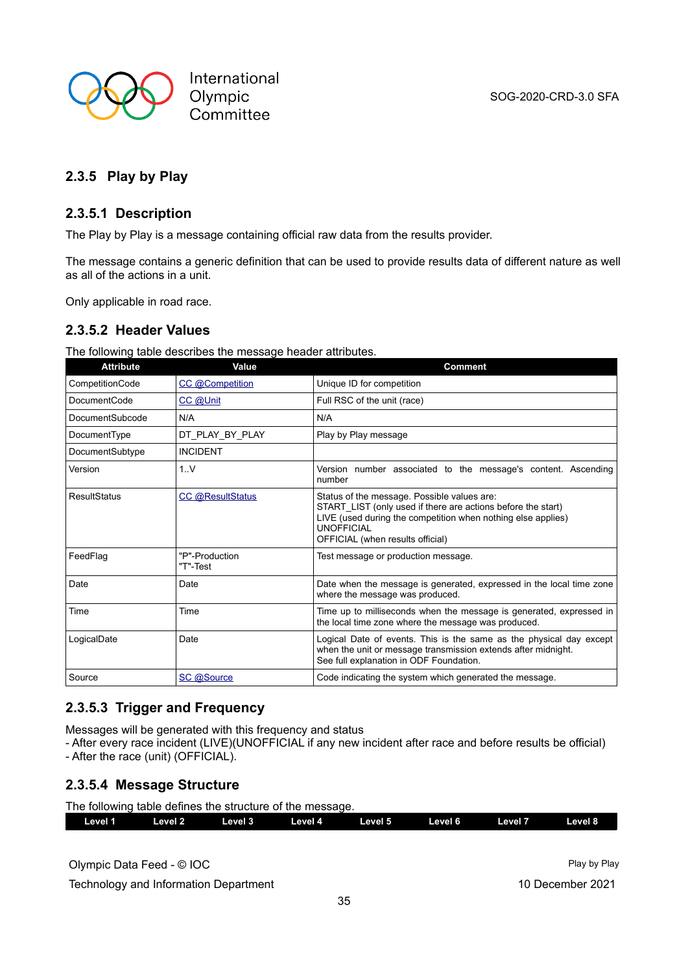## <span id="page-34-4"></span>**2.3.5 Play by Play**

#### <span id="page-34-3"></span>**2.3.5.1 Description**

The Play by Play is a message containing official raw data from the results provider.

The message contains a generic definition that can be used to provide results data of different nature as well as all of the actions in a unit.

Only applicable in road race.

## <span id="page-34-2"></span>**2.3.5.2 Header Values**

The following table describes the message header attributes.

| <b>Attribute</b>       | Value                      | <b>Comment</b>                                                                                                                                                                                                                       |
|------------------------|----------------------------|--------------------------------------------------------------------------------------------------------------------------------------------------------------------------------------------------------------------------------------|
| CompetitionCode        | CC @Competition            | Unique ID for competition                                                                                                                                                                                                            |
| <b>DocumentCode</b>    | CC @Unit                   | Full RSC of the unit (race)                                                                                                                                                                                                          |
| <b>DocumentSubcode</b> | N/A                        | N/A                                                                                                                                                                                                                                  |
| DocumentType           | DT PLAY BY PLAY            | Play by Play message                                                                                                                                                                                                                 |
| DocumentSubtype        | <b>INCIDENT</b>            |                                                                                                                                                                                                                                      |
| Version                | 1.1V                       | Version number associated to the message's content. Ascending<br>number                                                                                                                                                              |
| <b>ResultStatus</b>    | CC @ResultStatus           | Status of the message. Possible values are:<br>START LIST (only used if there are actions before the start)<br>LIVE (used during the competition when nothing else applies)<br><b>UNOFFICIAL</b><br>OFFICIAL (when results official) |
| FeedFlag               | "P"-Production<br>"T"-Test | Test message or production message.                                                                                                                                                                                                  |
| Date                   | Date                       | Date when the message is generated, expressed in the local time zone<br>where the message was produced.                                                                                                                              |
| Time                   | Time                       | Time up to milliseconds when the message is generated, expressed in<br>the local time zone where the message was produced.                                                                                                           |
| LogicalDate            | Date                       | Logical Date of events. This is the same as the physical day except<br>when the unit or message transmission extends after midnight.<br>See full explanation in ODF Foundation.                                                      |
| Source                 | SC @Source                 | Code indicating the system which generated the message.                                                                                                                                                                              |

## <span id="page-34-1"></span>**2.3.5.3 Trigger and Frequency**

Messages will be generated with this frequency and status

- After every race incident (LIVE)(UNOFFICIAL if any new incident after race and before results be official) - After the race (unit) (OFFICIAL).

#### <span id="page-34-0"></span>**2.3.5.4 Message Structure**

The following table defines the structure of the message.

|  | Level 1 | Level <sub>2</sub> | Level 3. | Level 4 | Level 5 | Level 6. | Level 7 | Level 8 |
|--|---------|--------------------|----------|---------|---------|----------|---------|---------|
|--|---------|--------------------|----------|---------|---------|----------|---------|---------|

Olympic Data Feed - © IOC Play by Play by Play by Play by Play by Play by Play by Play by Play by Play by Play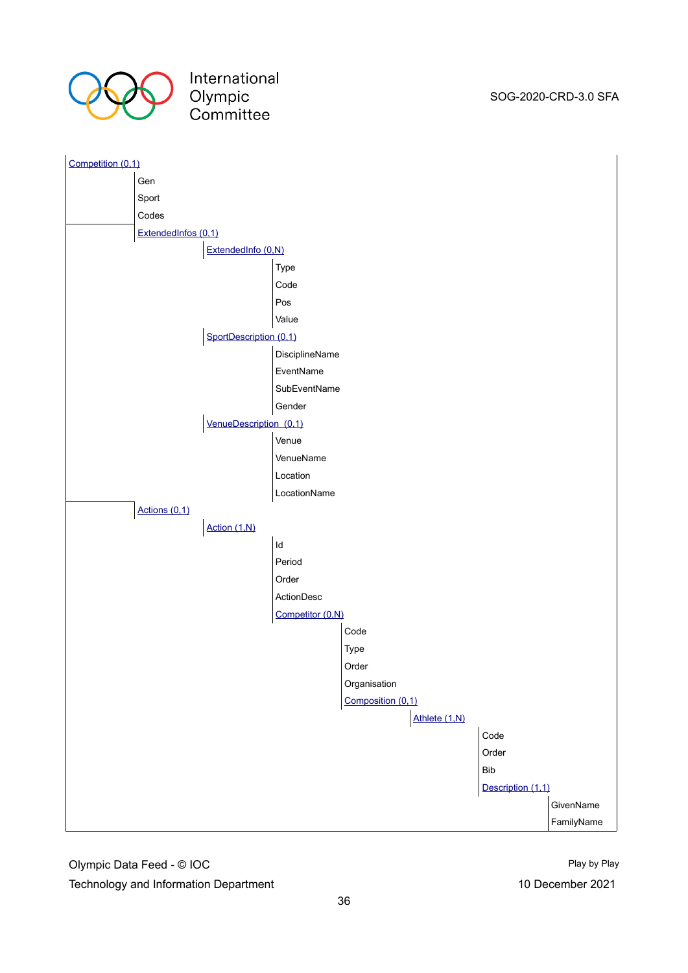



Olympic Data Feed - © IOC **Play by Play by Play by Play by Play by Play by Play by Play by Play by Play by Play by Play by Play by Play by Play by Play by Play by Play by Play by Play by Play by Play by Play by Play by Pla** Technology and Information Department 10 December 2021

36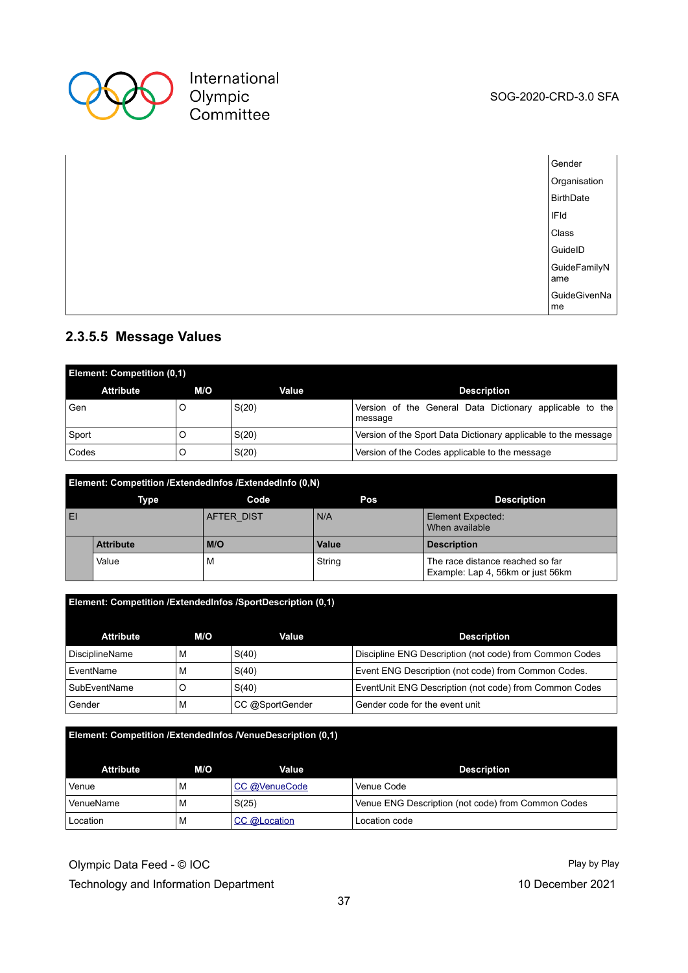

Gender Organisation BirthDate IFId Class GuideID GuideFamilyN ame GuideGivenNa me

## <span id="page-36-0"></span>**2.3.5.5 Message Values**

<span id="page-36-4"></span>

| <b>Element: Competition (0,1)</b> |     |       |                                                                     |  |
|-----------------------------------|-----|-------|---------------------------------------------------------------------|--|
| <b>Attribute</b>                  | M/O | Value | <b>Description</b>                                                  |  |
| Gen                               |     | S(20) | Version of the General Data Dictionary applicable to the<br>message |  |
| Sport                             |     | S(20) | Version of the Sport Data Dictionary applicable to the message      |  |
| Codes                             |     | S(20) | Version of the Codes applicable to the message                      |  |

<span id="page-36-3"></span>

|      | Element: Competition /ExtendedInfos /ExtendedInfo (0,N) |            |        |                                                                       |  |  |
|------|---------------------------------------------------------|------------|--------|-----------------------------------------------------------------------|--|--|
| Type |                                                         | Code       | Pos    | <b>Description</b>                                                    |  |  |
| EI   |                                                         | AFTER DIST | N/A    | <b>Element Expected:</b><br>When available                            |  |  |
|      | <b>Attribute</b>                                        | M/O        | Value  | <b>Description</b>                                                    |  |  |
|      | Value                                                   | M          | String | The race distance reached so far<br>Example: Lap 4, 56km or just 56km |  |  |

<span id="page-36-2"></span>

| Element: Competition /ExtendedInfos /SportDescription (0,1) |  |  |  |
|-------------------------------------------------------------|--|--|--|
|                                                             |  |  |  |
|                                                             |  |  |  |

| <b>Attribute</b>      | M/O | Value           | <b>Description</b>                                      |
|-----------------------|-----|-----------------|---------------------------------------------------------|
| <b>DisciplineName</b> | M   | S(40)           | Discipline ENG Description (not code) from Common Codes |
| EventName             | м   | S(40)           | Event ENG Description (not code) from Common Codes.     |
| SubEventName          |     | S(40)           | EventUnit ENG Description (not code) from Common Codes  |
| Gender                | м   | CC @SportGender | Gender code for the event unit                          |

<span id="page-36-1"></span>**Element: Competition /ExtendedInfos /VenueDescription (0,1)**

| Attribute | M/O | Value         | <b>Description</b>                                 |
|-----------|-----|---------------|----------------------------------------------------|
| Venue     | M   | CC @VenueCode | Venue Code                                         |
| VenueName | M   | S(25)         | Venue ENG Description (not code) from Common Codes |
| Location  | м   | CC @Location  | Location code                                      |

Olympic Data Feed - © IOC Play by Play by Play by Play by Play by Play by Play by Play by Play by Play by Play Technology and Information Department 10 December 2021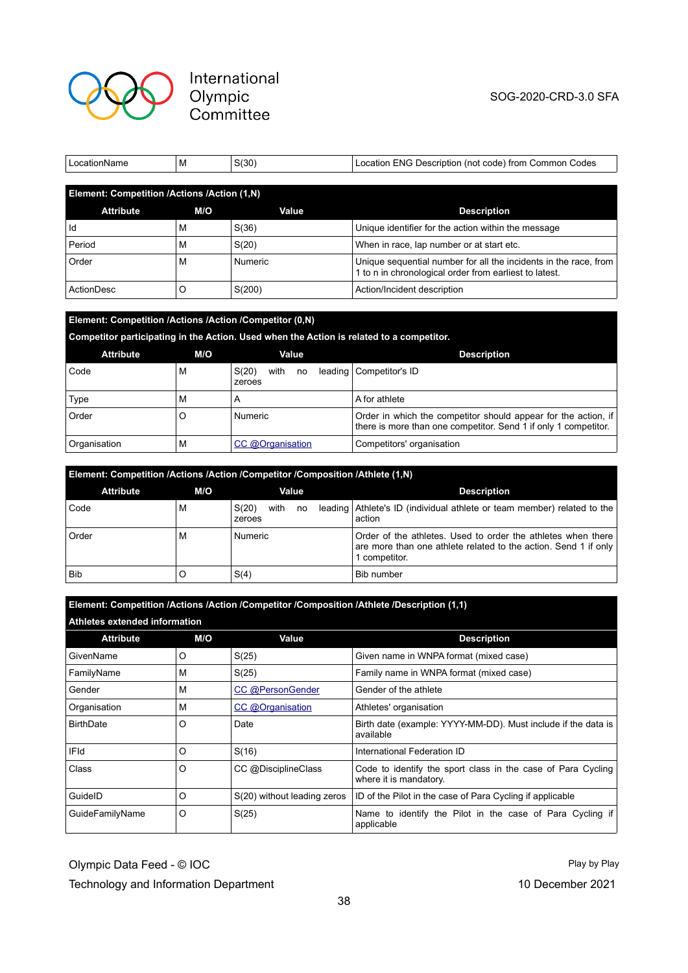

| ∟ocatior<br>nname | M | C/20 | FNG<br>from<br>Common '<br>Codes<br>Location<br>Description<br>code)<br>(not |
|-------------------|---|------|------------------------------------------------------------------------------|
|                   |   |      |                                                                              |

<span id="page-37-3"></span>

| <b>Element: Competition /Actions /Action (1,N)</b> |     |                |                                                                                                                            |  |  |  |
|----------------------------------------------------|-----|----------------|----------------------------------------------------------------------------------------------------------------------------|--|--|--|
| <b>Attribute</b>                                   | M/O | Value          | <b>Description</b>                                                                                                         |  |  |  |
| ld                                                 | м   | S(36)          | Unique identifier for the action within the message                                                                        |  |  |  |
| Period                                             | м   | S(20)          | When in race, lap number or at start etc.                                                                                  |  |  |  |
| Order                                              | м   | <b>Numeric</b> | Unique sequential number for all the incidents in the race, from<br>1 to n in chronological order from earliest to latest. |  |  |  |
| ActionDesc                                         |     | S(200)         | Action/Incident description                                                                                                |  |  |  |

<span id="page-37-2"></span>

| <b>Element: Competition /Actions /Action /Competitor (0,N)</b>                           |     |                                            |                                                                                                                                   |  |  |  |  |
|------------------------------------------------------------------------------------------|-----|--------------------------------------------|-----------------------------------------------------------------------------------------------------------------------------------|--|--|--|--|
| Competitor participating in the Action. Used when the Action is related to a competitor. |     |                                            |                                                                                                                                   |  |  |  |  |
| <b>Attribute</b>                                                                         | M/O | Value                                      | <b>Description</b>                                                                                                                |  |  |  |  |
| Code                                                                                     | м   | S(20)<br>with<br>leading l<br>no<br>zeroes | Competitor's ID                                                                                                                   |  |  |  |  |
| Type                                                                                     | м   | A                                          | A for athlete                                                                                                                     |  |  |  |  |
| Order                                                                                    | Ω   | <b>Numeric</b>                             | Order in which the competitor should appear for the action, if<br>there is more than one competitor. Send 1 if only 1 competitor. |  |  |  |  |
| Organisation                                                                             | м   | CC @Organisation                           | Competitors' organisation                                                                                                         |  |  |  |  |

<span id="page-37-1"></span>

| Element: Competition /Actions /Action /Competitor /Composition /Athlete (1,N) |     |                               |                                                                                                                                                  |  |  |  |  |
|-------------------------------------------------------------------------------|-----|-------------------------------|--------------------------------------------------------------------------------------------------------------------------------------------------|--|--|--|--|
| <b>Attribute</b>                                                              | M/O | Value                         | <b>Description</b>                                                                                                                               |  |  |  |  |
| Code                                                                          | М   | S(20)<br>with<br>no<br>zeroes | leading Athlete's ID (individual athlete or team member) related to the<br>action                                                                |  |  |  |  |
| Order                                                                         | м   | <b>Numeric</b>                | Order of the athletes. Used to order the athletes when there<br>are more than one athlete related to the action. Send 1 if only<br>l competitor. |  |  |  |  |
| <b>Bib</b>                                                                    |     | S(4)                          | Bib number                                                                                                                                       |  |  |  |  |

<span id="page-37-0"></span>**Element: Competition /Actions /Action /Competitor /Composition /Athlete /Description (1,1)**

|                  | Athletes extended information |                             |                                                                                        |  |  |  |  |  |
|------------------|-------------------------------|-----------------------------|----------------------------------------------------------------------------------------|--|--|--|--|--|
| <b>Attribute</b> | M/O                           | Value                       | <b>Description</b>                                                                     |  |  |  |  |  |
| GivenName        | O                             | S(25)                       | Given name in WNPA format (mixed case)                                                 |  |  |  |  |  |
| FamilyName       | м                             | S(25)                       | Family name in WNPA format (mixed case)                                                |  |  |  |  |  |
| Gender           | м                             | CC @PersonGender            | Gender of the athlete                                                                  |  |  |  |  |  |
| Organisation     | м                             | CC @Organisation            | Athletes' organisation                                                                 |  |  |  |  |  |
| <b>BirthDate</b> | O                             | Date                        | Birth date (example: YYYY-MM-DD). Must include if the data is<br>available             |  |  |  |  |  |
| IFId             | O                             | S(16)                       | International Federation ID                                                            |  |  |  |  |  |
| Class            | O                             | CC @DisciplineClass         | Code to identify the sport class in the case of Para Cycling<br>where it is mandatory. |  |  |  |  |  |
| GuidelD          | O                             | S(20) without leading zeros | ID of the Pilot in the case of Para Cycling if applicable                              |  |  |  |  |  |
| GuideFamilyName  | O                             | S(25)                       | Name to identify the Pilot in the case of Para Cycling if<br>applicable                |  |  |  |  |  |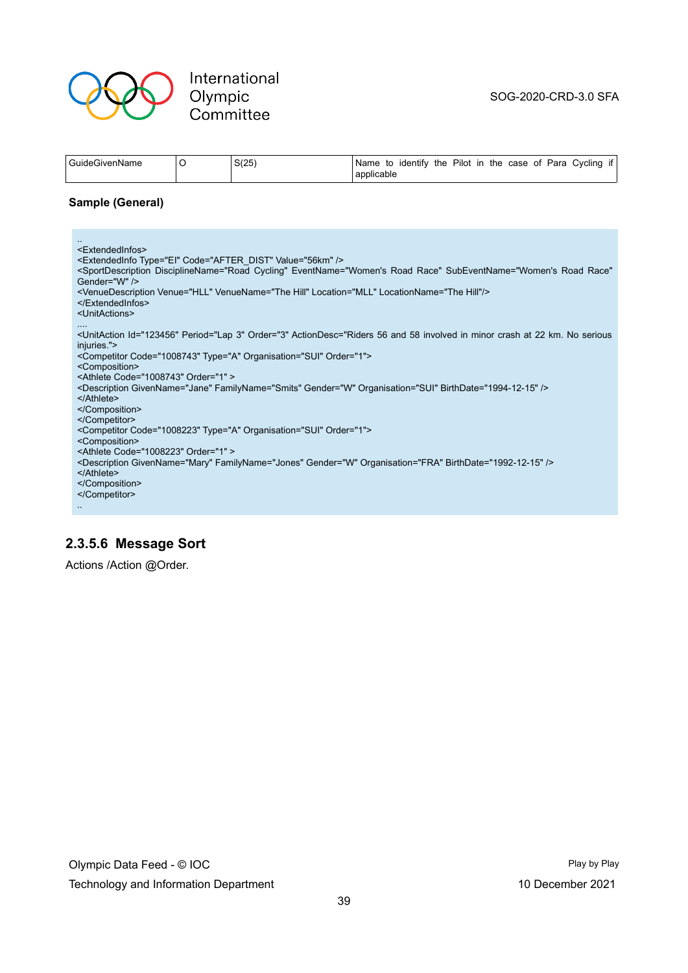

| GuideGivenName | S(25) |            |  |  |  |  | Name to identify the Pilot in the case of Para Cycling if |  |
|----------------|-------|------------|--|--|--|--|-----------------------------------------------------------|--|
|                |       | applicable |  |  |  |  |                                                           |  |

#### **Sample (General)**

.. <ExtendedInfos> <ExtendedInfo Type="EI" Code="AFTER\_DIST" Value="56km" /> <SportDescription DisciplineName="Road Cycling" EventName="Women's Road Race" SubEventName="Women's Road Race" Gender="W" /> <VenueDescription Venue="HLL" VenueName="The Hill" Location="MLL" LocationName="The Hill"/> </ExtendedInfos> <UnitActions> .... <UnitAction Id="123456" Period="Lap 3" Order="3" ActionDesc="Riders 56 and 58 involved in minor crash at 22 km. No serious injuries."> <Competitor Code="1008743" Type="A" Organisation="SUI" Order="1"> <Composition> <Athlete Code="1008743" Order="1" > <Description GivenName="Jane" FamilyName="Smits" Gender="W" Organisation="SUI" BirthDate="1994-12-15" /> </Athlete> </Composition> </Competitor> <Competitor Code="1008223" Type="A" Organisation="SUI" Order="1"> <Composition> <Athlete Code="1008223" Order="1" > <Description GivenName="Mary" FamilyName="Jones" Gender="W" Organisation="FRA" BirthDate="1992-12-15" /> </Athlete> </Composition> </Competitor> ..

## <span id="page-38-0"></span>**2.3.5.6 Message Sort**

Actions /Action @Order.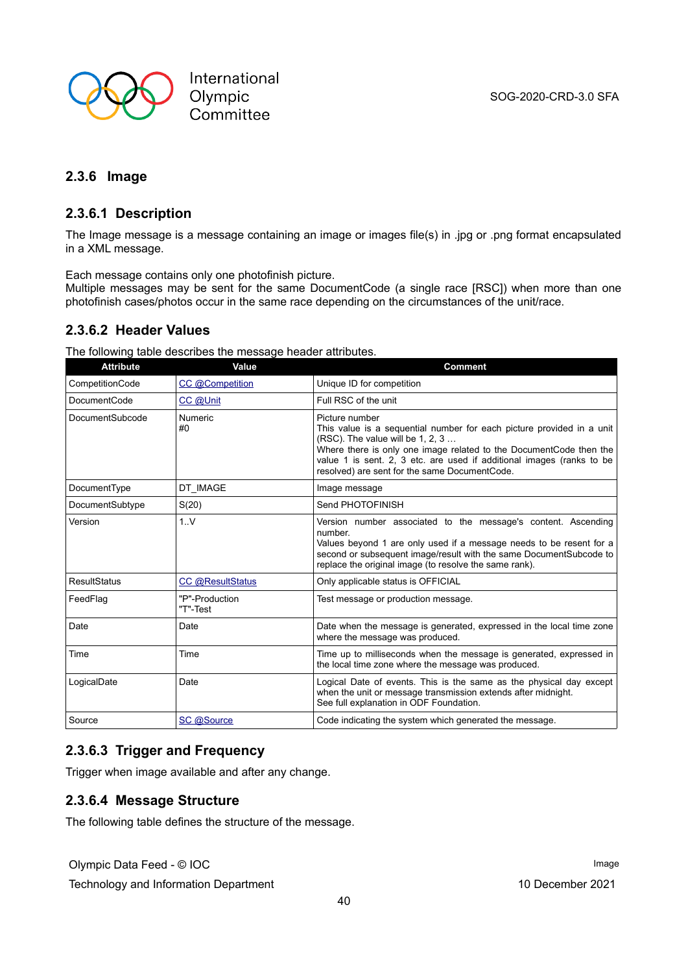

## <span id="page-39-0"></span>**2.3.6 Image**

## <span id="page-39-4"></span>**2.3.6.1 Description**

The Image message is a message containing an image or images file(s) in .jpg or .png format encapsulated in a XML message.

Each message contains only one photofinish picture.

Multiple messages may be sent for the same DocumentCode (a single race [RSC]) when more than one photofinish cases/photos occur in the same race depending on the circumstances of the unit/race.

## <span id="page-39-3"></span>**2.3.6.2 Header Values**

The following table describes the message header attributes.

| <b>Attribute</b>       | Value                      | <b>Comment</b>                                                                                                                                                                                                                                                                                                                 |
|------------------------|----------------------------|--------------------------------------------------------------------------------------------------------------------------------------------------------------------------------------------------------------------------------------------------------------------------------------------------------------------------------|
| CompetitionCode        | CC @Competition            | Unique ID for competition                                                                                                                                                                                                                                                                                                      |
| <b>DocumentCode</b>    | CC @Unit                   | Full RSC of the unit                                                                                                                                                                                                                                                                                                           |
| DocumentSubcode        | Numeric<br>#0              | Picture number<br>This value is a sequential number for each picture provided in a unit<br>$(RSC)$ . The value will be 1, 2, 3<br>Where there is only one image related to the DocumentCode then the<br>value 1 is sent. 2, 3 etc. are used if additional images (ranks to be<br>resolved) are sent for the same DocumentCode. |
| DocumentType           | DT IMAGE                   | Image message                                                                                                                                                                                                                                                                                                                  |
| <b>DocumentSubtvpe</b> | S(20)                      | Send PHOTOFINISH                                                                                                                                                                                                                                                                                                               |
| Version                | 1.1V                       | Version number associated to the message's content. Ascending<br>number.<br>Values beyond 1 are only used if a message needs to be resent for a<br>second or subsequent image/result with the same DocumentSubcode to<br>replace the original image (to resolve the same rank).                                                |
| <b>ResultStatus</b>    | CC @ResultStatus           | Only applicable status is OFFICIAL                                                                                                                                                                                                                                                                                             |
| FeedFlag               | "P"-Production<br>"T"-Test | Test message or production message.                                                                                                                                                                                                                                                                                            |
| Date                   | Date                       | Date when the message is generated, expressed in the local time zone<br>where the message was produced.                                                                                                                                                                                                                        |
| Time                   | Time                       | Time up to milliseconds when the message is generated, expressed in<br>the local time zone where the message was produced.                                                                                                                                                                                                     |
| LogicalDate            | Date                       | Logical Date of events. This is the same as the physical day except<br>when the unit or message transmission extends after midnight.<br>See full explanation in ODF Foundation.                                                                                                                                                |
| Source                 | SC @Source                 | Code indicating the system which generated the message.                                                                                                                                                                                                                                                                        |

## <span id="page-39-2"></span>**2.3.6.3 Trigger and Frequency**

Trigger when image available and after any change.

#### <span id="page-39-1"></span>**2.3.6.4 Message Structure**

The following table defines the structure of the message.

Olympic Data Feed - © IOC Image Technology and Information Department 10 December 2021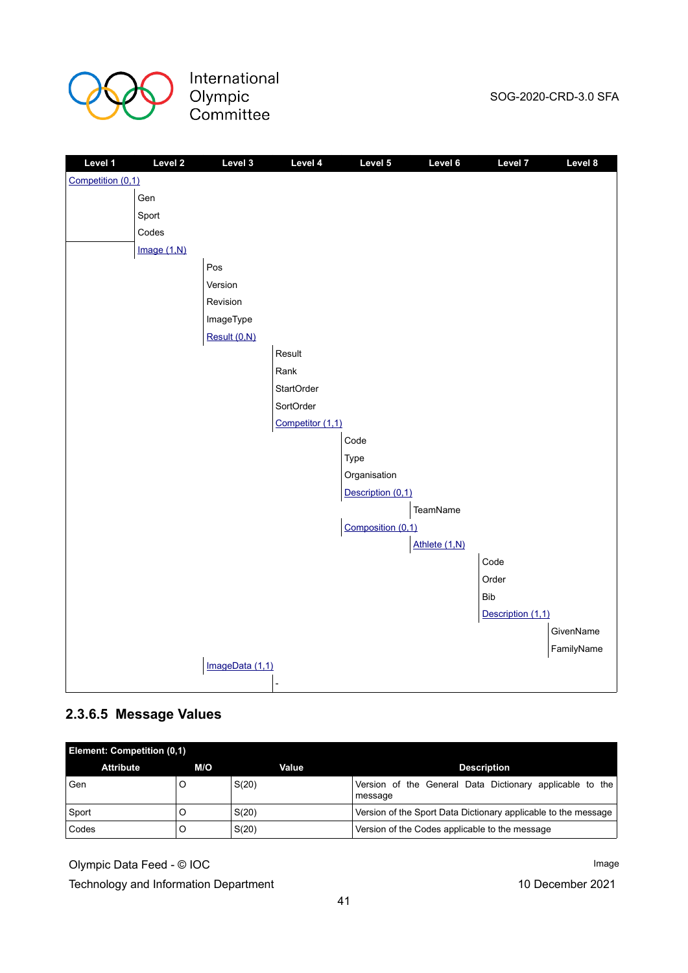

| Level 1           | Level 2    | Level 3         | Level 4                  | Level 5           | Level 6       | Level 7           | Level 8    |
|-------------------|------------|-----------------|--------------------------|-------------------|---------------|-------------------|------------|
| Competition (0,1) |            |                 |                          |                   |               |                   |            |
|                   | Gen        |                 |                          |                   |               |                   |            |
|                   | Sport      |                 |                          |                   |               |                   |            |
|                   | Codes      |                 |                          |                   |               |                   |            |
|                   | Image(1,N) |                 |                          |                   |               |                   |            |
|                   |            | Pos             |                          |                   |               |                   |            |
|                   |            | Version         |                          |                   |               |                   |            |
|                   |            | Revision        |                          |                   |               |                   |            |
|                   |            | ImageType       |                          |                   |               |                   |            |
|                   |            | Result (0,N)    |                          |                   |               |                   |            |
|                   |            |                 | Result                   |                   |               |                   |            |
|                   |            |                 | Rank                     |                   |               |                   |            |
|                   |            |                 | StartOrder               |                   |               |                   |            |
|                   |            |                 | SortOrder                |                   |               |                   |            |
|                   |            |                 | Competitor (1,1)         |                   |               |                   |            |
|                   |            |                 |                          | Code              |               |                   |            |
|                   |            |                 |                          | Type              |               |                   |            |
|                   |            |                 |                          | Organisation      |               |                   |            |
|                   |            |                 |                          | Description (0,1) |               |                   |            |
|                   |            |                 |                          |                   | TeamName      |                   |            |
|                   |            |                 |                          | Composition (0,1) |               |                   |            |
|                   |            |                 |                          |                   | Athlete (1,N) | Code              |            |
|                   |            |                 |                          |                   |               | Order             |            |
|                   |            |                 |                          |                   |               | <b>Bib</b>        |            |
|                   |            |                 |                          |                   |               | Description (1,1) |            |
|                   |            |                 |                          |                   |               |                   | GivenName  |
|                   |            |                 |                          |                   |               |                   | FamilyName |
|                   |            | ImageData (1,1) |                          |                   |               |                   |            |
|                   |            |                 | $\overline{\phantom{0}}$ |                   |               |                   |            |

## <span id="page-40-0"></span>**2.3.6.5 Message Values**

<span id="page-40-1"></span>

| <b>Element: Competition (0,1)</b> |     |       |                                                                     |  |  |  |
|-----------------------------------|-----|-------|---------------------------------------------------------------------|--|--|--|
| <b>Attribute</b>                  | M/O | Value | <b>Description</b>                                                  |  |  |  |
| Gen                               |     | S(20) | Version of the General Data Dictionary applicable to the<br>message |  |  |  |
| Sport                             |     | S(20) | Version of the Sport Data Dictionary applicable to the message      |  |  |  |
| Codes                             |     | S(20) | Version of the Codes applicable to the message                      |  |  |  |

Olympic Data Feed - © IOC Image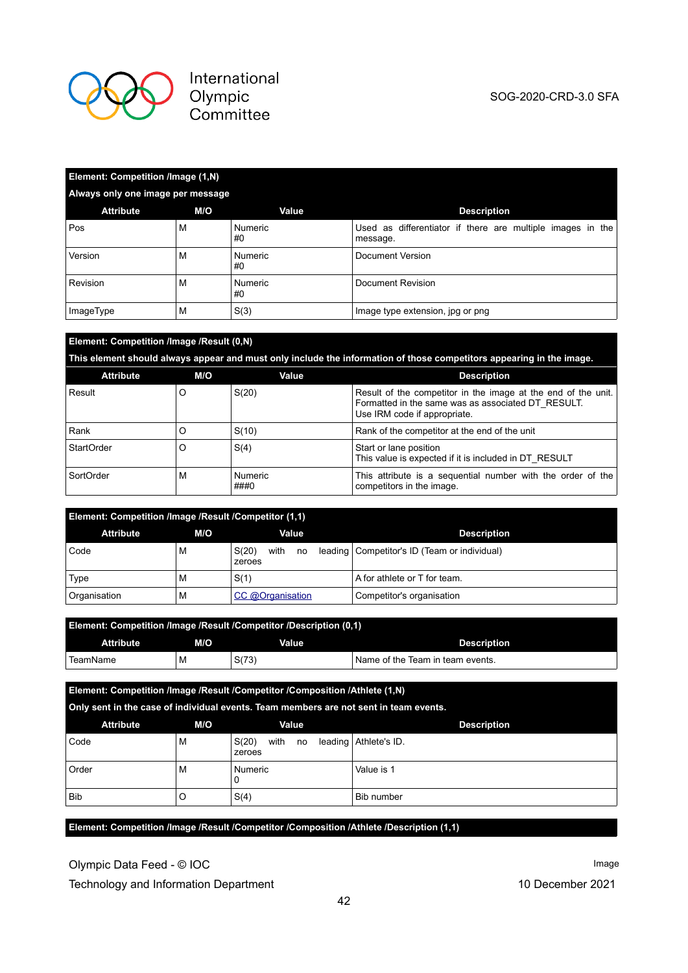

<span id="page-41-5"></span>

| Element: Competition /Image (1,N) |     |                      |                                                                        |  |  |  |  |
|-----------------------------------|-----|----------------------|------------------------------------------------------------------------|--|--|--|--|
| Always only one image per message |     |                      |                                                                        |  |  |  |  |
| <b>Attribute</b>                  | M/O | Value                | <b>Description</b>                                                     |  |  |  |  |
| Pos                               | м   | <b>Numeric</b><br>#0 | Used as differentiator if there are multiple images in the<br>message. |  |  |  |  |
| Version                           | м   | <b>Numeric</b><br>#0 | Document Version                                                       |  |  |  |  |
| Revision                          | м   | <b>Numeric</b><br>#0 | Document Revision                                                      |  |  |  |  |
| ImageType                         | М   | S(3)                 | Image type extension, jpg or png                                       |  |  |  |  |

<span id="page-41-4"></span>

| Element: Competition /Image /Result (0.N)                                                                            |     |                        |                                                                                                                                                     |  |  |  |  |
|----------------------------------------------------------------------------------------------------------------------|-----|------------------------|-----------------------------------------------------------------------------------------------------------------------------------------------------|--|--|--|--|
| This element should always appear and must only include the information of those competitors appearing in the image. |     |                        |                                                                                                                                                     |  |  |  |  |
| <b>Attribute</b>                                                                                                     | M/O | Value                  | <b>Description</b>                                                                                                                                  |  |  |  |  |
| Result                                                                                                               | O   | S(20)                  | Result of the competitor in the image at the end of the unit.<br>Formatted in the same was as associated DT RESULT.<br>Use IRM code if appropriate. |  |  |  |  |
| Rank                                                                                                                 | O   | S(10)                  | Rank of the competitor at the end of the unit                                                                                                       |  |  |  |  |
| <b>StartOrder</b>                                                                                                    | O   | S(4)                   | Start or lane position<br>This value is expected if it is included in DT RESULT                                                                     |  |  |  |  |
| SortOrder                                                                                                            | м   | <b>Numeric</b><br>###0 | This attribute is a sequential number with the order of the<br>competitors in the image.                                                            |  |  |  |  |

<span id="page-41-3"></span>

| Element: Competition /Image /Result /Competitor (1,1) |     |                               |                                                |
|-------------------------------------------------------|-----|-------------------------------|------------------------------------------------|
| <b>Attribute</b>                                      | M/O | Value                         | <b>Description</b>                             |
| Code                                                  | м   | S(20)<br>with<br>no<br>zeroes | leading   Competitor's ID (Team or individual) |
| Type                                                  | м   | S(1)                          | A for athlete or T for team.                   |
| Organisation                                          | м   | CC @Organisation              | Competitor's organisation                      |

<span id="page-41-2"></span>

| <b>Element: Competition /Image /Result /Competitor /Description (0.1)</b> |     |       |                                   |
|---------------------------------------------------------------------------|-----|-------|-----------------------------------|
| Attribute                                                                 | M/O | Value | <b>Description</b>                |
| TeamName                                                                  | M   | S(73) | 'Name of the Team in team events. |

<span id="page-41-1"></span>

| Element: Competition /Image /Result /Competitor /Composition /Athlete (1,N) |     |                                                                                       |                         |  |
|-----------------------------------------------------------------------------|-----|---------------------------------------------------------------------------------------|-------------------------|--|
|                                                                             |     | Only sent in the case of individual events. Team members are not sent in team events. |                         |  |
| <b>Attribute</b>                                                            | M/O | Value                                                                                 | <b>Description</b>      |  |
| Code                                                                        | м   | S(20)<br>with<br>no<br>zeroes                                                         | leading   Athlete's ID. |  |
| Order                                                                       | м   | <b>Numeric</b>                                                                        | Value is 1              |  |
| <b>Bib</b>                                                                  | O   | S(4)                                                                                  | Bib number              |  |

<span id="page-41-0"></span>**Element: Competition /Image /Result /Competitor /Composition /Athlete /Description (1,1)**

Olympic Data Feed - © IOC Image Technology and Information Department 10 December 2021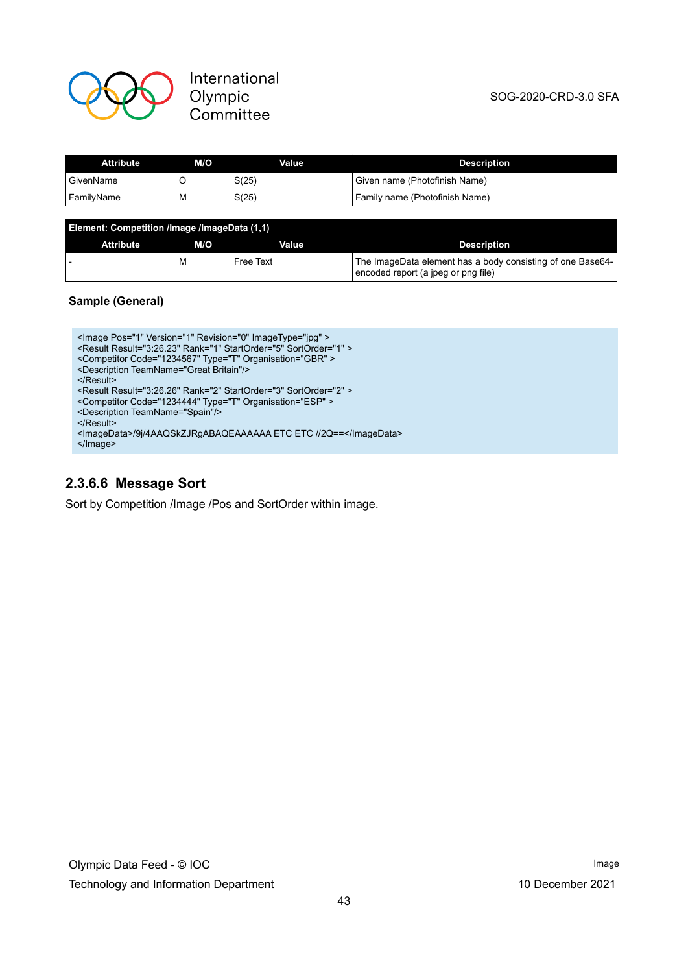

#### SOG-2020-CRD-3.0 SFA

| <b>Attribute</b> | M/O | Value | Description                    |
|------------------|-----|-------|--------------------------------|
| GivenName        |     | S(25) | Given name (Photofinish Name)  |
| ' FamilyName     | М   | S(25) | Family name (Photofinish Name) |

<span id="page-42-1"></span>

| <b>Element: Competition <i>I</i>mage /ImageData (1,1)</b> |     |           |                                                                                                   |
|-----------------------------------------------------------|-----|-----------|---------------------------------------------------------------------------------------------------|
| <b>Attribute</b>                                          | M/O | Value     | <b>Description</b>                                                                                |
|                                                           | M   | Free Text | The ImageData element has a body consisting of one Base64-<br>encoded report (a jpeg or png file) |

#### **Sample (General)**

<Image Pos="1" Version="1" Revision="0" ImageType="jpg" > <Result Result="3:26.23" Rank="1" StartOrder="5" SortOrder="1" >

<Competitor Code="1234567" Type="T" Organisation="GBR" > <Description TeamName="Great Britain"/>

</Result>

<Result Result="3:26.26" Rank="2" StartOrder="3" SortOrder="2" >

<Competitor Code="1234444" Type="T" Organisation="ESP" >

<Description TeamName="Spain"/>

</Result>

<ImageData>/9j/4AAQSkZJRgABAQEAAAAAA ETC ETC //2Q==</ImageData> </Image>

## <span id="page-42-0"></span>**2.3.6.6 Message Sort**

Sort by Competition /Image /Pos and SortOrder within image.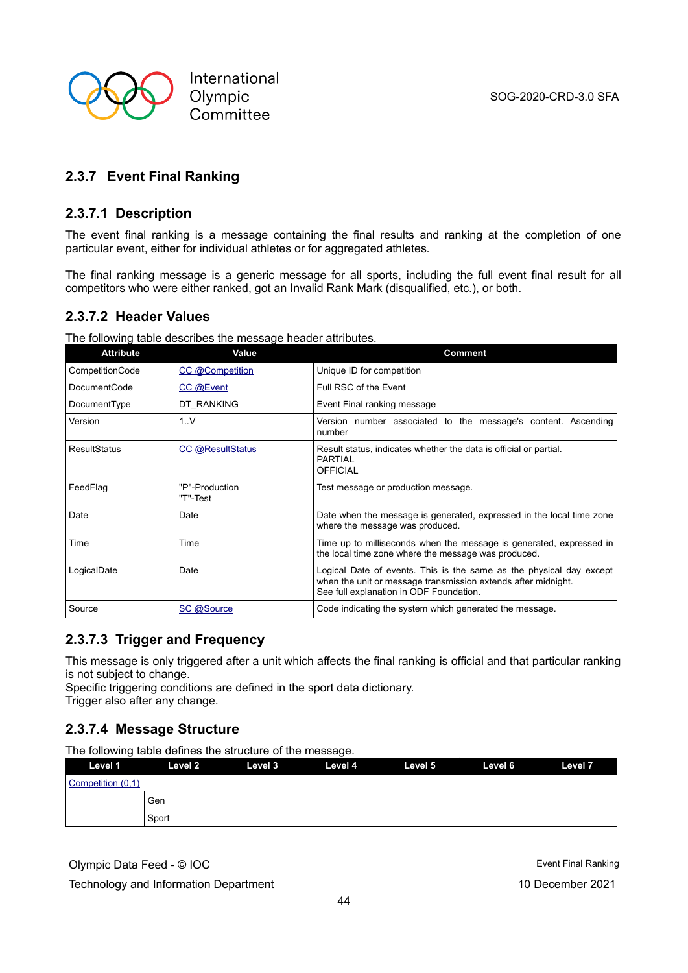

## <span id="page-43-4"></span>**2.3.7 Event Final Ranking**

#### <span id="page-43-3"></span>**2.3.7.1 Description**

The event final ranking is a message containing the final results and ranking at the completion of one particular event, either for individual athletes or for aggregated athletes.

The final ranking message is a generic message for all sports, including the full event final result for all competitors who were either ranked, got an Invalid Rank Mark (disqualified, etc.), or both.

#### <span id="page-43-2"></span>**2.3.7.2 Header Values**

The following table describes the message header attributes.

| <b>Attribute</b>    | Value                      | <b>Comment</b>                                                                                                                                                                  |
|---------------------|----------------------------|---------------------------------------------------------------------------------------------------------------------------------------------------------------------------------|
| CompetitionCode     | CC @Competition            | Unique ID for competition                                                                                                                                                       |
| <b>DocumentCode</b> | CC @Event                  | Full RSC of the Event                                                                                                                                                           |
| DocumentType        | DT RANKING                 | Event Final ranking message                                                                                                                                                     |
| Version             | 1.1 <sub>V</sub>           | Version number associated to the message's content. Ascending<br>number                                                                                                         |
| <b>ResultStatus</b> | CC @ResultStatus           | Result status, indicates whether the data is official or partial.<br><b>PARTIAL</b><br><b>OFFICIAL</b>                                                                          |
| FeedFlag            | "P"-Production<br>"T"-Test | Test message or production message.                                                                                                                                             |
| Date                | Date                       | Date when the message is generated, expressed in the local time zone<br>where the message was produced.                                                                         |
| Time                | Time                       | Time up to milliseconds when the message is generated, expressed in<br>the local time zone where the message was produced.                                                      |
| LogicalDate         | Date                       | Logical Date of events. This is the same as the physical day except<br>when the unit or message transmission extends after midnight.<br>See full explanation in ODF Foundation. |
| Source              | SC @Source                 | Code indicating the system which generated the message.                                                                                                                         |

## <span id="page-43-1"></span>**2.3.7.3 Trigger and Frequency**

This message is only triggered after a unit which affects the final ranking is official and that particular ranking is not subject to change.

Specific triggering conditions are defined in the sport data dictionary. Trigger also after any change.

#### <span id="page-43-0"></span>**2.3.7.4 Message Structure**

The following table defines the structure of the message.

| Level 1           | Level 2 | Level 3 | Level 4 | Level 5 | Level 6 | Level 7 |
|-------------------|---------|---------|---------|---------|---------|---------|
| Competition (0,1) |         |         |         |         |         |         |
|                   | Gen     |         |         |         |         |         |
|                   | Sport   |         |         |         |         |         |

Olympic Data Feed - © IOC **Example 2018** Event Final Ranking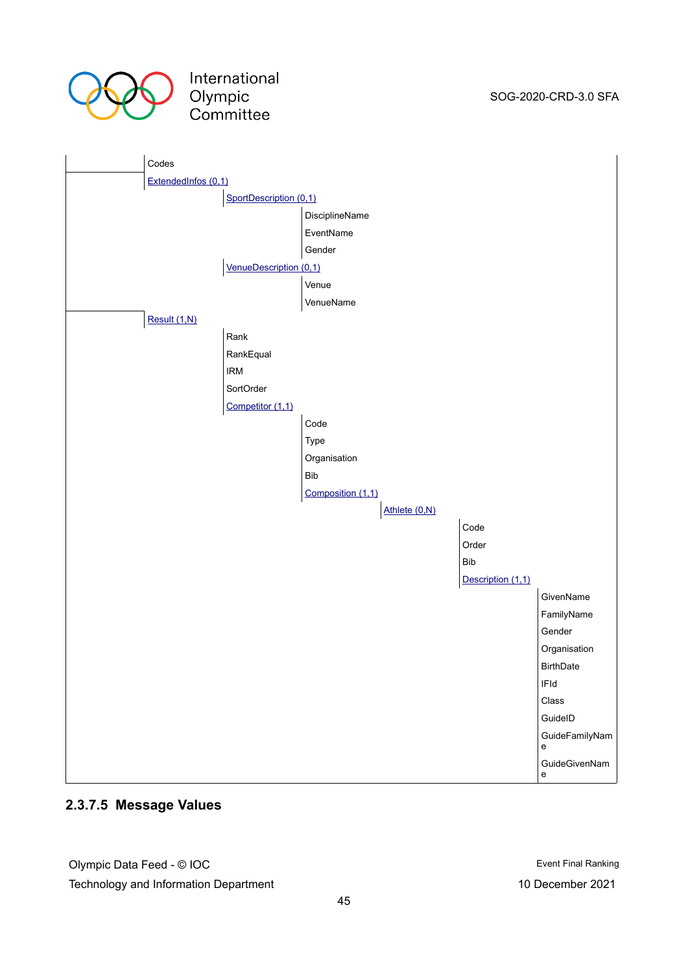



## <span id="page-44-1"></span><span id="page-44-0"></span>**2.3.7.5 Message Values**

Olympic Data Feed - © IOC **Example 2018** Event Final Ranking Technology and Information Department 10 December 2021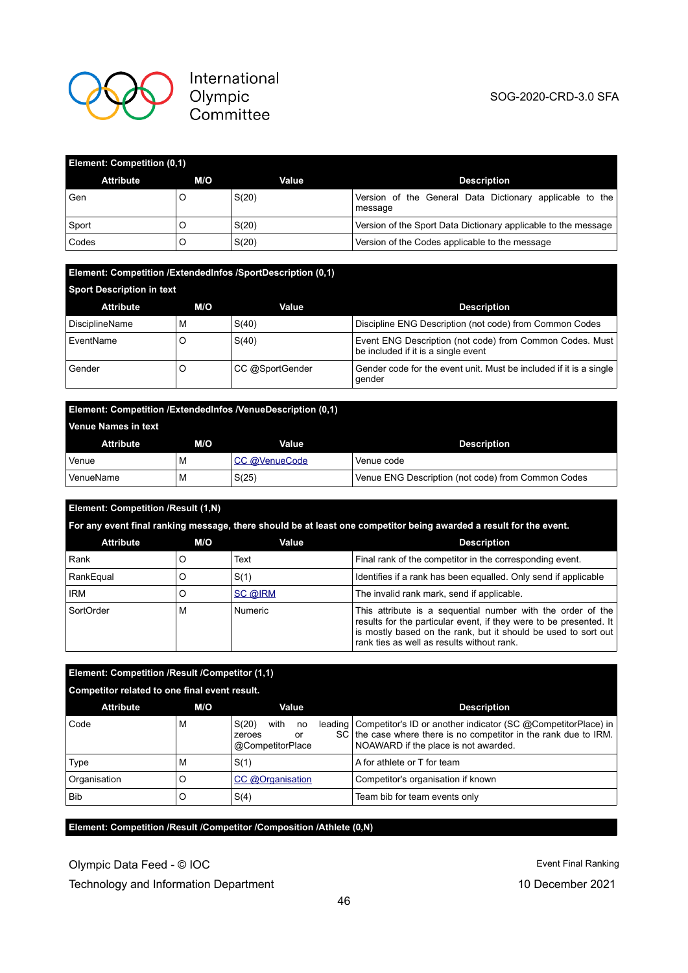

| <b>Element: Competition (0.1)</b> |     |       |                                                                     |
|-----------------------------------|-----|-------|---------------------------------------------------------------------|
| <b>Attribute</b>                  | M/O | Value | <b>Description</b>                                                  |
| Gen                               |     | S(20) | Version of the General Data Dictionary applicable to the<br>message |
| Sport                             |     | S(20) | Version of the Sport Data Dictionary applicable to the message      |
| Codes                             |     | S(20) | Version of the Codes applicable to the message                      |

<span id="page-45-4"></span>

| <b>Sport Description in text</b> |     |                 |                                                                                                 |  |
|----------------------------------|-----|-----------------|-------------------------------------------------------------------------------------------------|--|
| <b>Attribute</b>                 | M/O | Value           | <b>Description</b>                                                                              |  |
| <b>DisciplineName</b>            | м   | S(40)           | Discipline ENG Description (not code) from Common Codes                                         |  |
| EventName                        |     | S(40)           | Event ENG Description (not code) from Common Codes. Must<br>be included if it is a single event |  |
| Gender                           |     | CC @SportGender | Gender code for the event unit. Must be included if it is a single<br>gender                    |  |

<span id="page-45-3"></span>

| Element: Competition /ExtendedInfos /VenueDescription (0,1) |     |               |                                                    |  |
|-------------------------------------------------------------|-----|---------------|----------------------------------------------------|--|
| Venue Names in text                                         |     |               |                                                    |  |
| <b>Attribute</b>                                            | M/O | Value         | <b>Description</b>                                 |  |
| Venue                                                       | М   | CC @VenueCode | Venue code                                         |  |
| VenueName                                                   | м   | S(25)         | Venue ENG Description (not code) from Common Codes |  |

<span id="page-45-2"></span>

| <b>Element: Competition /Result (1,N)</b> |     |                |                                                                                                                                                                                                                                                   |
|-------------------------------------------|-----|----------------|---------------------------------------------------------------------------------------------------------------------------------------------------------------------------------------------------------------------------------------------------|
|                                           |     |                | For any event final ranking message, there should be at least one competitor being awarded a result for the event.                                                                                                                                |
| <b>Attribute</b>                          | M/O | Value          | <b>Description</b>                                                                                                                                                                                                                                |
| Rank                                      | O   | Text           | Final rank of the competitor in the corresponding event.                                                                                                                                                                                          |
| RankEqual                                 |     | S(1)           | Identifies if a rank has been equalled. Only send if applicable                                                                                                                                                                                   |
| <b>IRM</b>                                |     | SC @IRM        | The invalid rank mark, send if applicable.                                                                                                                                                                                                        |
| SortOrder                                 | М   | <b>Numeric</b> | This attribute is a sequential number with the order of the<br>results for the particular event, if they were to be presented. It<br>is mostly based on the rank, but it should be used to sort out<br>rank ties as well as results without rank. |

<span id="page-45-1"></span>

| <b>Element: Competition / Result / Competitor (1,1)</b> |     |                                                         |                                                                                                                                                                                      |  |
|---------------------------------------------------------|-----|---------------------------------------------------------|--------------------------------------------------------------------------------------------------------------------------------------------------------------------------------------|--|
| Competitor related to one final event result.           |     |                                                         |                                                                                                                                                                                      |  |
| <b>Attribute</b>                                        | M/O | Value                                                   | <b>Description</b>                                                                                                                                                                   |  |
| Code                                                    | м   | S(20)<br>with<br>no<br>zeroes<br>or<br>@CompetitorPlace | leading Competitor's ID or another indicator (SC $@$ CompetitorPlace) in<br>SC the case where there is no competitor in the rank due to IRM.<br>NOAWARD if the place is not awarded. |  |
| Type                                                    | м   | S(1)                                                    | A for athlete or T for team                                                                                                                                                          |  |
| Organisation                                            | O   | CC @Organisation                                        | Competitor's organisation if known                                                                                                                                                   |  |
| <b>Bib</b>                                              | O   | S(4)                                                    | Team bib for team events only                                                                                                                                                        |  |

<span id="page-45-0"></span>**Element: Competition /Result /Competitor /Composition /Athlete (0,N)**

Olympic Data Feed - © IOC **Example 2018** Event Final Ranking Technology and Information Department 10 December 2021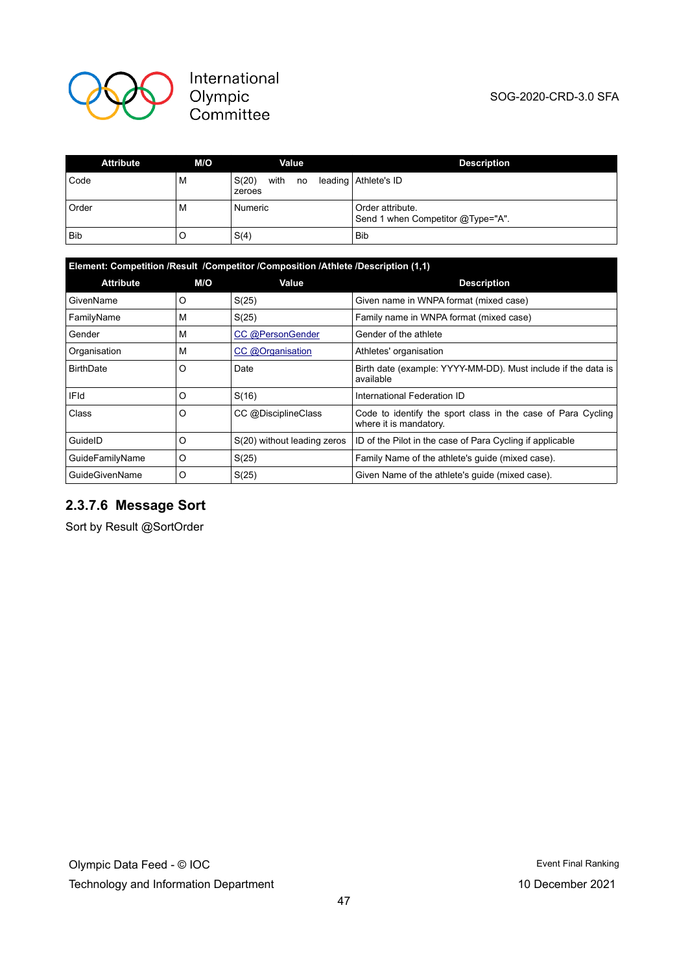

| <b>Attribute</b> | M/O | Value                         | <b>Description</b>                                    |
|------------------|-----|-------------------------------|-------------------------------------------------------|
| Code             | М   | S(20)<br>with<br>no<br>zeroes | leading   Athlete's ID                                |
| Order            | М   | Numeric                       | Order attribute.<br>Send 1 when Competitor @Type="A". |
| <b>Bib</b>       | Ő   | S(4)                          | <b>Bib</b>                                            |

<span id="page-46-1"></span>

| Element: Competition /Result /Competitor /Composition /Athlete /Description (1,1) |
|-----------------------------------------------------------------------------------|
|-----------------------------------------------------------------------------------|

| <b>Attribute</b> | M/O     | Value                       | <b>Description</b>                                                                     |
|------------------|---------|-----------------------------|----------------------------------------------------------------------------------------|
| GivenName        | O       | S(25)                       | Given name in WNPA format (mixed case)                                                 |
| FamilyName       | м       | S(25)                       | Family name in WNPA format (mixed case)                                                |
| Gender           | м       | CC @PersonGender            | Gender of the athlete                                                                  |
| Organisation     | м       | CC @Organisation            | Athletes' organisation                                                                 |
| <b>BirthDate</b> | O       | Date                        | Birth date (example: YYYY-MM-DD). Must include if the data is<br>available             |
| <b>IFId</b>      | O       | S(16)                       | International Federation ID                                                            |
| Class            | O       | CC @DisciplineClass         | Code to identify the sport class in the case of Para Cycling<br>where it is mandatory. |
| GuidelD          | O       | S(20) without leading zeros | ID of the Pilot in the case of Para Cycling if applicable                              |
| GuideFamilyName  | $\circ$ | S(25)                       | Family Name of the athlete's guide (mixed case).                                       |
| GuideGivenName   | O       | S(25)                       | Given Name of the athlete's quide (mixed case).                                        |

## <span id="page-46-0"></span>**2.3.7.6 Message Sort**

Sort by Result @SortOrder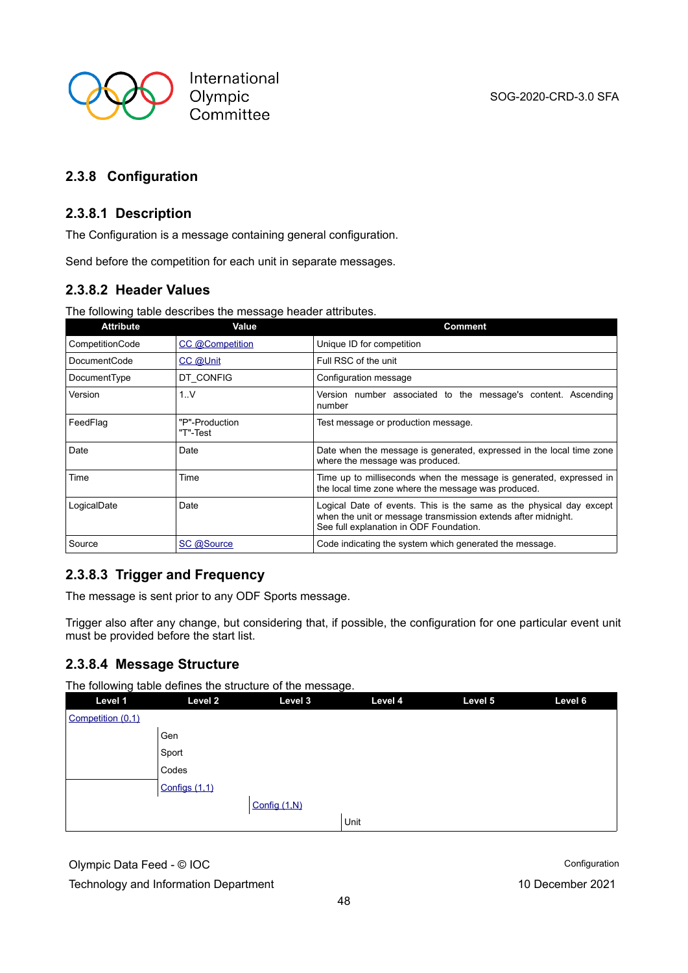

## <span id="page-47-4"></span>**2.3.8 Configuration**

## <span id="page-47-3"></span>**2.3.8.1 Description**

The Configuration is a message containing general configuration.

Send before the competition for each unit in separate messages.

## <span id="page-47-2"></span>**2.3.8.2 Header Values**

The following table describes the message header attributes.

| <b>Attribute</b>    | Value                      | <b>Comment</b>                                                                                                                                                                  |
|---------------------|----------------------------|---------------------------------------------------------------------------------------------------------------------------------------------------------------------------------|
| CompetitionCode     | CC @Competition            | Unique ID for competition                                                                                                                                                       |
| <b>DocumentCode</b> | CC @Unit                   | Full RSC of the unit                                                                                                                                                            |
| DocumentType        | DT CONFIG                  | Configuration message                                                                                                                                                           |
| Version             | 1.1V                       | Version number associated to the message's content. Ascending<br>number                                                                                                         |
| FeedFlag            | "P"-Production<br>"T"-Test | Test message or production message.                                                                                                                                             |
| Date                | Date                       | Date when the message is generated, expressed in the local time zone<br>where the message was produced.                                                                         |
| Time                | Time                       | Time up to milliseconds when the message is generated, expressed in<br>the local time zone where the message was produced.                                                      |
| LogicalDate         | Date                       | Logical Date of events. This is the same as the physical day except<br>when the unit or message transmission extends after midnight.<br>See full explanation in ODF Foundation. |
| Source              | SC @Source                 | Code indicating the system which generated the message.                                                                                                                         |

## <span id="page-47-1"></span>**2.3.8.3 Trigger and Frequency**

The message is sent prior to any ODF Sports message.

Trigger also after any change, but considering that, if possible, the configuration for one particular event unit must be provided before the start list.

## <span id="page-47-0"></span>**2.3.8.4 Message Structure**

The following table defines the structure of the message.

| Level 1           | Level 2         | . <b>.</b><br>Level 3 | Level 4 | Level 5 | Level 6 |
|-------------------|-----------------|-----------------------|---------|---------|---------|
| Competition (0,1) |                 |                       |         |         |         |
|                   | Gen             |                       |         |         |         |
|                   | Sport           |                       |         |         |         |
|                   | Codes           |                       |         |         |         |
|                   | Configs $(1,1)$ |                       |         |         |         |
|                   |                 | Config (1,N)          |         |         |         |
|                   |                 |                       | Unit    |         |         |

Olympic Data Feed - © IOC Configuration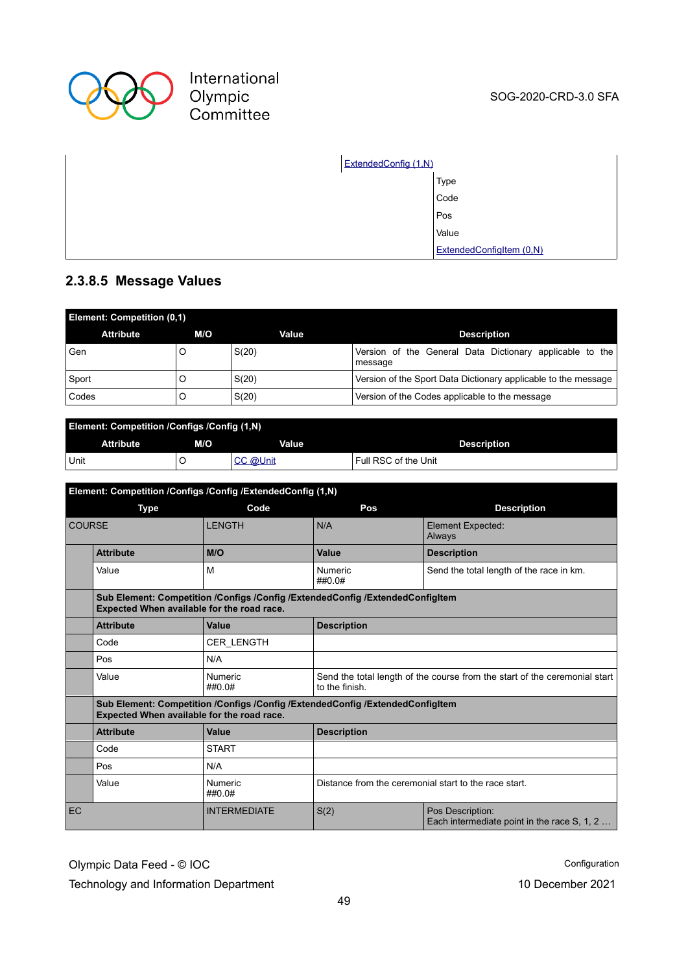

| ExtendedConfig (1,N)     |
|--------------------------|
| Type                     |
| Code                     |
| Pos                      |
| Value                    |
| ExtendedConfigItem (0,N) |

## <span id="page-48-0"></span>**2.3.8.5 Message Values**

<span id="page-48-2"></span>

| <b>Element: Competition (0,1)</b> |     |       |                                                                     |
|-----------------------------------|-----|-------|---------------------------------------------------------------------|
| <b>Attribute</b>                  | M/O | Value | <b>Description</b>                                                  |
| Gen                               | O   | S(20) | Version of the General Data Dictionary applicable to the<br>message |
| Sport                             |     | S(20) | Version of the Sport Data Dictionary applicable to the message      |
| Codes                             |     | S(20) | Version of the Codes applicable to the message                      |

<span id="page-48-1"></span>

| Element: Competition /Configs /Config (1,N) |     |          |                      |
|---------------------------------------------|-----|----------|----------------------|
| <b>Attribute</b>                            | M/O | Value    | <b>Description</b>   |
| Unit                                        |     | CC @Unit | Full RSC of the Unit |

<span id="page-48-3"></span>

|               | Element: Competition /Configs /Config /ExtendedConfig (1,N)                                                                 |                                                                               |                                                       |                                                                            |  |
|---------------|-----------------------------------------------------------------------------------------------------------------------------|-------------------------------------------------------------------------------|-------------------------------------------------------|----------------------------------------------------------------------------|--|
|               | <b>Type</b>                                                                                                                 | Code                                                                          | Pos                                                   | <b>Description</b>                                                         |  |
| <b>COURSE</b> |                                                                                                                             | <b>LENGTH</b>                                                                 | N/A                                                   | <b>Element Expected:</b><br>Always                                         |  |
|               | <b>Attribute</b>                                                                                                            | M/O                                                                           | Value                                                 | <b>Description</b>                                                         |  |
|               | Value                                                                                                                       | M                                                                             | Numeric<br>##0.0#                                     | Send the total length of the race in km.                                   |  |
|               | Expected When available for the road race.                                                                                  | Sub Element: Competition /Configs /Config /ExtendedConfig /ExtendedConfigItem |                                                       |                                                                            |  |
|               | <b>Attribute</b>                                                                                                            | Value                                                                         | <b>Description</b>                                    |                                                                            |  |
|               | Code                                                                                                                        | CER_LENGTH                                                                    |                                                       |                                                                            |  |
|               | Pos                                                                                                                         | N/A                                                                           |                                                       |                                                                            |  |
|               | Value                                                                                                                       | Numeric<br>##0.0#                                                             | to the finish.                                        | Send the total length of the course from the start of the ceremonial start |  |
|               | Sub Element: Competition /Configs /Config /ExtendedConfig /ExtendedConfigItem<br>Expected When available for the road race. |                                                                               |                                                       |                                                                            |  |
|               | <b>Attribute</b>                                                                                                            | Value                                                                         | <b>Description</b>                                    |                                                                            |  |
|               | Code                                                                                                                        | <b>START</b>                                                                  |                                                       |                                                                            |  |
|               | Pos                                                                                                                         | N/A                                                                           |                                                       |                                                                            |  |
|               | Value                                                                                                                       | Numeric<br>##0.0#                                                             | Distance from the ceremonial start to the race start. |                                                                            |  |
| EC            |                                                                                                                             | <b>INTERMEDIATE</b>                                                           | S(2)                                                  | Pos Description:<br>Each intermediate point in the race S, 1, 2            |  |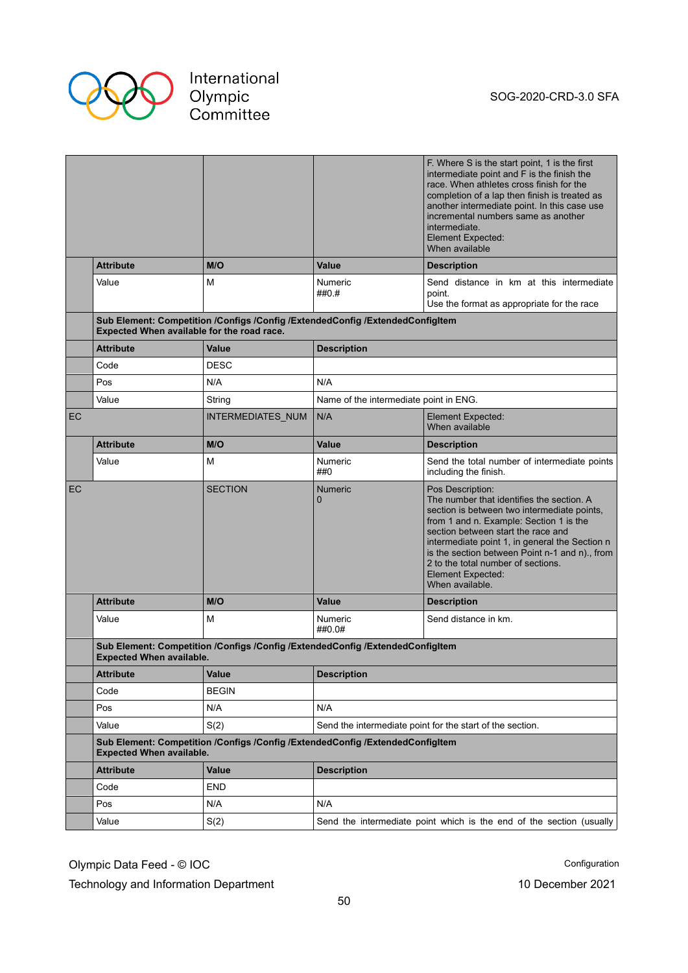

|    |                                            |                                                                               |                                                                               | F. Where S is the start point, 1 is the first<br>intermediate point and F is the finish the<br>race. When athletes cross finish for the<br>completion of a lap then finish is treated as<br>another intermediate point. In this case use<br>incremental numbers same as another<br>intermediate.<br><b>Element Expected:</b><br>When available                                         |  |
|----|--------------------------------------------|-------------------------------------------------------------------------------|-------------------------------------------------------------------------------|----------------------------------------------------------------------------------------------------------------------------------------------------------------------------------------------------------------------------------------------------------------------------------------------------------------------------------------------------------------------------------------|--|
|    | <b>Attribute</b>                           | M/O                                                                           | <b>Value</b>                                                                  | <b>Description</b>                                                                                                                                                                                                                                                                                                                                                                     |  |
|    | Value                                      | M                                                                             | <b>Numeric</b><br>##0.#                                                       | Send distance in km at this intermediate<br>point.<br>Use the format as appropriate for the race                                                                                                                                                                                                                                                                                       |  |
|    | Expected When available for the road race. |                                                                               | Sub Element: Competition /Configs /Config /ExtendedConfig /ExtendedConfigltem |                                                                                                                                                                                                                                                                                                                                                                                        |  |
|    | <b>Attribute</b>                           | Value                                                                         | <b>Description</b>                                                            |                                                                                                                                                                                                                                                                                                                                                                                        |  |
|    | Code                                       | <b>DESC</b>                                                                   |                                                                               |                                                                                                                                                                                                                                                                                                                                                                                        |  |
|    | Pos                                        | N/A                                                                           | N/A                                                                           |                                                                                                                                                                                                                                                                                                                                                                                        |  |
|    | Value                                      | String                                                                        | Name of the intermediate point in ENG.                                        |                                                                                                                                                                                                                                                                                                                                                                                        |  |
| EC |                                            | INTERMEDIATES_NUM                                                             | N/A                                                                           | Element Expected:<br>When available                                                                                                                                                                                                                                                                                                                                                    |  |
|    | <b>Attribute</b>                           | M/O                                                                           | <b>Value</b>                                                                  | <b>Description</b>                                                                                                                                                                                                                                                                                                                                                                     |  |
|    | Value                                      | М                                                                             | <b>Numeric</b><br>##0                                                         | Send the total number of intermediate points<br>including the finish.                                                                                                                                                                                                                                                                                                                  |  |
| EC |                                            | <b>SECTION</b>                                                                | <b>Numeric</b><br>$\overline{0}$                                              | Pos Description:<br>The number that identifies the section. A<br>section is between two intermediate points,<br>from 1 and n. Example: Section 1 is the<br>section between start the race and<br>intermediate point 1, in general the Section n<br>is the section between Point n-1 and n)., from<br>2 to the total number of sections.<br><b>Element Expected:</b><br>When available. |  |
|    | <b>Attribute</b>                           | M/O                                                                           | <b>Value</b>                                                                  | <b>Description</b>                                                                                                                                                                                                                                                                                                                                                                     |  |
|    | Value                                      | M                                                                             | Numeric<br>##0.0#                                                             | Send distance in km.                                                                                                                                                                                                                                                                                                                                                                   |  |
|    | <b>Expected When available.</b>            | Sub Element: Competition /Configs /Config /ExtendedConfig /ExtendedConfigltem |                                                                               |                                                                                                                                                                                                                                                                                                                                                                                        |  |
|    | <b>Attribute</b>                           | Value                                                                         | <b>Description</b>                                                            |                                                                                                                                                                                                                                                                                                                                                                                        |  |
|    | Code                                       | <b>BEGIN</b>                                                                  |                                                                               |                                                                                                                                                                                                                                                                                                                                                                                        |  |
|    | Pos                                        | N/A                                                                           | N/A                                                                           |                                                                                                                                                                                                                                                                                                                                                                                        |  |
|    | Value                                      | S(2)                                                                          |                                                                               | Send the intermediate point for the start of the section.                                                                                                                                                                                                                                                                                                                              |  |
|    | <b>Expected When available.</b>            | Sub Element: Competition /Configs /Config /ExtendedConfig /ExtendedConfigltem |                                                                               |                                                                                                                                                                                                                                                                                                                                                                                        |  |
|    | <b>Attribute</b>                           | Value                                                                         | <b>Description</b>                                                            |                                                                                                                                                                                                                                                                                                                                                                                        |  |
|    | Code                                       | <b>END</b>                                                                    |                                                                               |                                                                                                                                                                                                                                                                                                                                                                                        |  |
|    | Pos                                        | N/A                                                                           | N/A                                                                           |                                                                                                                                                                                                                                                                                                                                                                                        |  |
|    | Value                                      | S(2)                                                                          |                                                                               | Send the intermediate point which is the end of the section (usually                                                                                                                                                                                                                                                                                                                   |  |

Olympic Data Feed - © IOC Configuration Technology and Information Department 10 December 2021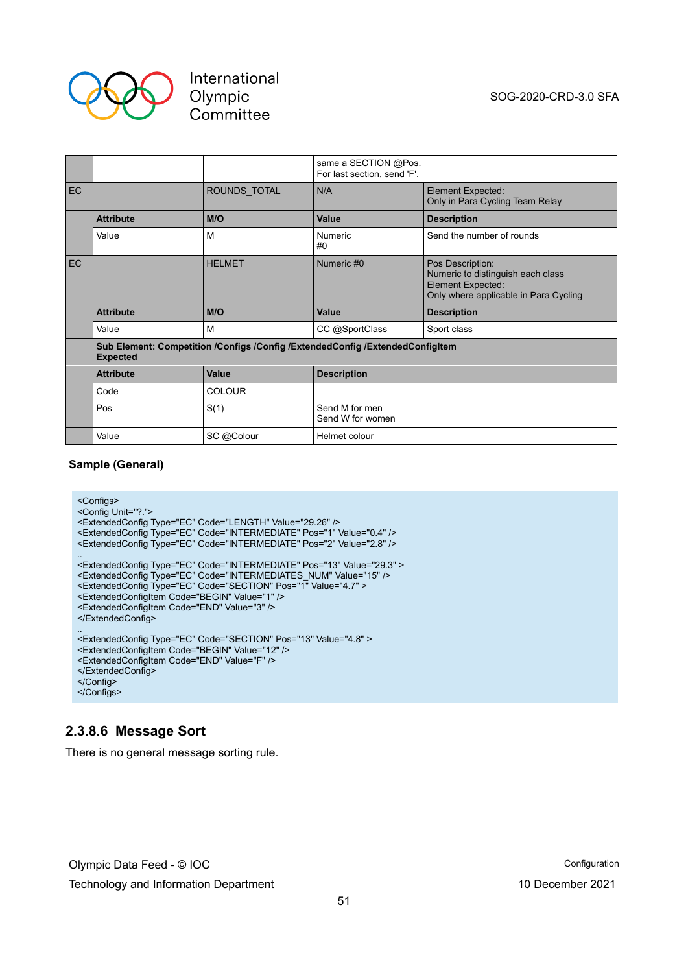

|           |                                                                                                  |               | same a SECTION @Pos.<br>For last section, send 'F'. |                                                                                                                     |
|-----------|--------------------------------------------------------------------------------------------------|---------------|-----------------------------------------------------|---------------------------------------------------------------------------------------------------------------------|
| <b>EC</b> |                                                                                                  | ROUNDS TOTAL  | N/A                                                 | <b>Element Expected:</b><br>Only in Para Cycling Team Relay                                                         |
|           | <b>Attribute</b>                                                                                 | M/O           | <b>Value</b>                                        | <b>Description</b>                                                                                                  |
|           | Value                                                                                            | M             | <b>Numeric</b><br>#0                                | Send the number of rounds                                                                                           |
| <b>EC</b> |                                                                                                  | <b>HELMET</b> | Numeric #0                                          | Pos Description:<br>Numeric to distinguish each class<br>Element Expected:<br>Only where applicable in Para Cycling |
|           | <b>Attribute</b>                                                                                 | M/O           | <b>Value</b>                                        | <b>Description</b>                                                                                                  |
|           | Value                                                                                            | M             | CC @SportClass                                      | Sport class                                                                                                         |
|           | Sub Element: Competition /Configs /Config /ExtendedConfig /ExtendedConfigltem<br><b>Expected</b> |               |                                                     |                                                                                                                     |
|           | <b>Attribute</b>                                                                                 | Value         | <b>Description</b>                                  |                                                                                                                     |
|           | Code                                                                                             | <b>COLOUR</b> |                                                     |                                                                                                                     |
|           | Pos                                                                                              | S(1)          | Send M for men<br>Send W for women                  |                                                                                                                     |
|           | Value                                                                                            | SC @Colour    | Helmet colour                                       |                                                                                                                     |

#### **Sample (General)**

```
<Configs>
<Config Unit="?.">
<ExtendedConfig Type="EC" Code="LENGTH" Value="29.26" />
<ExtendedConfig Type="EC" Code="INTERMEDIATE" Pos="1" Value="0.4" />
<ExtendedConfig Type="EC" Code="INTERMEDIATE" Pos="2" Value="2.8" />
..
<ExtendedConfig Type="EC" Code="INTERMEDIATE" Pos="13" Value="29.3" >
<ExtendedConfig Type="EC" Code="INTERMEDIATES_NUM" Value="15" />
<ExtendedConfig Type="EC" Code="SECTION" Pos="1" Value="4.7" >
<ExtendedConfigItem Code="BEGIN" Value="1" />
<ExtendedConfigItem Code="END" Value="3" />
</ExtendedConfig>
..
<ExtendedConfig Type="EC" Code="SECTION" Pos="13" Value="4.8" >
<ExtendedConfigItem Code="BEGIN" Value="12" />
<ExtendedConfigItem Code="END" Value="F" />
</ExtendedConfig>
</Config>
```

```
</Configs>
```
## <span id="page-50-0"></span>**2.3.8.6 Message Sort**

There is no general message sorting rule.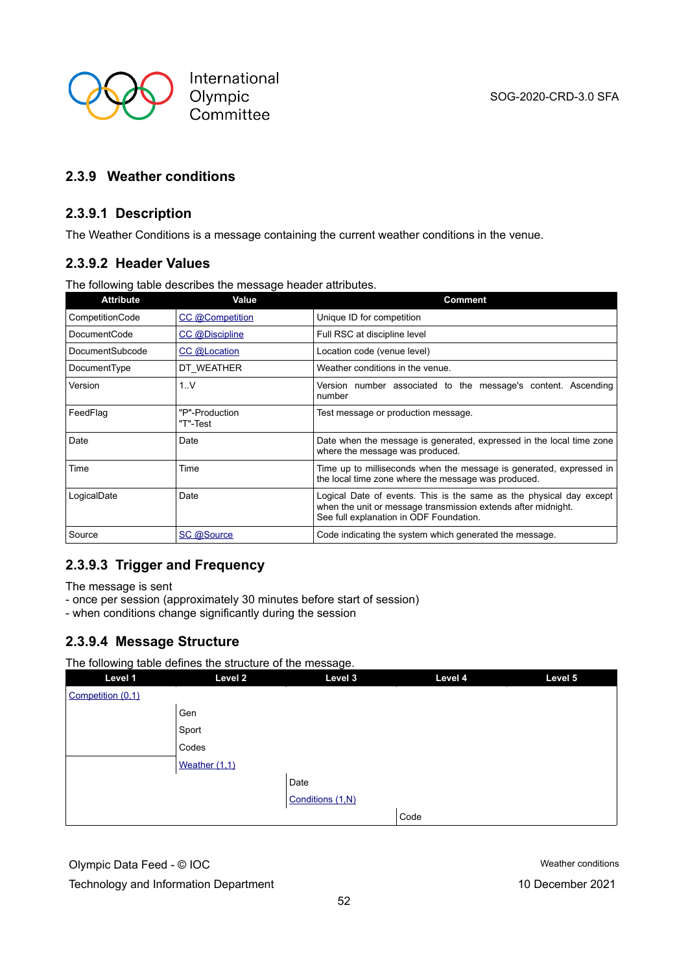

## <span id="page-51-4"></span>**2.3.9 Weather conditions**

## <span id="page-51-3"></span>**2.3.9.1 Description**

The Weather Conditions is a message containing the current weather conditions in the venue.

#### <span id="page-51-2"></span>**2.3.9.2 Header Values**

The following table describes the message header attributes.

| <b>Attribute</b> | Value                      | <b>Comment</b>                                                                                                                                                                  |
|------------------|----------------------------|---------------------------------------------------------------------------------------------------------------------------------------------------------------------------------|
| CompetitionCode  | CC @Competition            | Unique ID for competition                                                                                                                                                       |
| DocumentCode     | CC @Discipline             | Full RSC at discipline level                                                                                                                                                    |
| DocumentSubcode  | CC @Location               | Location code (venue level)                                                                                                                                                     |
| DocumentType     | DT WEATHER                 | Weather conditions in the venue.                                                                                                                                                |
| Version          | 1.1V                       | Version number associated to the message's content. Ascending<br>number                                                                                                         |
| FeedFlag         | "P"-Production<br>"T"-Test | Test message or production message.                                                                                                                                             |
| Date             | Date                       | Date when the message is generated, expressed in the local time zone<br>where the message was produced.                                                                         |
| Time             | Time                       | Time up to milliseconds when the message is generated, expressed in<br>the local time zone where the message was produced.                                                      |
| LogicalDate      | Date                       | Logical Date of events. This is the same as the physical day except<br>when the unit or message transmission extends after midnight.<br>See full explanation in ODF Foundation. |
| Source           | SC @Source                 | Code indicating the system which generated the message.                                                                                                                         |

## <span id="page-51-1"></span>**2.3.9.3 Trigger and Frequency**

The message is sent

- once per session (approximately 30 minutes before start of session)
- when conditions change significantly during the session

## <span id="page-51-0"></span>**2.3.9.4 Message Structure**

The following table defines the structure of the message.

| Level 1           | Level 2         | Level 3          | Level 4 | Level 5 |
|-------------------|-----------------|------------------|---------|---------|
| Competition (0,1) |                 |                  |         |         |
|                   | Gen             |                  |         |         |
|                   | Sport           |                  |         |         |
|                   | Codes           |                  |         |         |
|                   | Weather $(1,1)$ |                  |         |         |
|                   |                 | Date             |         |         |
|                   |                 | Conditions (1,N) |         |         |
|                   |                 |                  | Code    |         |

Olympic Data Feed - © IOC Weather conditions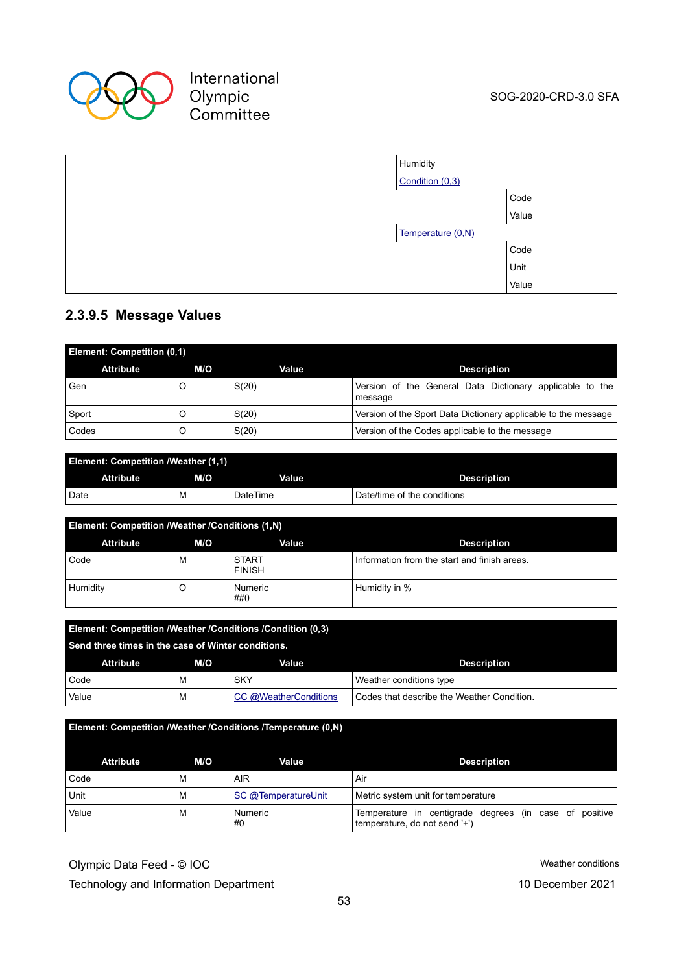

| Humidity          |               |
|-------------------|---------------|
| Condition (0,3)   |               |
|                   |               |
|                   | Code<br>Value |
| Temperature (0,N) |               |
|                   | Code          |
|                   | Unit          |
|                   | Value         |

## <span id="page-52-0"></span>**2.3.9.5 Message Values**

<span id="page-52-3"></span>

| <b>Element: Competition (0,1)</b> |     |       |                                                                     |
|-----------------------------------|-----|-------|---------------------------------------------------------------------|
| <b>Attribute</b>                  | M/O | Value | <b>Description</b>                                                  |
| Gen                               |     | S(20) | Version of the General Data Dictionary applicable to the<br>message |
| Sport                             |     | S(20) | Version of the Sport Data Dictionary applicable to the message      |
| Codes                             |     | S(20) | Version of the Codes applicable to the message                      |

<span id="page-52-2"></span>

| <b>Element: Competition /Weather (1,1)</b> |     |          |                             |  |
|--------------------------------------------|-----|----------|-----------------------------|--|
| <b>Attribute</b>                           | M/O | Value    | <b>Description</b>          |  |
| <sup>'</sup> Date                          | M   | DateTime | Date/time of the conditions |  |

<span id="page-52-1"></span>

| <b>Element: Competition /Weather /Conditions (1,N)</b> |     |                               |                                              |  |
|--------------------------------------------------------|-----|-------------------------------|----------------------------------------------|--|
| <b>Attribute</b>                                       | M/O | Value                         | <b>Description</b>                           |  |
| Code                                                   | M   | <b>START</b><br><b>FINISH</b> | Information from the start and finish areas. |  |
| Humidity                                               | U   | Numeric<br>##0                | Humidity in %                                |  |

<span id="page-52-5"></span>

| <b>Element: Competition /Weather /Conditions /Condition (0,3)</b> |     |                       |                                            |  |
|-------------------------------------------------------------------|-----|-----------------------|--------------------------------------------|--|
| Send three times in the case of Winter conditions.                |     |                       |                                            |  |
| Attribute                                                         | M/O | Value                 | <b>Description</b>                         |  |
| Code                                                              | м   | <b>SKY</b>            | Weather conditions type                    |  |
| Value                                                             | м   | CC @WeatherConditions | Codes that describe the Weather Condition. |  |

<span id="page-52-4"></span>**Element: Competition /Weather /Conditions /Temperature (0,N)**

| <b>Attribute</b> | M/O | Value               | <b>Description</b>                                                                      |
|------------------|-----|---------------------|-----------------------------------------------------------------------------------------|
| Code             | M   | <b>AIR</b>          | Air                                                                                     |
| Unit             | M   | SC @TemperatureUnit | Metric system unit for temperature                                                      |
| Value            | M   | Numeric<br>#0       | Temperature in centigrade degrees (in case of positive<br>temperature, do not send '+') |

Olympic Data Feed - © IOC Weather conditions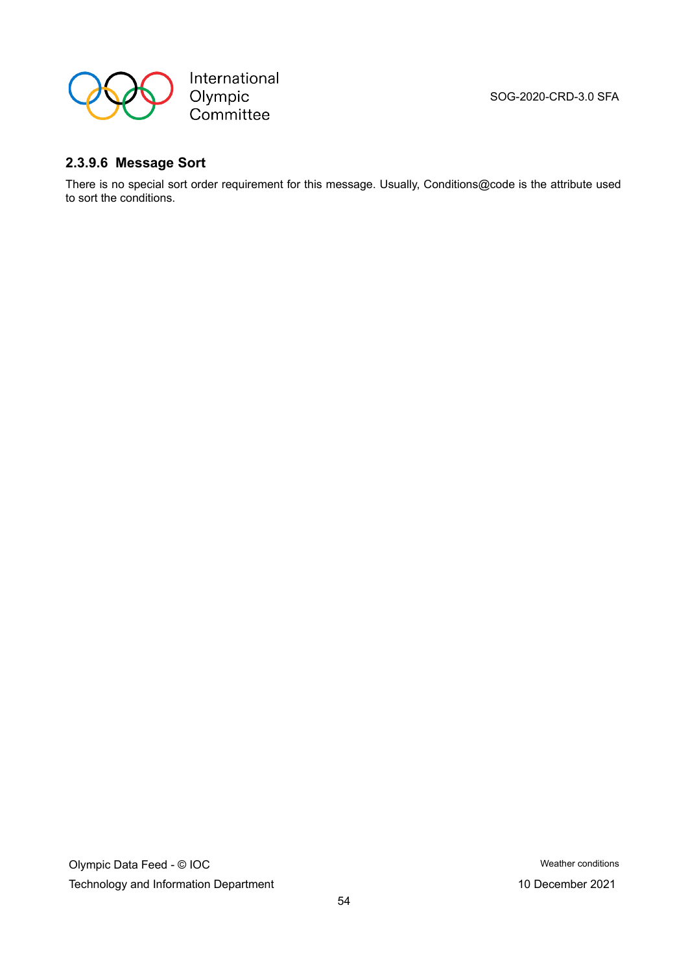

## <span id="page-53-0"></span>**2.3.9.6 Message Sort**

There is no special sort order requirement for this message. Usually, Conditions@code is the attribute used to sort the conditions.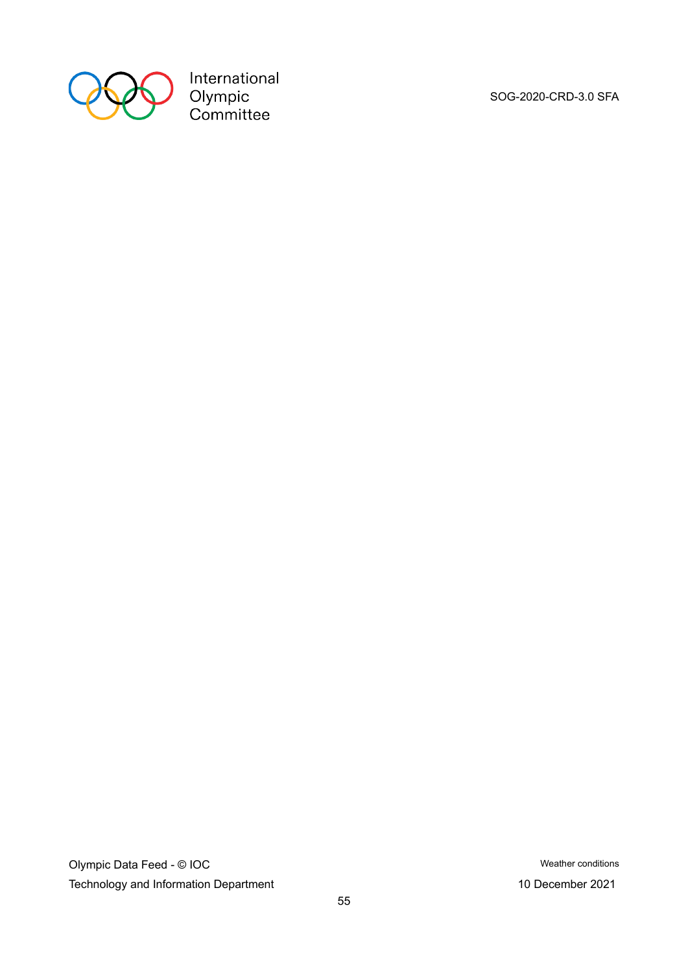

SOG-2020-CRD-3.0 SFA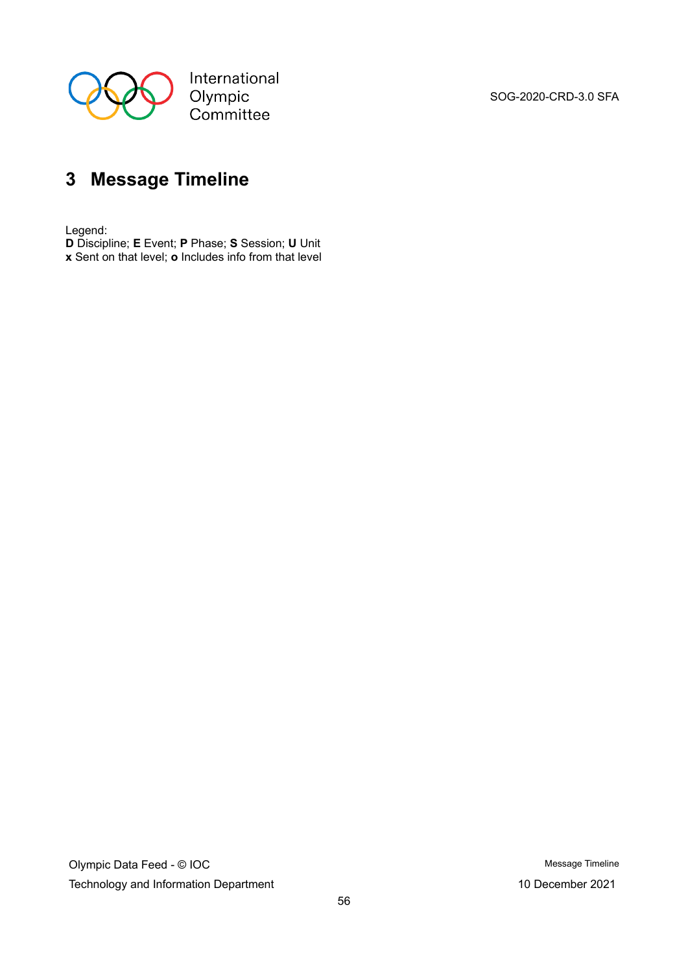

SOG-2020-CRD-3.0 SFA

# <span id="page-55-0"></span>**3 Message Timeline**

Legend:

**D** Discipline; **E** Event; **P** Phase; **S** Session; **U** Unit **x** Sent on that level; **o** Includes info from that level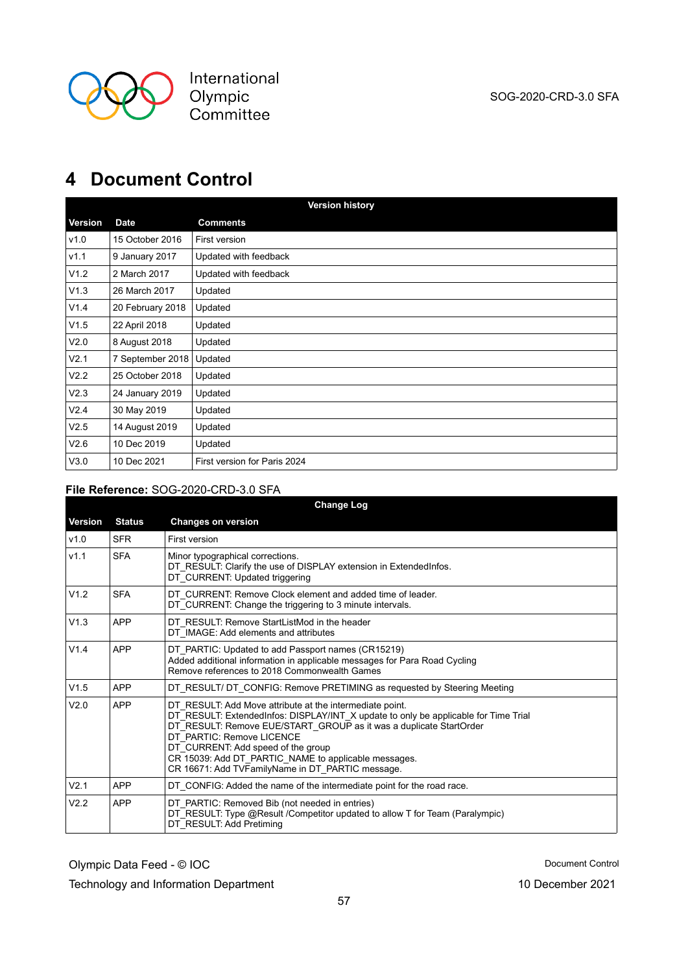

# <span id="page-56-0"></span>**4 Document Control**

| <b>Version history</b> |                  |                              |  |  |
|------------------------|------------------|------------------------------|--|--|
| Version                | <b>Date</b>      | <b>Comments</b>              |  |  |
| v1.0                   | 15 October 2016  | First version                |  |  |
| v1.1                   | 9 January 2017   | Updated with feedback        |  |  |
| V1.2                   | 2 March 2017     | Updated with feedback        |  |  |
| V1.3                   | 26 March 2017    | Updated                      |  |  |
| V14                    | 20 February 2018 | Updated                      |  |  |
| V1.5                   | 22 April 2018    | Updated                      |  |  |
| V2.0                   | 8 August 2018    | Updated                      |  |  |
| V2.1                   | 7 September 2018 | Updated                      |  |  |
| V2.2                   | 25 October 2018  | Updated                      |  |  |
| V2.3                   | 24 January 2019  | Updated                      |  |  |
| V2.4                   | 30 May 2019      | Updated                      |  |  |
| V2.5                   | 14 August 2019   | Updated                      |  |  |
| V2.6                   | 10 Dec 2019      | Updated                      |  |  |
| V3.0                   | 10 Dec 2021      | First version for Paris 2024 |  |  |

## **File Reference:** SOG-2020-CRD-3.0 SFA

|                  | <b>Change Log</b> |                                                                                                                                                                                                                                                                                                                                                                                                      |  |  |  |  |
|------------------|-------------------|------------------------------------------------------------------------------------------------------------------------------------------------------------------------------------------------------------------------------------------------------------------------------------------------------------------------------------------------------------------------------------------------------|--|--|--|--|
| Version          | <b>Status</b>     | <b>Changes on version</b>                                                                                                                                                                                                                                                                                                                                                                            |  |  |  |  |
| v1.0             | <b>SFR</b>        | First version                                                                                                                                                                                                                                                                                                                                                                                        |  |  |  |  |
| V1.1             | <b>SFA</b>        | Minor typographical corrections.<br>DT_RESULT: Clarify the use of DISPLAY extension in ExtendedInfos.<br>DT CURRENT: Updated triggering                                                                                                                                                                                                                                                              |  |  |  |  |
| V1.2             | <b>SFA</b>        | DT CURRENT: Remove Clock element and added time of leader.<br>DT CURRENT: Change the triggering to 3 minute intervals.                                                                                                                                                                                                                                                                               |  |  |  |  |
| V1.3             | <b>APP</b>        | DT RESULT: Remove StartListMod in the header<br>DT IMAGE: Add elements and attributes                                                                                                                                                                                                                                                                                                                |  |  |  |  |
| V1.4             | <b>APP</b>        | DT PARTIC: Updated to add Passport names (CR15219)<br>Added additional information in applicable messages for Para Road Cycling<br>Remove references to 2018 Commonwealth Games                                                                                                                                                                                                                      |  |  |  |  |
| V1.5             | <b>APP</b>        | DT RESULT/ DT CONFIG: Remove PRETIMING as requested by Steering Meeting                                                                                                                                                                                                                                                                                                                              |  |  |  |  |
| V2.0             | <b>APP</b>        | DT RESULT: Add Move attribute at the intermediate point.<br>DT_RESULT: ExtendedInfos: DISPLAY/INT_X update to only be applicable for Time Trial<br>DT_RESULT: Remove EUE/START_GROUP as it was a duplicate StartOrder<br>DT PARTIC: Remove LICENCE<br>DT_CURRENT: Add speed of the group<br>CR 15039: Add DT PARTIC NAME to applicable messages.<br>CR 16671: Add TVFamilyName in DT_PARTIC message. |  |  |  |  |
| V <sub>2.1</sub> | <b>APP</b>        | DT CONFIG: Added the name of the intermediate point for the road race.                                                                                                                                                                                                                                                                                                                               |  |  |  |  |
| V2.2             | <b>APP</b>        | DT PARTIC: Removed Bib (not needed in entries)<br>DT RESULT: Type @Result /Competitor updated to allow T for Team (Paralympic)<br>DT RESULT: Add Pretiming                                                                                                                                                                                                                                           |  |  |  |  |

Olympic Data Feed - © IOC **Document Control**